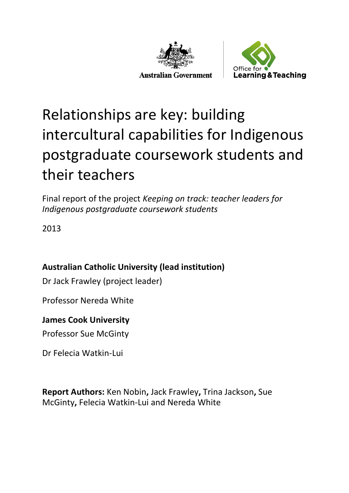



# Relationships are key: building intercultural capabilities for Indigenous postgraduate coursework students and their teachers

Final report of the project *Keeping on track: teacher leaders for Indigenous postgraduate coursework students*

2013

### **Australian Catholic University (lead institution)**

Dr Jack Frawley (project leader)

Professor Nereda White

#### **James Cook University**

Professor Sue McGinty

Dr Felecia Watkin-Lui

**Report Authors:** Ken Nobin**,** Jack Frawley**,** Trina Jackson**,** Sue McGinty**,** Felecia Watkin-Lui and Nereda White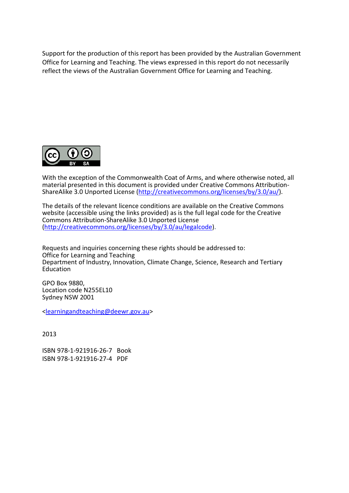Support for the production of this report has been provided by the Australian Government Office for Learning and Teaching. The views expressed in this report do not necessarily reflect the views of the Australian Government Office for Learning and Teaching.



With the exception of the Commonwealth Coat of Arms, and where otherwise noted, all material presented in this document is provided under Creative Commons Attribution-ShareAlike 3.0 Unported License [\(http://creativecommons.org/licenses/by/3.0/au/\)](http://creativecommons.org/licenses/by/3.0/au/).

The details of the relevant licence conditions are available on the Creative Commons website (accessible using the links provided) as is the full legal code for the Creative Commons Attribution-ShareAlike 3.0 Unported License [\(http://creativecommons.org/licenses/by/3.0/au/legalcode\)](http://creativecommons.org/licenses/by/3.0/au/legalcode).

Requests and inquiries concerning these rights should be addressed to: Office for Learning and Teaching Department of Industry, Innovation, Climate Change, Science, Research and Tertiary Education

GPO Box 9880, Location code N255EL10 Sydney NSW 2001

[<learningandteaching@deewr.gov.au>](mailto:learningandteaching@deewr.gov.au)

2013

ISBN [978-1-921916-26-7](https://www.myidentifiers.com.au/myaccount_manageisbns_titlereg?isbn=978-1-921916-26-7&icon_type=pending) Book ISBN [978-1-921916-27-4](https://www.myidentifiers.com.au/myaccount_manageisbns_titlereg?isbn=978-1-921916-27-4&icon_type=pending) PDF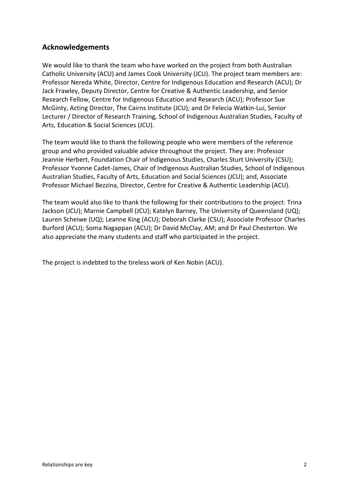#### **Acknowledgements**

We would like to thank the team who have worked on the project from both Australian Catholic University (ACU) and James Cook University (JCU). The project team members are: Professor Nereda White, Director, Centre for Indigenous Education and Research (ACU); Dr Jack Frawley, Deputy Director, Centre for Creative & Authentic Leadership, and Senior Research Fellow, Centre for Indigenous Education and Research (ACU); Professor Sue McGinty, Acting Director, The Cairns Institute (JCU); and Dr Felecia Watkin-Lui, Senior Lecturer / Director of Research Training, School of Indigenous Australian Studies, Faculty of Arts, Education & Social Sciences (JCU).

The team would like to thank the following people who were members of the reference group and who provided valuable advice throughout the project. They are: Professor Jeannie Herbert, Foundation Chair of Indigenous Studies, Charles Sturt University (CSU); Professor Yvonne Cadet-James, Chair of Indigenous Australian Studies, School of Indigenous Australian Studies, Faculty of Arts, Education and Social Sciences (JCU); and, Associate Professor Michael Bezzina, Director, Centre for Creative & Authentic Leadership (ACU).

The team would also like to thank the following for their contributions to the project: Trina Jackson (JCU); Marnie Campbell (JCU); Katelyn Barney, The University of Queensland (UQ); Lauren Scheiwe (UQ); Leanne King (ACU); Deborah Clarke (CSU); Associate Professor Charles Burford (ACU); Soma Nagappan (ACU); Dr David McClay, AM; and Dr Paul Chesterton. We also appreciate the many students and staff who participated in the project.

The project is indebted to the tireless work of Ken Nobin (ACU).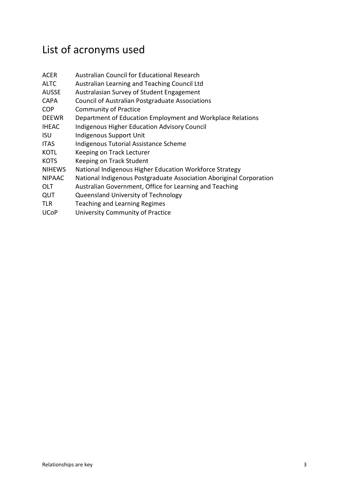## List of acronyms used

| <b>ACER</b>   | Australian Council for Educational Research                         |
|---------------|---------------------------------------------------------------------|
| <b>ALTC</b>   | Australian Learning and Teaching Council Ltd                        |
| <b>AUSSE</b>  | Australasian Survey of Student Engagement                           |
| <b>CAPA</b>   | <b>Council of Australian Postgraduate Associations</b>              |
| <b>COP</b>    | <b>Community of Practice</b>                                        |
| <b>DEEWR</b>  | Department of Education Employment and Workplace Relations          |
| <b>IHEAC</b>  | <b>Indigenous Higher Education Advisory Council</b>                 |
| <b>ISU</b>    | Indigenous Support Unit                                             |
| <b>ITAS</b>   | Indigenous Tutorial Assistance Scheme                               |
| <b>KOTL</b>   | Keeping on Track Lecturer                                           |
| <b>KOTS</b>   | Keeping on Track Student                                            |
| <b>NIHEWS</b> | National Indigenous Higher Education Workforce Strategy             |
| <b>NIPAAC</b> | National Indigenous Postgraduate Association Aboriginal Corporation |
| OLT           | Australian Government, Office for Learning and Teaching             |
| QUT           | Queensland University of Technology                                 |
| <b>TLR</b>    | Teaching and Learning Regimes                                       |
| <b>UCoP</b>   | University Community of Practice                                    |
|               |                                                                     |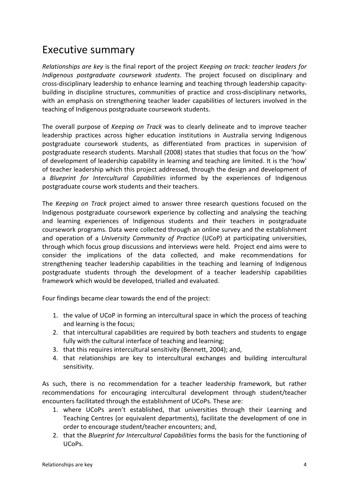### Executive summary

*Relationships are key* is the final report of the project *Keeping on track: teacher leaders for Indigenous postgraduate coursework students*. The project focused on disciplinary and cross-disciplinary leadership to enhance learning and teaching through leadership capacitybuilding in discipline structures, communities of practice and cross-disciplinary networks, with an emphasis on strengthening teacher leader capabilities of lecturers involved in the teaching of Indigenous postgraduate coursework students.

The overall purpose of *Keeping on Track* was to clearly delineate and to improve teacher leadership practices across higher education institutions in Australia serving Indigenous postgraduate coursework students, as differentiated from practices in supervision of postgraduate research students. Marshall (2008) states that studies that focus on the 'how' of development of leadership capability in learning and teaching are limited. It is the 'how' of teacher leadership which this project addressed, through the design and development of a *Blueprint for Intercultural Capabilities* informed by the experiences of Indigenous postgraduate course work students and their teachers.

The *Keeping on Track* project aimed to answer three research questions focused on the Indigenous postgraduate coursework experience by collecting and analysing the teaching and learning experiences of Indigenous students and their teachers in postgraduate coursework programs. Data were collected through an online survey and the establishment and operation of a *University Community of Practice* (UCoP) at participating universities, through which focus group discussions and interviews were held. Project end aims were to consider the implications of the data collected, and make recommendations for strengthening teacher leadership capabilities in the teaching and learning of Indigenous postgraduate students through the development of a teacher leadership capabilities framework which would be developed, trialled and evaluated.

Four findings became clear towards the end of the project:

- 1. the value of UCoP in forming an intercultural space in which the process of teaching and learning is the focus;
- 2. that intercultural capabilities are required by both teachers and students to engage fully with the cultural interface of teaching and learning;
- 3. that this requires intercultural sensitivity (Bennett, 2004); and,
- 4. that relationships are key to intercultural exchanges and building intercultural sensitivity.

As such, there is no recommendation for a teacher leadership framework, but rather recommendations for encouraging intercultural development through student/teacher encounters facilitated through the establishment of UCoPs. These are:

- 1. where UCoPs aren't established, that universities through their Learning and Teaching Centres (or equivalent departments), facilitate the development of one in order to encourage student/teacher encounters; and,
- 2. that the *Blueprint for Intercultural Capabilities* forms the basis for the functioning of UCoPs.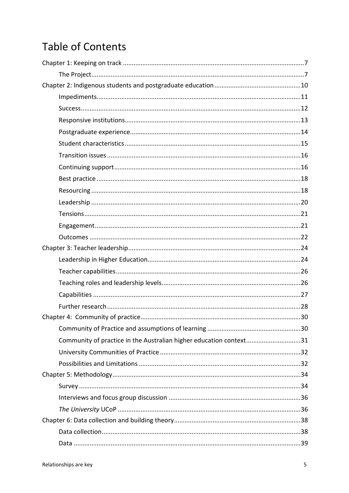### **Table of Contents**

| Community of practice in the Australian higher education context31 |  |  |
|--------------------------------------------------------------------|--|--|
|                                                                    |  |  |
|                                                                    |  |  |
|                                                                    |  |  |
|                                                                    |  |  |
|                                                                    |  |  |
|                                                                    |  |  |
|                                                                    |  |  |
|                                                                    |  |  |
|                                                                    |  |  |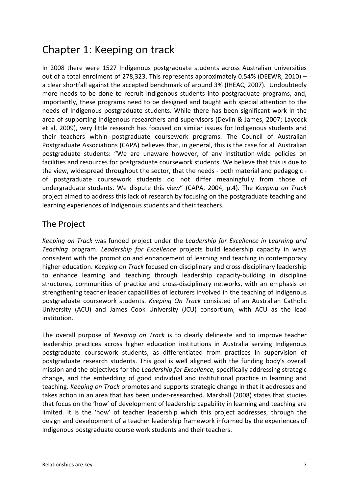### Chapter 1: Keeping on track

In 2008 there were 1527 Indigenous postgraduate students across Australian universities out of a total enrolment of 278,323. This represents approximately 0.54% (DEEWR, 2010) – a clear shortfall against the accepted benchmark of around 3% (IHEAC, 2007). Undoubtedly more needs to be done to recruit Indigenous students into postgraduate programs, and, importantly, these programs need to be designed and taught with special attention to the needs of Indigenous postgraduate students. While there has been significant work in the area of supporting Indigenous researchers and supervisors (Devlin & James, 2007; Laycock et al, 2009), very little research has focused on similar issues for Indigenous students and their teachers within postgraduate coursework programs. The Council of Australian Postgraduate Associations (CAPA) believes that, in general, this is the case for all Australian postgraduate students: "We are unaware however, of any institution-wide policies on facilities and resources for postgraduate coursework students. We believe that this is due to the view, widespread throughout the sector, that the needs - both material and pedagogic of postgraduate coursework students do not differ meaningfully from those of undergraduate students. We dispute this view" (CAPA, 2004, p.4). The *Keeping on Track* project aimed to address this lack of research by focusing on the postgraduate teaching and learning experiences of Indigenous students and their teachers.

#### The Project

*Keeping on Track* was funded project under the *Leadership for Excellence in Learning and Teaching* program. *Leadership for Excellence* projects build leadership capacity in ways consistent with the promotion and enhancement of learning and teaching in contemporary higher education. *Keeping on Track* focused on disciplinary and cross-disciplinary leadership to enhance learning and teaching through leadership capacity-building in discipline structures, communities of practice and cross-disciplinary networks, with an emphasis on strengthening teacher leader capabilities of lecturers involved in the teaching of Indigenous postgraduate coursework students. *Keeping On Track* consisted of an Australian Catholic University (ACU) and James Cook University (JCU) consortium, with ACU as the lead institution.

The overall purpose of *Keeping on Track* is to clearly delineate and to improve teacher leadership practices across higher education institutions in Australia serving Indigenous postgraduate coursework students, as differentiated from practices in supervision of postgraduate research students. This goal is well aligned with the funding body's overall mission and the objectives for the *Leadership for Excellence,* specifically addressing strategic change, and the embedding of good individual and institutional practice in learning and teaching. *Keeping on Track* promotes and supports strategic change in that it addresses and takes action in an area that has been under-researched. Marshall (2008) states that studies that focus on the 'how' of development of leadership capability in learning and teaching are limited. It is the 'how' of teacher leadership which this project addresses, through the design and development of a teacher leadership framework informed by the experiences of Indigenous postgraduate course work students and their teachers.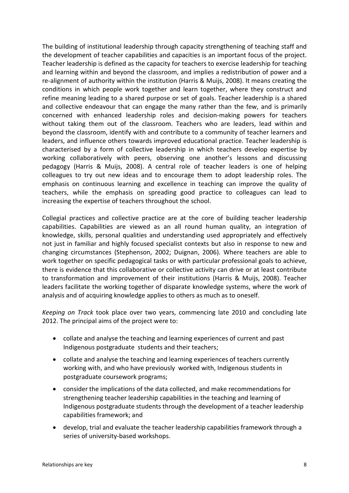The building of institutional leadership through capacity strengthening of teaching staff and the development of teacher capabilities and capacities is an important focus of the project. Teacher leadership is defined as the capacity for teachers to exercise leadership for teaching and learning within and beyond the classroom, and implies a redistribution of power and a re-alignment of authority within the institution (Harris & Muijs, 2008). It means creating the conditions in which people work together and learn together, where they construct and refine meaning leading to a shared purpose or set of goals. Teacher leadership is a shared and collective endeavour that can engage the many rather than the few, and is primarily concerned with enhanced leadership roles and decision-making powers for teachers without taking them out of the classroom. Teachers who are leaders, lead within and beyond the classroom, identify with and contribute to a community of teacher learners and leaders, and influence others towards improved educational practice. Teacher leadership is characterised by a form of collective leadership in which teachers develop expertise by working collaboratively with peers, observing one another's lessons and discussing pedagogy (Harris & Muijs, 2008). A central role of teacher leaders is one of helping colleagues to try out new ideas and to encourage them to adopt leadership roles. The emphasis on continuous learning and excellence in teaching can improve the quality of teachers, while the emphasis on spreading good practice to colleagues can lead to increasing the expertise of teachers throughout the school.

Collegial practices and collective practice are at the core of building teacher leadership capabilities. Capabilities are viewed as an all round human quality, an integration of knowledge, skills, personal qualities and understanding used appropriately and effectively not just in familiar and highly focused specialist contexts but also in response to new and changing circumstances (Stephenson, 2002; Duignan, 2006). Where teachers are able to work together on specific pedagogical tasks or with particular professional goals to achieve, there is evidence that this collaborative or collective activity can drive or at least contribute to transformation and improvement of their institutions (Harris & Muijs, 2008). Teacher leaders facilitate the working together of disparate knowledge systems, where the work of analysis and of acquiring knowledge applies to others as much as to oneself.

*Keeping on Track* took place over two years, commencing late 2010 and concluding late 2012. The principal aims of the project were to:

- collate and analyse the teaching and learning experiences of current and past Indigenous postgraduate students and their teachers;
- collate and analyse the teaching and learning experiences of teachers currently working with, and who have previously worked with, Indigenous students in postgraduate coursework programs;
- consider the implications of the data collected, and make recommendations for strengthening teacher leadership capabilities in the teaching and learning of Indigenous postgraduate students through the development of a teacher leadership capabilities framework; and
- develop, trial and evaluate the teacher leadership capabilities framework through a series of university-based workshops.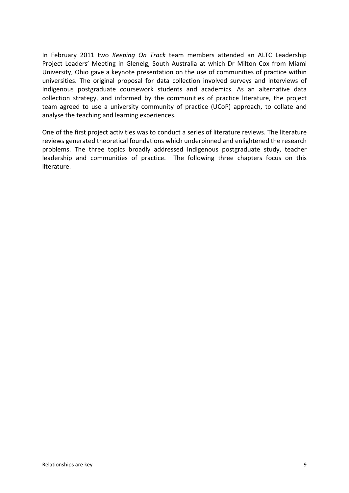In February 2011 two *Keeping On Track* team members attended an ALTC Leadership Project Leaders' Meeting in Glenelg, South Australia at which Dr Milton Cox from Miami University, Ohio gave a keynote presentation on the use of communities of practice within universities. The original proposal for data collection involved surveys and interviews of Indigenous postgraduate coursework students and academics. As an alternative data collection strategy, and informed by the communities of practice literature, the project team agreed to use a university community of practice (UCoP) approach, to collate and analyse the teaching and learning experiences.

One of the first project activities was to conduct a series of literature reviews. The literature reviews generated theoretical foundations which underpinned and enlightened the research problems. The three topics broadly addressed Indigenous postgraduate study, teacher leadership and communities of practice. The following three chapters focus on this literature.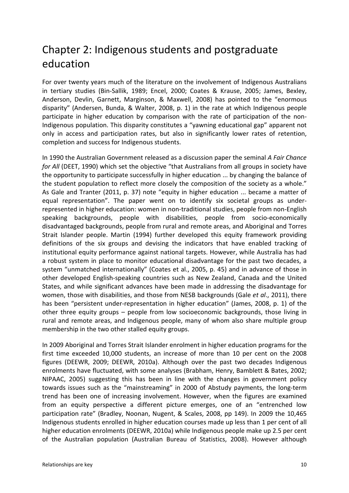### Chapter 2: Indigenous students and postgraduate education

For over twenty years much of the literature on the involvement of Indigenous Australians in tertiary studies (Bin-Sallik, 1989; Encel, 2000; Coates & Krause, 2005; James, Bexley, Anderson, Devlin, Garnett, Marginson, & Maxwell, 2008) has pointed to the "enormous disparity" (Andersen, Bunda, & Walter, 2008, p. 1) in the rate at which Indigenous people participate in higher education by comparison with the rate of participation of the non-Indigenous population. This disparity constitutes a "yawning educational gap" apparent not only in access and participation rates, but also in significantly lower rates of retention, completion and success for Indigenous students.

In 1990 the Australian Government released as a discussion paper the seminal *A Fair Chance for All* (DEET, 1990) which set the objective "that Australians from all groups in society have the opportunity to participate successfully in higher education ... by changing the balance of the student population to reflect more closely the composition of the society as a whole." As Gale and Tranter (2011, p. 37) note "equity in higher education ... became a matter of equal representation". The paper went on to identify six societal groups as underrepresented in higher education: women in non-traditional studies, people from non-English speaking backgrounds, people with disabilities, people from socio-economically disadvantaged backgrounds, people from rural and remote areas, and Aboriginal and Torres Strait Islander people. Martin (1994) further developed this equity framework providing definitions of the six groups and devising the indicators that have enabled tracking of institutional equity performance against national targets. However, while Australia has had a robust system in place to monitor educational disadvantage for the past two decades, a system "unmatched internationally" (Coates et al., 2005, p. 45) and in advance of those in other developed English-speaking countries such as New Zealand, Canada and the United States, and while significant advances have been made in addressing the disadvantage for women, those with disabilities, and those from NESB backgrounds (Gale *et al*., 2011), there has been "persistent under-representation in higher education" (James, 2008, p. 1) of the other three equity groups – people from low socioeconomic backgrounds, those living in rural and remote areas, and Indigenous people, many of whom also share multiple group membership in the two other stalled equity groups.

In 2009 Aboriginal and Torres Strait Islander enrolment in higher education programs for the first time exceeded 10,000 students, an increase of more than 10 per cent on the 2008 figures (DEEWR, 2009; DEEWR, 2010a). Although over the past two decades Indigenous enrolments have fluctuated, with some analyses (Brabham, Henry, Bamblett & Bates, 2002; NIPAAC, 2005) suggesting this has been in line with the changes in government policy towards issues such as the "mainstreaming" in 2000 of Abstudy payments, the long-term trend has been one of increasing involvement. However, when the figures are examined from an equity perspective a different picture emerges, one of an "entrenched low participation rate" (Bradley, Noonan, Nugent, & Scales, 2008, pp 149). In 2009 the 10,465 Indigenous students enrolled in higher education courses made up less than 1 per cent of all higher education enrolments (DEEWR, 2010a) while Indigenous people make up 2.5 per cent of the Australian population (Australian Bureau of Statistics, 2008). However although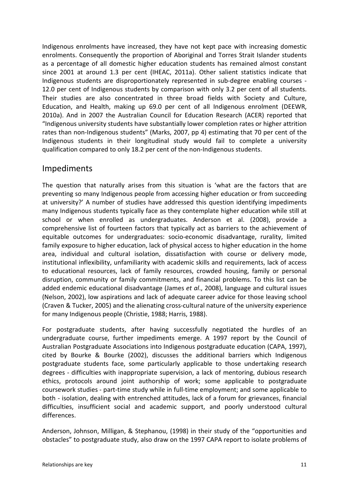Indigenous enrolments have increased, they have not kept pace with increasing domestic enrolments. Consequently the proportion of Aboriginal and Torres Strait Islander students as a percentage of all domestic higher education students has remained almost constant since 2001 at around 1.3 per cent (IHEAC, 2011a). Other salient statistics indicate that Indigenous students are disproportionately represented in sub-degree enabling courses - 12.0 per cent of Indigenous students by comparison with only 3.2 per cent of all students. Their studies are also concentrated in three broad fields with Society and Culture, Education, and Health, making up 69.0 per cent of all Indigenous enrolment (DEEWR, 2010a). And in 2007 the Australian Council for Education Research (ACER) reported that "Indigenous university students have substantially lower completion rates or higher attrition rates than non-Indigenous students" (Marks, 2007, pp 4) estimating that 70 per cent of the Indigenous students in their longitudinal study would fail to complete a university qualification compared to only 18.2 per cent of the non-Indigenous students.

#### Impediments

The question that naturally arises from this situation is 'what are the factors that are preventing so many Indigenous people from accessing higher education or from succeeding at university?' A number of studies have addressed this question identifying impediments many Indigenous students typically face as they contemplate higher education while still at school or when enrolled as undergraduates. Anderson et al. (2008), provide a comprehensive list of fourteen factors that typically act as barriers to the achievement of equitable outcomes for undergraduates: socio-economic disadvantage, rurality, limited family exposure to higher education, lack of physical access to higher education in the home area, individual and cultural isolation, dissatisfaction with course or delivery mode, institutional inflexibility, unfamiliarity with academic skills and requirements, lack of access to educational resources, lack of family resources, crowded housing, family or personal disruption, community or family commitments, and financial problems. To this list can be added endemic educational disadvantage (James *et al*., 2008), language and cultural issues (Nelson, 2002), low aspirations and lack of adequate career advice for those leaving school (Craven & Tucker, 2005) and the alienating cross-cultural nature of the university experience for many Indigenous people (Christie, 1988; Harris, 1988).

For postgraduate students, after having successfully negotiated the hurdles of an undergraduate course, further impediments emerge. A 1997 report by the Council of Australian Postgraduate Associations into Indigenous postgraduate education (CAPA, 1997), cited by Bourke & Bourke (2002), discusses the additional barriers which Indigenous postgraduate students face, some particularly applicable to those undertaking research degrees - difficulties with inappropriate supervision, a lack of mentoring, dubious research ethics, protocols around joint authorship of work; some applicable to postgraduate coursework studies - part-time study while in full-time employment; and some applicable to both - isolation, dealing with entrenched attitudes, lack of a forum for grievances, financial difficulties, insufficient social and academic support, and poorly understood cultural differences.

Anderson, Johnson, Milligan, & Stephanou, (1998) in their study of the "opportunities and obstacles" to postgraduate study, also draw on the 1997 CAPA report to isolate problems of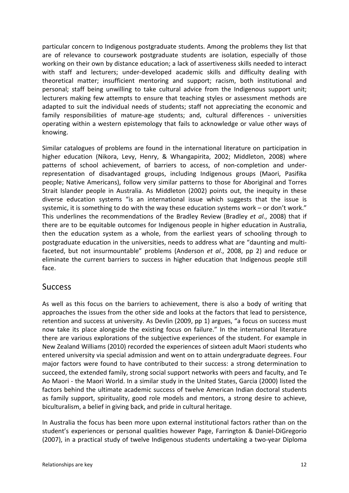particular concern to Indigenous postgraduate students. Among the problems they list that are of relevance to coursework postgraduate students are isolation, especially of those working on their own by distance education; a lack of assertiveness skills needed to interact with staff and lecturers; under-developed academic skills and difficulty dealing with theoretical matter; insufficient mentoring and support; racism, both institutional and personal; staff being unwilling to take cultural advice from the Indigenous support unit; lecturers making few attempts to ensure that teaching styles or assessment methods are adapted to suit the individual needs of students; staff not appreciating the economic and family responsibilities of mature-age students; and, cultural differences - universities operating within a western epistemology that fails to acknowledge or value other ways of knowing.

Similar catalogues of problems are found in the international literature on participation in higher education (Nikora, Levy, Henry, & Whangapirita, 2002; Middleton, 2008) where patterns of school achievement, of barriers to access, of non-completion and underrepresentation of disadvantaged groups, including Indigenous groups (Maori, Pasifika people; Native Americans), follow very similar patterns to those for Aboriginal and Torres Strait Islander people in Australia. As Middleton (2002) points out, the inequity in these diverse education systems "is an international issue which suggests that the issue is systemic, it is something to do with the way these education systems work – or don't work." This underlines the recommendations of the Bradley Review (Bradley *et al*., 2008) that if there are to be equitable outcomes for Indigenous people in higher education in Australia, then the education system as a whole, from the earliest years of schooling through to postgraduate education in the universities, needs to address what are "daunting and multifaceted, but not insurmountable" problems (Anderson *et al*., 2008, pp 2) and reduce or eliminate the current barriers to success in higher education that Indigenous people still face.

#### **Success**

As well as this focus on the barriers to achievement, there is also a body of writing that approaches the issues from the other side and looks at the factors that lead to persistence, retention and success at university. As Devlin (2009, pp 1) argues, "a focus on success must now take its place alongside the existing focus on failure." In the international literature there are various explorations of the subjective experiences of the student. For example in New Zealand Williams (2010) recorded the experiences of sixteen adult Maori students who entered university via special admission and went on to attain undergraduate degrees. Four major factors were found to have contributed to their success: a strong determination to succeed, the extended family, strong social support networks with peers and faculty, and Te Ao Maori - the Maori World. In a similar study in the United States, Garcia (2000) listed the factors behind the ultimate academic success of twelve American Indian doctoral students as family support, spirituality, good role models and mentors, a strong desire to achieve, biculturalism, a belief in giving back, and pride in cultural heritage.

In Australia the focus has been more upon external institutional factors rather than on the student's experiences or personal qualities however Page, Farrington & Daniel-DiGregorio (2007), in a practical study of twelve Indigenous students undertaking a two-year Diploma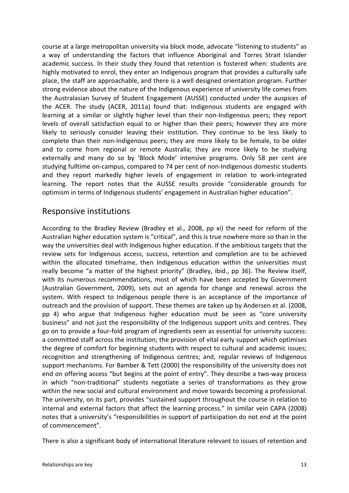course at a large metropolitan university via block mode, advocate "listening to students" as a way of understanding the factors that influence Aboriginal and Torres Strait Islander academic success. In their study they found that retention is fostered when: students are highly motivated to enrol, they enter an Indigenous program that provides a culturally safe place, the staff are approachable, and there is a well designed orientation program. Further strong evidence about the nature of the Indigenous experience of university life comes from the Australasian Survey of Student Engagement (AUSSE) conducted under the auspices of the ACER. The study (ACER, 2011a) found that: Indigenous students are engaged with learning at a similar or slightly higher level than their non-Indigenous peers; they report levels of overall satisfaction equal to or higher than their peers; however they are more likely to seriously consider leaving their institution. They continue to be less likely to complete than their non-Indigenous peers; they are more likely to be female, to be older and to come from regional or remote Australia; they are more likely to be studying externally and many do so by 'Block Mode' intensive programs. Only 58 per cent are studying fulltime on-campus, compared to 74 per cent of non-Indigenous domestic students and they report markedly higher levels of engagement in relation to work-integrated learning. The report notes that the AUSSE results provide "considerable grounds for optimism in terms of Indigenous students' engagement in Australian higher education".

#### Responsive institutions

According to the Bradley Review (Bradley et al., 2008, pp xi) the need for reform of the Australian higher education system is "critical", and this is true nowhere more so than in the way the universities deal with Indigenous higher education. If the ambitious targets that the review sets for Indigenous access, success, retention and completion are to be achieved within the allocated timeframe, then Indigenous education within the universities must really become "a matter of the highest priority" (Bradley, ibid., pp 36). The Review itself, with its numerous recommendations, most of which have been accepted by Government (Australian Government, 2009), sets out an agenda for change and renewal across the system. With respect to Indigenous people there is an acceptance of the importance of outreach and the provision of support. These themes are taken up by Andersen et al. (2008, pp 4) who argue that Indigenous higher education must be seen as "core university business" and not just the responsibility of the Indigenous support units and centres. They go on to provide a four-fold program of ingredients seen as essential for university success: a committed staff across the institution; the provision of vital early support which optimises the degree of comfort for beginning students with respect to cultural and academic issues; recognition and strengthening of Indigenous centres; and, regular reviews of Indigenous support mechanisms. For Bamber & Tett (2000) the responsibility of the university does not end on offering access "but begins at the point of entry". They describe a two-way process in which "non-traditional" students negotiate a series of transformations as they grow within the new social and cultural environment and move towards becoming a professional. The university, on its part, provides "sustained support throughout the course in relation to internal and external factors that affect the learning process." In similar vein CAPA (2008) notes that a university's "responsibilities in support of participation do not end at the point of commencement".

There is also a significant body of international literature relevant to issues of retention and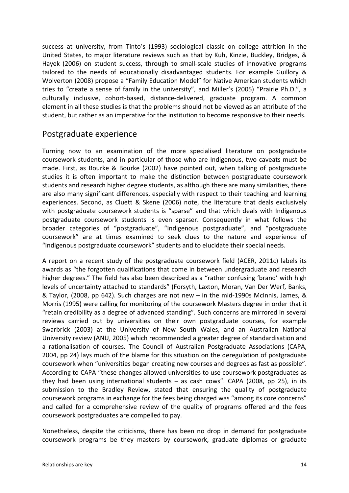success at university, from Tinto's (1993) sociological classic on college attrition in the United States, to major literature reviews such as that by Kuh, Kinzie, Buckley, Bridges, & Hayek (2006) on student success, through to small-scale studies of innovative programs tailored to the needs of educationally disadvantaged students. For example Guillory & Wolverton (2008) propose a "Family Education Model" for Native American students which tries to "create a sense of family in the university", and Miller's (2005) "Prairie Ph.D.", a culturally inclusive, cohort-based, distance-delivered, graduate program. A common element in all these studies is that the problems should not be viewed as an attribute of the student, but rather as an imperative for the institution to become responsive to their needs.

#### Postgraduate experience

Turning now to an examination of the more specialised literature on postgraduate coursework students, and in particular of those who are Indigenous, two caveats must be made. First, as Bourke & Bourke (2002) have pointed out, when talking of postgraduate studies it is often important to make the distinction between postgraduate coursework students and research higher degree students, as although there are many similarities, there are also many significant differences, especially with respect to their teaching and learning experiences. Second, as Cluett & Skene (2006) note, the literature that deals exclusively with postgraduate coursework students is "sparse" and that which deals with Indigenous postgraduate coursework students is even sparser. Consequently in what follows the broader categories of "postgraduate", "Indigenous postgraduate", and "postgraduate coursework" are at times examined to seek clues to the nature and experience of "Indigenous postgraduate coursework" students and to elucidate their special needs.

A report on a recent study of the postgraduate coursework field (ACER, 2011c) labels its awards as "the forgotten qualifications that come in between undergraduate and research higher degrees." The field has also been described as a "rather confusing 'brand' with high levels of uncertainty attached to standards" (Forsyth, Laxton, Moran, Van Der Werf, Banks, & Taylor, (2008, pp 642). Such charges are not new – in the mid-1990s McInnis, James, & Morris (1995) were calling for monitoring of the coursework Masters degree in order that it "retain credibility as a degree of advanced standing". Such concerns are mirrored in several reviews carried out by universities on their own postgraduate courses, for example Swarbrick (2003) at the University of New South Wales, and an Australian National University review (ANU, 2005) which recommended a greater degree of standardisation and a rationalisation of courses. The Council of Australian Postgraduate Associations (CAPA, 2004, pp 24) lays much of the blame for this situation on the deregulation of postgraduate coursework when "universities began creating new courses and degrees as fast as possible". According to CAPA "these changes allowed universities to use coursework postgraduates as they had been using international students – as cash cows". CAPA (2008, pp 25), in its submission to the Bradley Review, stated that ensuring the quality of postgraduate coursework programs in exchange for the fees being charged was "among its core concerns" and called for a comprehensive review of the quality of programs offered and the fees coursework postgraduates are compelled to pay.

Nonetheless, despite the criticisms, there has been no drop in demand for postgraduate coursework programs be they masters by coursework, graduate diplomas or graduate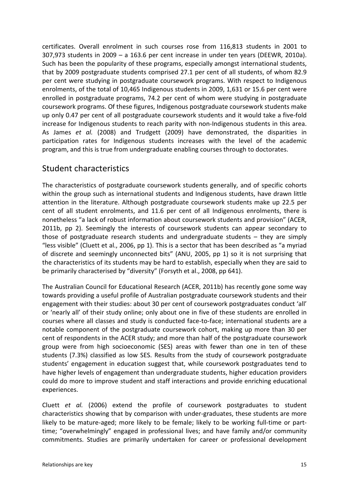certificates. Overall enrolment in such courses rose from 116,813 students in 2001 to 307,973 students in 2009 – a 163.6 per cent increase in under ten years (DEEWR, 2010a). Such has been the popularity of these programs, especially amongst international students, that by 2009 postgraduate students comprised 27.1 per cent of all students, of whom 82.9 per cent were studying in postgraduate coursework programs. With respect to Indigenous enrolments, of the total of 10,465 Indigenous students in 2009, 1,631 or 15.6 per cent were enrolled in postgraduate programs, 74.2 per cent of whom were studying in postgraduate coursework programs. Of these figures, Indigenous postgraduate coursework students make up only 0.47 per cent of all postgraduate coursework students and it would take a five-fold increase for Indigenous students to reach parity with non-Indigenous students in this area. As James *et al.* (2008) and Trudgett (2009) have demonstrated, the disparities in participation rates for Indigenous students increases with the level of the academic program, and this is true from undergraduate enabling courses through to doctorates.

#### Student characteristics

The characteristics of postgraduate coursework students generally, and of specific cohorts within the group such as international students and Indigenous students, have drawn little attention in the literature. Although postgraduate coursework students make up 22.5 per cent of all student enrolments, and 11.6 per cent of all Indigenous enrolments, there is nonetheless "a lack of robust information about coursework students and provision" (ACER, 2011b, pp 2). Seemingly the interests of coursework students can appear secondary to those of postgraduate research students and undergraduate students – they are simply "less visible" (Cluett et al., 2006, pp 1). This is a sector that has been described as "a myriad of discrete and seemingly unconnected bits" (ANU, 2005, pp 1) so it is not surprising that the characteristics of its students may be hard to establish, especially when they are said to be primarily characterised by "diversity" (Forsyth et al., 2008, pp 641).

The Australian Council for Educational Research (ACER, 2011b) has recently gone some way towards providing a useful profile of Australian postgraduate coursework students and their engagement with their studies: about 30 per cent of coursework postgraduates conduct 'all' or 'nearly all' of their study online; only about one in five of these students are enrolled in courses where all classes and study is conducted face-to-face; international students are a notable component of the postgraduate coursework cohort, making up more than 30 per cent of respondents in the ACER study; and more than half of the postgraduate coursework group were from high socioeconomic (SES) areas with fewer than one in ten of these students (7.3%) classified as low SES. Results from the study of coursework postgraduate students' engagement in education suggest that, while coursework postgraduates tend to have higher levels of engagement than undergraduate students, higher education providers could do more to improve student and staff interactions and provide enriching educational experiences.

Cluett *et al.* (2006) extend the profile of coursework postgraduates to student characteristics showing that by comparison with under-graduates, these students are more likely to be mature-aged; more likely to be female; likely to be working full-time or parttime; "overwhelmingly" engaged in professional lives; and have family and/or community commitments. Studies are primarily undertaken for career or professional development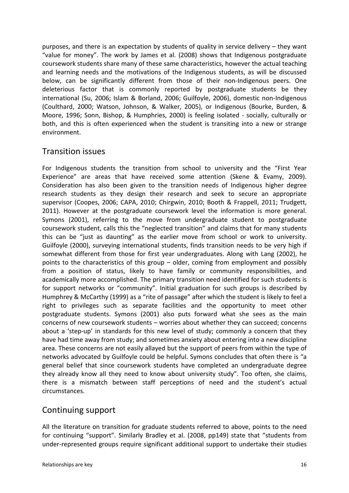purposes, and there is an expectation by students of quality in service delivery – they want "value for money". The work by James et al. (2008) shows that Indigenous postgraduate coursework students share many of these same characteristics, however the actual teaching and learning needs and the motivations of the Indigenous students, as will be discussed below, can be significantly different from those of their non-Indigenous peers. One deleterious factor that is commonly reported by postgraduate students be they international (Su, 2006; Islam & Borland, 2006; Guilfoyle, 2006), domestic non-Indigenous (Coulthard, 2000; Watson, Johnson, & Walker, 2005), or Indigenous (Bourke, Burden, & Moore, 1996; Sonn, Bishop, & Humphries, 2000) is feeling isolated - socially, culturally or both, and this is often experienced when the student is transiting into a new or strange environment.

#### Transition issues

For Indigenous students the transition from school to university and the "First Year Experience" are areas that have received some attention (Skene & Evamy, 2009). Consideration has also been given to the transition needs of Indigenous higher degree research students as they design their research and seek to secure an appropriate supervisor (Coopes, 2006; CAPA, 2010; Chirgwin, 2010; Booth & Frappell, 2011; Trudgett, 2011). However at the postgraduate coursework level the information is more general. Symons (2001), referring to the move from undergraduate student to postgraduate coursework student, calls this the "neglected transition" and claims that for many students this can be "just as daunting" as the earlier move from school or work to university. Guilfoyle (2000), surveying international students, finds transition needs to be very high if somewhat different from those for first year undergraduates. Along with Lang (2002), he points to the characteristics of this group – older, coming from employment and possibly from a position of status, likely to have family or community responsibilities, and academically more accomplished. The primary transition need identified for such students is for support networks or "community". Initial graduation for such groups is described by Humphrey & McCarthy (1999) as a "rite of passage" after which the student is likely to feel a right to privileges such as separate facilities and the opportunity to meet other postgraduate students. Symons (2001) also puts forward what she sees as the main concerns of new coursework students – worries about whether they can succeed; concerns about a 'step-up' in standards for this new level of study; commonly a concern that they have had time away from study; and sometimes anxiety about entering into a new discipline area. These concerns are not easily allayed but the support of peers from within the type of networks advocated by Guilfoyle could be helpful. Symons concludes that often there is "a general belief that since coursework students have completed an undergraduate degree they already know all they need to know about university study". Too often, she claims, there is a mismatch between staff perceptions of need and the student's actual circumstances.

#### Continuing support

All the literature on transition for graduate students referred to above, points to the need for continuing "support". Similarly Bradley et al. (2008, pp149) state that "students from under-represented groups require significant additional support to undertake their studies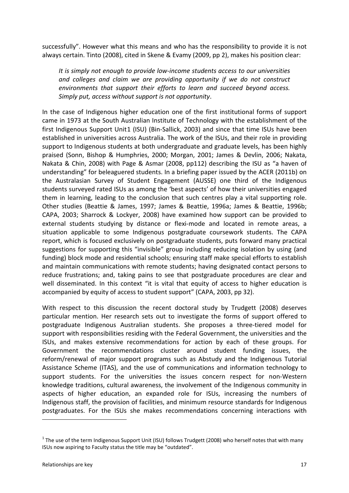successfully". However what this means and who has the responsibility to provide it is not always certain. Tinto (2008), cited in Skene & Evamy (2009, pp 2), makes his position clear:

*It is simply not enough to provide low-income students access to our universities and colleges and claim we are providing opportunity if we do not construct environments that support their efforts to learn and succeed beyond access. Simply put, access without support is not opportunity*.

In the case of Indigenous higher education one of the first institutional forms of support came in 1973 at the South Australian Institute of Technology with the establishment of the first Indigenous Support Unit[1](#page-17-0) (ISU) (Bin-Sallick, 2003) and since that time ISUs have been established in universities across Australia. The work of the ISUs, and their role in providing support to Indigenous students at both undergraduate and graduate levels, has been highly praised (Sonn, Bishop & Humphries, 2000; Morgan, 2001; James & Devlin, 2006; Nakata, Nakata & Chin, 2008) with Page & Asmar (2008, pp112) describing the ISU as "a haven of understanding" for beleaguered students. In a briefing paper issued by the ACER (2011b) on the Australasian Survey of Student Engagement (AUSSE) one third of the Indigenous students surveyed rated ISUs as among the 'best aspects' of how their universities engaged them in learning, leading to the conclusion that such centres play a vital supporting role. Other studies (Beattie & James, 1997; James & Beattie, 1996a; James & Beattie, 1996b; CAPA, 2003; Sharrock & Lockyer, 2008) have examined how support can be provided to external students studying by distance or flexi-mode and located in remote areas, a situation applicable to some Indigenous postgraduate coursework students. The CAPA report, which is focused exclusively on postgraduate students, puts forward many practical suggestions for supporting this "invisible" group including reducing isolation by using (and funding) block mode and residential schools; ensuring staff make special efforts to establish and maintain communications with remote students; having designated contact persons to reduce frustrations; and, taking pains to see that postgraduate procedures are clear and well disseminated. In this context "it is vital that equity of access to higher education is accompanied by equity of access to student support" (CAPA, 2003, pp 32).

With respect to this discussion the recent doctoral study by Trudgett (2008) deserves particular mention. Her research sets out to investigate the forms of support offered to postgraduate Indigenous Australian students. She proposes a three-tiered model for support with responsibilities residing with the Federal Government, the universities and the ISUs, and makes extensive recommendations for action by each of these groups. For Government the recommendations cluster around student funding issues, the reform/renewal of major support programs such as Abstudy and the Indigenous Tutorial Assistance Scheme (ITAS), and the use of communications and information technology to support students. For the universities the issues concern respect for non-Western knowledge traditions, cultural awareness, the involvement of the Indigenous community in aspects of higher education, an expanded role for ISUs, increasing the numbers of Indigenous staff, the provision of facilities, and minimum resource standards for Indigenous postgraduates. For the ISUs she makes recommendations concerning interactions with

<u>.</u>

<span id="page-17-0"></span> $1$  The use of the term Indigenous Support Unit (ISU) follows Trudgett (2008) who herself notes that with many ISUs now aspiring to Faculty status the title may be "outdated".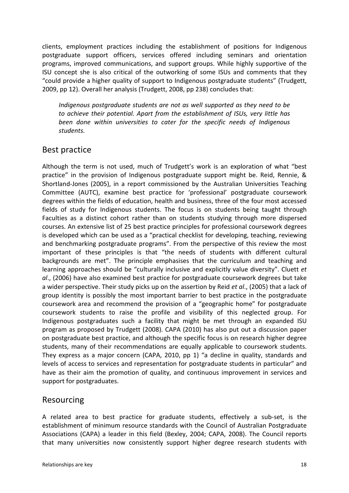clients, employment practices including the establishment of positions for Indigenous postgraduate support officers, services offered including seminars and orientation programs, improved communications, and support groups. While highly supportive of the ISU concept she is also critical of the outworking of some ISUs and comments that they "could provide a higher quality of support to Indigenous postgraduate students" (Trudgett, 2009, pp 12). Overall her analysis (Trudgett, 2008, pp 238) concludes that:

*Indigenous postgraduate students are not as well supported as they need to be to achieve their potential. Apart from the establishment of ISUs, very little has been done within universities to cater for the specific needs of Indigenous students.* 

#### Best practice

Although the term is not used, much of Trudgett's work is an exploration of what "best practice" in the provision of Indigenous postgraduate support might be. Reid, Rennie, & Shortland-Jones (2005), in a report commissioned by the Australian Universities Teaching Committee (AUTC), examine best practice for 'professional' postgraduate coursework degrees within the fields of education, health and business, three of the four most accessed fields of study for Indigenous students. The focus is on students being taught through Faculties as a distinct cohort rather than on students studying through more dispersed courses. An extensive list of 25 best practice principles for professional coursework degrees is developed which can be used as a "practical checklist for developing, teaching, reviewing and benchmarking postgraduate programs". From the perspective of this review the most important of these principles is that "the needs of students with different cultural backgrounds are met". The principle emphasises that the curriculum and teaching and learning approaches should be "culturally inclusive and explicitly value diversity". Cluett *et al*., (2006) have also examined best practice for postgraduate coursework degrees but take a wider perspective. Their study picks up on the assertion by Reid *et al*., (2005) that a lack of group identity is possibly the most important barrier to best practice in the postgraduate coursework area and recommend the provision of a "geographic home" for postgraduate coursework students to raise the profile and visibility of this neglected group. For Indigenous postgraduates such a facility that might be met through an expanded ISU program as proposed by Trudgett (2008). CAPA (2010) has also put out a discussion paper on postgraduate best practice, and although the specific focus is on research higher degree students, many of their recommendations are equally applicable to coursework students. They express as a major concern (CAPA, 2010, pp 1) "a decline in quality, standards and levels of access to services and representation for postgraduate students in particular" and have as their aim the promotion of quality, and continuous improvement in services and support for postgraduates.

#### Resourcing

A related area to best practice for graduate students, effectively a sub-set, is the establishment of minimum resource standards with the Council of Australian Postgraduate Associations (CAPA) a leader in this field (Bexley, 2004; CAPA, 2008). The Council reports that many universities now consistently support higher degree research students with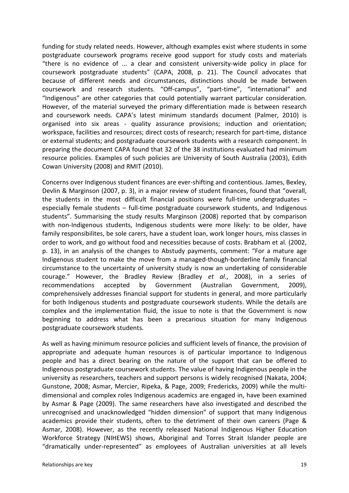funding for study related needs. However, although examples exist where students in some postgraduate coursework programs receive good support for study costs and materials "there is no evidence of ... a clear and consistent university-wide policy in place for coursework postgraduate students" (CAPA, 2008, p. 21). The Council advocates that because of different needs and circumstances, distinctions should be made between coursework and research students. "Off-campus", "part-time", "international" and "Indigenous" are other categories that could potentially warrant particular consideration. However, of the material surveyed the primary differentiation made is between research and coursework needs. CAPA's latest minimum standards document (Palmer, 2010) is organised into six areas - quality assurance provisions; induction and orientation; workspace, facilities and resources; direct costs of research; research for part-time, distance or external students; and postgraduate coursework students with a research component. In preparing the document CAPA found that 32 of the 38 institutions evaluated had minimum resource policies. Examples of such policies are University of South Australia (2003), Edith Cowan University (2008) and RMIT (2010).

Concerns over Indigenous student finances are ever-shifting and contentious. James, Bexley, Devlin & Marginson (2007, p. 3), in a major review of student finances, found that "overall, the students in the most difficult financial positions were full-time undergraduates – especially female students – full-time postgraduate coursework students, and Indigenous students". Summarising the study results Marginson (2008) reported that by comparison with non-Indigenous students, Indigenous students were more likely: to be older, have family responsibilites, be sole carers, have a student loan, work longer hours, miss classes in order to work, and go without food and necessities because of costs. Brabham et al. (2002, p. 13), in an analysis of the changes to Abstudy payments, comment: "For a mature age Indigenous student to make the move from a managed-though-borderline family financial circumstance to the uncertainty of university study is now an undertaking of considerable courage." However, the Bradley Review (Bradley *et al*., 2008), in a series of recommendations accepted by Government (Australian Government, 2009), comprehensively addresses financial support for students in general, and more particularly for both Indigenous students and postgraduate coursework students. While the details are complex and the implementation fluid, the issue to note is that the Government is now beginning to address what has been a precarious situation for many Indigenous postgraduate coursework students.

As well as having minimum resource policies and sufficient levels of finance, the provision of appropriate and adequate human resources is of particular importance to Indigenous people and has a direct bearing on the nature of the support that can be offered to Indigenous postgraduate coursework students. The value of having Indigenous people in the university as researchers, teachers and support persons is widely recognised (Nakata, 2004; Gunstone, 2008; Asmar, Mercier, Ripeka, & Page, 2009; Fredericks, 2009) while the multidimensional and complex roles Indigenous academics are engaged in, have been examined by Asmar & Page (2009). The same researchers have also investigated and described the unrecognised and unacknowledged "hidden dimension" of support that many Indigenous academics provide their students, often to the detriment of their own careers (Page & Asmar, 2008). However, as the recently released National Indigenous Higher Education Workforce Strategy (NIHEWS) shows, Aboriginal and Torres Strait Islander people are "dramatically under-represented" as employees of Australian universities at all levels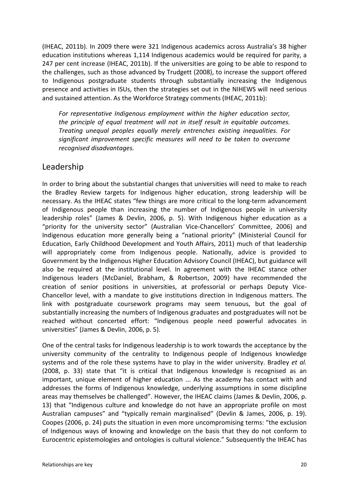(IHEAC, 2011b). In 2009 there were 321 Indigenous academics across Australia's 38 higher education institutions whereas 1,114 Indigenous academics would be required for parity, a 247 per cent increase (IHEAC, 2011b). If the universities are going to be able to respond to the challenges, such as those advanced by Trudgett (2008), to increase the support offered to Indigenous postgraduate students through substantially increasing the Indigenous presence and activities in ISUs, then the strategies set out in the NIHEWS will need serious and sustained attention. As the Workforce Strategy comments (IHEAC, 2011b):

*For representative Indigenous employment within the higher education sector, the principle of equal treatment will not in itself result in equitable outcomes. Treating unequal peoples equally merely entrenches existing inequalities. For significant improvement specific measures will need to be taken to overcome recognised disadvantages.*

#### Leadership

In order to bring about the substantial changes that universities will need to make to reach the Bradley Review targets for Indigenous higher education, strong leadership will be necessary. As the IHEAC states "few things are more critical to the long-term advancement of Indigenous people than increasing the number of Indigenous people in university leadership roles" (James & Devlin, 2006, p. 5). With Indigenous higher education as a "priority for the university sector" (Australian Vice-Chancellors' Committee, 2006) and Indigenous education more generally being a "national priority" (Ministerial Council for Education, Early Childhood Development and Youth Affairs, 2011) much of that leadership will appropriately come from Indigenous people. Nationally, advice is provided to Government by the Indigenous Higher Education Advisory Council (IHEAC), but guidance will also be required at the institutional level. In agreement with the IHEAC stance other Indigenous leaders (McDaniel, Brabham, & Robertson, 2009) have recommended the creation of senior positions in universities, at professorial or perhaps Deputy Vice-Chancellor level, with a mandate to give institutions direction in Indigenous matters. The link with postgraduate coursework programs may seem tenuous, but the goal of substantially increasing the numbers of Indigenous graduates and postgraduates will not be reached without concerted effort: "Indigenous people need powerful advocates in universities" (James & Devlin, 2006, p. 5).

One of the central tasks for Indigenous leadership is to work towards the acceptance by the university community of the centrality to Indigenous people of Indigenous knowledge systems and of the role these systems have to play in the wider university. Bradley *et al.* (2008, p. 33) state that "it is critical that Indigenous knowledge is recognised as an important, unique element of higher education ... As the academy has contact with and addresses the forms of Indigenous knowledge, underlying assumptions in some discipline areas may themselves be challenged". However, the IHEAC claims (James & Devlin, 2006, p. 13) that "Indigenous culture and knowledge do not have an appropriate profile on most Australian campuses" and "typically remain marginalised" (Devlin & James, 2006, p. 19). Coopes (2006, p. 24) puts the situation in even more uncompromising terms: "the exclusion of Indigenous ways of knowing and knowledge on the basis that they do not conform to Eurocentric epistemologies and ontologies is cultural violence." Subsequently the IHEAC has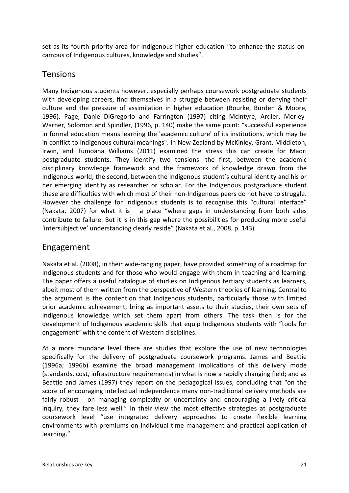set as its fourth priority area for Indigenous higher education "to enhance the status oncampus of Indigenous cultures, knowledge and studies".

#### Tensions

Many Indigenous students however, especially perhaps coursework postgraduate students with developing careers, find themselves in a struggle between resisting or denying their culture and the pressure of assimilation in higher education (Bourke, Burden & Moore, 1996). Page, Daniel-DiGregorio and Farrington (1997) citing McIntyre, Ardler, Morley-Warner, Solomon and Spindler, (1996, p. 140) make the same point: "successful experience in formal education means learning the 'academic culture' of its institutions, which may be in conflict to Indigenous cultural meanings". In New Zealand by McKinley, Grant, Middleton, Irwin, and Tumoana Williams (2011) examined the stress this can create for Maori postgraduate students. They identify two tensions: the first, between the academic disciplinary knowledge framework and the framework of knowledge drawn from the Indigenous world; the second, between the Indigenous student's cultural identity and his or her emerging identity as researcher or scholar. For the Indigenous postgraduate student these are difficulties with which most of their non-Indigenous peers do not have to struggle. However the challenge for Indigenous students is to recognise this "cultural interface" (Nakata, 2007) for what it is  $-$  a place "where gaps in understanding from both sides contribute to failure. But it is in this gap where the possibilities for producing more useful 'intersubjective' understanding clearly reside" (Nakata et al., 2008, p. 143).

#### Engagement

Nakata et al. (2008), in their wide-ranging paper, have provided something of a roadmap for Indigenous students and for those who would engage with them in teaching and learning. The paper offers a useful catalogue of studies on Indigenous tertiary students as learners, albeit most of them written from the perspective of Western theories of learning. Central to the argument is the contention that Indigenous students, particularly those with limited prior academic achievement, bring as important assets to their studies, their own sets of Indigenous knowledge which set them apart from others. The task then is for the development of Indigenous academic skills that equip Indigenous students with "tools for engagement" with the content of Western disciplines.

At a more mundane level there are studies that explore the use of new technologies specifically for the delivery of postgraduate coursework programs. James and Beattie (1996a; 1996b) examine the broad management implications of this delivery mode (standards, cost, infrastructure requirements) in what is now a rapidly changing field; and as Beattie and James (1997) they report on the pedagogical issues, concluding that "on the score of encouraging intellectual independence many non-traditional delivery methods are fairly robust - on managing complexity or uncertainty and encouraging a lively critical inquiry, they fare less well." In their view the most effective strategies at postgraduate coursework level "use integrated delivery approaches to create flexible learning environments with premiums on individual time management and practical application of learning."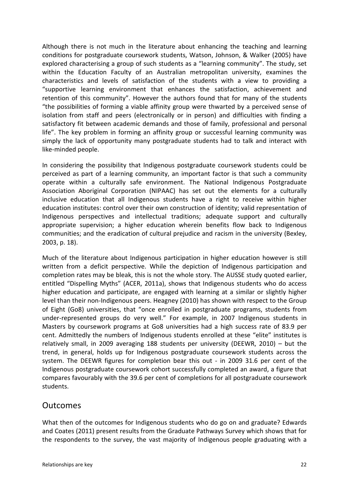Although there is not much in the literature about enhancing the teaching and learning conditions for postgraduate coursework students, Watson, Johnson, & Walker (2005) have explored characterising a group of such students as a "learning community". The study, set within the Education Faculty of an Australian metropolitan university, examines the characteristics and levels of satisfaction of the students with a view to providing a "supportive learning environment that enhances the satisfaction, achievement and retention of this community". However the authors found that for many of the students "the possibilities of forming a viable affinity group were thwarted by a perceived sense of isolation from staff and peers (electronically or in person) and difficulties with finding a satisfactory fit between academic demands and those of family, professional and personal life". The key problem in forming an affinity group or successful learning community was simply the lack of opportunity many postgraduate students had to talk and interact with like-minded people.

In considering the possibility that Indigenous postgraduate coursework students could be perceived as part of a learning community, an important factor is that such a community operate within a culturally safe environment. The National Indigenous Postgraduate Association Aboriginal Corporation (NIPAAC) has set out the elements for a culturally inclusive education that all Indigenous students have a right to receive within higher education institutes: control over their own construction of identity; valid representation of Indigenous perspectives and intellectual traditions; adequate support and culturally appropriate supervision; a higher education wherein benefits flow back to Indigenous communities; and the eradication of cultural prejudice and racism in the university (Bexley, 2003, p. 18).

Much of the literature about Indigenous participation in higher education however is still written from a deficit perspective. While the depiction of Indigenous participation and completion rates may be bleak, this is not the whole story. The AUSSE study quoted earlier, entitled "Dispelling Myths" (ACER, 2011a), shows that Indigenous students who do access higher education and participate, are engaged with learning at a similar or slightly higher level than their non-Indigenous peers. Heagney (2010) has shown with respect to the Group of Eight (Go8) universities, that "once enrolled in postgraduate programs, students from under-represented groups do very well." For example, in 2007 Indigenous students in Masters by coursework programs at Go8 universities had a high success rate of 83.9 per cent. Admittedly the numbers of Indigenous students enrolled at these "elite" institutes is relatively small, in 2009 averaging 188 students per university (DEEWR, 2010) – but the trend, in general, holds up for Indigenous postgraduate coursework students across the system. The DEEWR figures for completion bear this out - in 2009 31.6 per cent of the Indigenous postgraduate coursework cohort successfully completed an award, a figure that compares favourably with the 39.6 per cent of completions for all postgraduate coursework students.

#### **Outcomes**

What then of the outcomes for Indigenous students who do go on and graduate? Edwards and Coates (2011) present results from the Graduate Pathways Survey which shows that for the respondents to the survey, the vast majority of Indigenous people graduating with a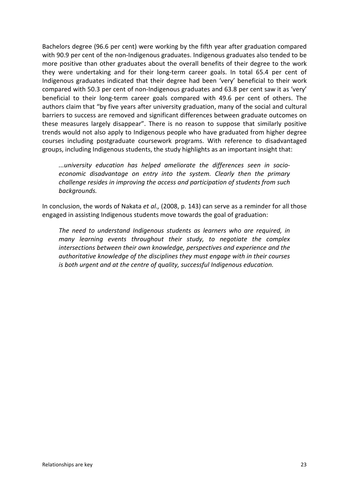Bachelors degree (96.6 per cent) were working by the fifth year after graduation compared with 90.9 per cent of the non-Indigenous graduates. Indigenous graduates also tended to be more positive than other graduates about the overall benefits of their degree to the work they were undertaking and for their long-term career goals. In total 65.4 per cent of Indigenous graduates indicated that their degree had been 'very' beneficial to their work compared with 50.3 per cent of non-Indigenous graduates and 63.8 per cent saw it as 'very' beneficial to their long-term career goals compared with 49.6 per cent of others. The authors claim that "by five years after university graduation, many of the social and cultural barriers to success are removed and significant differences between graduate outcomes on these measures largely disappear". There is no reason to suppose that similarly positive trends would not also apply to Indigenous people who have graduated from higher degree courses including postgraduate coursework programs. With reference to disadvantaged groups, including Indigenous students, the study highlights as an important insight that:

*...university education has helped ameliorate the differences seen in socioeconomic disadvantage on entry into the system. Clearly then the primary challenge resides in improving the access and participation of students from such backgrounds.*

In conclusion, the words of Nakata *et al.,* (2008, p. 143) can serve as a reminder for all those engaged in assisting Indigenous students move towards the goal of graduation:

*The need to understand Indigenous students as learners who are required, in many learning events throughout their study, to negotiate the complex intersections between their own knowledge, perspectives and experience and the authoritative knowledge of the disciplines they must engage with in their courses is both urgent and at the centre of quality, successful Indigenous education.*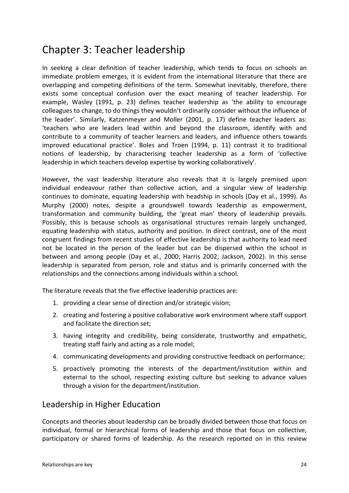### Chapter 3: Teacher leadership

In seeking a clear definition of teacher leadership, which tends to focus on schools an immediate problem emerges, it is evident from the international literature that there are overlapping and competing definitions of the term. Somewhat inevitably, therefore, there exists some conceptual confusion over the exact meaning of teacher leadership. For example, Wasley (1991, p. 23) defines teacher leadership as 'the ability to encourage colleagues to change, to do things they wouldn't ordinarily consider without the influence of the leader'. Similarly, Katzenmeyer and Moller (2001, p. 17) define teacher leaders as: 'teachers who are leaders lead within and beyond the classroom, identify with and contribute to a community of teacher learners and leaders, and influence others towards improved educational practice'. Boles and Troen (1994, p. 11) contrast it to traditional notions of leadership, by characterising teacher leadership as a form of 'collective leadership in which teachers develop expertise by working collaboratively'.

However, the vast leadership literature also reveals that it is largely premised upon individual endeavour rather than collective action, and a singular view of leadership continues to dominate, equating leadership with headship in schools (Day et al., 1999). As Murphy (2000) notes, despite a groundswell towards leadership as empowerment, transformation and community building, the 'great man' theory of leadership prevails. Possibly, this is because schools as organisational structures remain largely unchanged, equating leadership with status, authority and position. In direct contrast, one of the most congruent findings from recent studies of effective leadership is that authority to lead need not be located in the person of the leader but can be dispersed within the school in between and among people (Day et al., 2000; Harris 2002; Jackson, 2002). In this sense leadership is separated from person, role and status and is primarily concerned with the relationships and the connections among individuals within a school.

The literature reveals that the five effective leadership practices are:

- 1. providing a clear sense of direction and/or strategic vision;
- 2. creating and fostering a positive collaborative work environment where staff support and facilitate the direction set;
- 3. having integrity and credibility, being considerate, trustworthy and empathetic, treating staff fairly and acting as a role model;
- 4. communicating developments and providing constructive feedback on performance;
- 5. proactively promoting the interests of the department/institution within and external to the school, respecting existing culture but seeking to advance values through a vision for the department/institution.

#### Leadership in Higher Education

Concepts and theories about leadership can be broadly divided between those that focus on individual, formal or hierarchical forms of leadership and those that focus on collective, participatory or shared forms of leadership. As the research reported on in this review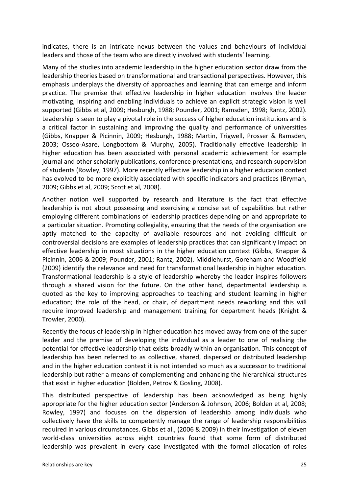indicates, there is an intricate nexus between the values and behaviours of individual leaders and those of the team who are directly involved with students' learning.

Many of the studies into academic leadership in the higher education sector draw from the leadership theories based on transformational and transactional perspectives. However, this emphasis underplays the diversity of approaches and learning that can emerge and inform practice. The premise that effective leadership in higher education involves the leader motivating, inspiring and enabling individuals to achieve an explicit strategic vision is well supported (Gibbs et al, 2009; Hesburgh, 1988; Pounder, 2001; Ramsden, 1998; Rantz, 2002). Leadership is seen to play a pivotal role in the success of higher education institutions and is a critical factor in sustaining and improving the quality and performance of universities (Gibbs, Knapper & Picinnin, 2009; Hesburgh, 1988; Martin, Trigwell, Prosser & Ramsden, 2003; Osseo-Asare, Longbottom & Murphy, 2005). Traditionally effective leadership in higher education has been associated with personal academic achievement for example journal and other scholarly publications, conference presentations, and research supervision of students (Rowley, 1997). More recently effective leadership in a higher education context has evolved to be more explicitly associated with specific indicators and practices (Bryman, 2009; Gibbs et al, 2009; Scott et al, 2008).

Another notion well supported by research and literature is the fact that effective leadership is not about possessing and exercising a concise set of capabilities but rather employing different combinations of leadership practices depending on and appropriate to a particular situation. Promoting collegiality, ensuring that the needs of the organisation are aptly matched to the capacity of available resources and not avoiding difficult or controversial decisions are examples of leadership practices that can significantly impact on effective leadership in most situations in the higher education context (Gibbs, Knapper & Picinnin, 2006 & 2009; Pounder, 2001; Rantz, 2002). Middlehurst, Goreham and Woodfield (2009) identify the relevance and need for transformational leadership in higher education. Transformational leadership is a style of leadership whereby the leader inspires followers through a shared vision for the future. On the other hand, departmental leadership is quoted as the key to improving approaches to teaching and student learning in higher education; the role of the head, or chair, of department needs reworking and this will require improved leadership and management training for department heads (Knight & Trowler, 2000).

Recently the focus of leadership in higher education has moved away from one of the super leader and the premise of developing the individual as a leader to one of realising the potential for effective leadership that exists broadly within an organisation. This concept of leadership has been referred to as collective, shared, dispersed or distributed leadership and in the higher education context it is not intended so much as a successor to traditional leadership but rather a means of complementing and enhancing the hierarchical structures that exist in higher education (Bolden, Petrov & Gosling, 2008).

This distributed perspective of leadership has been acknowledged as being highly appropriate for the higher education sector (Anderson & Johnson, 2006; Bolden et al, 2008; Rowley, 1997) and focuses on the dispersion of leadership among individuals who collectively have the skills to competently manage the range of leadership responsibilities required in various circumstances. Gibbs et al., (2006 & 2009) in their investigation of eleven world-class universities across eight countries found that some form of distributed leadership was prevalent in every case investigated with the formal allocation of roles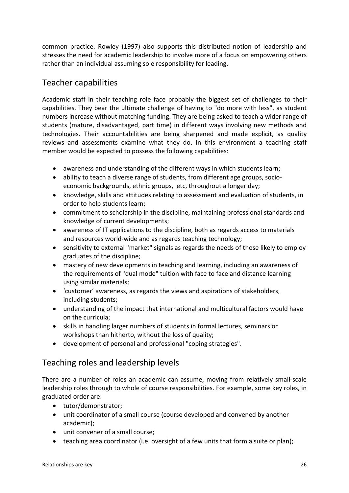common practice. Rowley (1997) also supports this distributed notion of leadership and stresses the need for academic leadership to involve more of a focus on empowering others rather than an individual assuming sole responsibility for leading.

#### Teacher capabilities

Academic staff in their teaching role face probably the biggest set of challenges to their capabilities. They bear the ultimate challenge of having to "do more with less", as student numbers increase without matching funding. They are being asked to teach a wider range of students (mature, disadvantaged, part time) in different ways involving new methods and technologies. Their accountabilities are being sharpened and made explicit, as quality reviews and assessments examine what they do. In this environment a teaching staff member would be expected to possess the following capabilities:

- awareness and understanding of the different ways in which students learn;
- ability to teach a diverse range of students, from different age groups, socioeconomic backgrounds, ethnic groups, etc, throughout a longer day;
- knowledge, skills and attitudes relating to assessment and evaluation of students, in order to help students learn;
- commitment to scholarship in the discipline, maintaining professional standards and knowledge of current developments;
- awareness of IT applications to the discipline, both as regards access to materials and resources world-wide and as regards teaching technology;
- sensitivity to external "market" signals as regards the needs of those likely to employ graduates of the discipline;
- mastery of new developments in teaching and learning, including an awareness of the requirements of "dual mode" tuition with face to face and distance learning using similar materials;
- 'customer' awareness, as regards the views and aspirations of stakeholders, including students;
- understanding of the impact that international and multicultural factors would have on the curricula;
- skills in handling larger numbers of students in formal lectures, seminars or workshops than hitherto, without the loss of quality;
- development of personal and professional "coping strategies".

#### Teaching roles and leadership levels

There are a number of roles an academic can assume, moving from relatively small-scale leadership roles through to whole of course responsibilities. For example, some key roles, in graduated order are:

- tutor/demonstrator;
- unit coordinator of a small course (course developed and convened by another academic);
- unit convener of a small course;
- teaching area coordinator (i.e. oversight of a few units that form a suite or plan);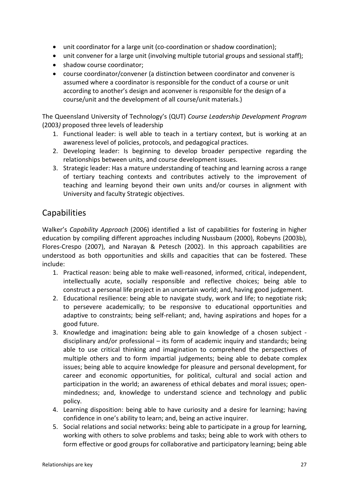- unit coordinator for a large unit (co-coordination or shadow coordination);
- unit convener for a large unit (involving multiple tutorial groups and sessional staff);
- shadow course coordinator;
- course coordinator/convener (a distinction between coordinator and convener is assumed where a coordinator is responsible for the conduct of a course or unit according to another's design and aconvener is responsible for the design of a course/unit and the development of all course/unit materials.)

The Queensland University of Technology's (QUT) *Course Leadership Development Program* (2003*)* proposed three levels of leadership

- 1. Functional leader: is well able to teach in a tertiary context, but is working at an awareness level of policies, protocols, and pedagogical practices.
- 2. Developing leader: Is beginning to develop broader perspective regarding the relationships between units, and course development issues.
- 3. Strategic leader: Has a mature understanding of teaching and learning across a range of tertiary teaching contexts and contributes actively to the improvement of teaching and learning beyond their own units and/or courses in alignment with University and faculty Strategic objectives.

#### **Capabilities**

Walker's *Capability Approach* (2006) identified a list of capabilities for fostering in higher education by compiling different approaches including Nussbaum (2000), Robeyns (2003b), Flores-Crespo (2007), and Narayan & Petesch (2002). In this approach capabilities are understood as both opportunities and skills and capacities that can be fostered. These include:

- 1. Practical reason: being able to make well-reasoned, informed, critical, independent, intellectually acute, socially responsible and reflective choices; being able to construct a personal life project in an uncertain world; and, having good judgement.
- 2. Educational resilience: being able to navigate study, work and life; to negotiate risk; to persevere academically; to be responsive to educational opportunities and adaptive to constraints; being self-reliant; and, having aspirations and hopes for a good future.
- 3. Knowledge and imagination**:** being able to gain knowledge of a chosen subject disciplinary and/or professional – its form of academic inquiry and standards; being able to use critical thinking and imagination to comprehend the perspectives of multiple others and to form impartial judgements; being able to debate complex issues; being able to acquire knowledge for pleasure and personal development, for career and economic opportunities, for political, cultural and social action and participation in the world; an awareness of ethical debates and moral issues; openmindedness; and, knowledge to understand science and technology and public policy.
- 4. Learning disposition: being able to have curiosity and a desire for learning; having confidence in one's ability to learn; and, being an active inquirer.
- 5. Social relations and social networks: being able to participate in a group for learning, working with others to solve problems and tasks; being able to work with others to form effective or good groups for collaborative and participatory learning; being able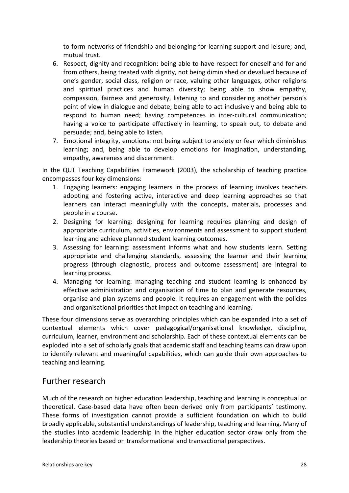to form networks of friendship and belonging for learning support and leisure; and, mutual trust.

- 6. Respect, dignity and recognition: being able to have respect for oneself and for and from others, being treated with dignity, not being diminished or devalued because of one's gender, social class, religion or race, valuing other languages, other religions and spiritual practices and human diversity; being able to show empathy, compassion, fairness and generosity, listening to and considering another person's point of view in dialogue and debate; being able to act inclusively and being able to respond to human need; having competences in inter-cultural communication; having a voice to participate effectively in learning, to speak out, to debate and persuade; and, being able to listen.
- 7. Emotional integrity, emotions: not being subject to anxiety or fear which diminishes learning; and, being able to develop emotions for imagination, understanding, empathy, awareness and discernment.

In the QUT Teaching Capabilities Framework (2003), the scholarship of teaching practice encompasses four key dimensions:

- 1. Engaging learners: engaging learners in the process of learning involves teachers adopting and fostering active, interactive and deep learning approaches so that learners can interact meaningfully with the concepts, materials, processes and people in a course.
- 2. Designing for learning: designing for learning requires planning and design of appropriate curriculum, activities, environments and assessment to support student learning and achieve planned student learning outcomes.
- 3. Assessing for learning: assessment informs what and how students learn. Setting appropriate and challenging standards, assessing the learner and their learning progress (through diagnostic, process and outcome assessment) are integral to learning process.
- 4. Managing for learning: managing teaching and student learning is enhanced by effective administration and organisation of time to plan and generate resources, organise and plan systems and people. It requires an engagement with the policies and organisational priorities that impact on teaching and learning.

These four dimensions serve as overarching principles which can be expanded into a set of contextual elements which cover pedagogical/organisational knowledge, discipline, curriculum, learner, environment and scholarship. Each of these contextual elements can be exploded into a set of scholarly goals that academic staff and teaching teams can draw upon to identify relevant and meaningful capabilities, which can guide their own approaches to teaching and learning.

#### Further research

Much of the research on higher education leadership, teaching and learning is conceptual or theoretical. Case-based data have often been derived only from participants' testimony. These forms of investigation cannot provide a sufficient foundation on which to build broadly applicable, substantial understandings of leadership, teaching and learning. Many of the studies into academic leadership in the higher education sector draw only from the leadership theories based on transformational and transactional perspectives.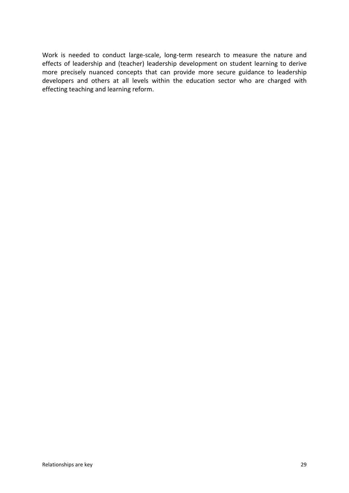Work is needed to conduct large-scale, long-term research to measure the nature and effects of leadership and (teacher) leadership development on student learning to derive more precisely nuanced concepts that can provide more secure guidance to leadership developers and others at all levels within the education sector who are charged with effecting teaching and learning reform.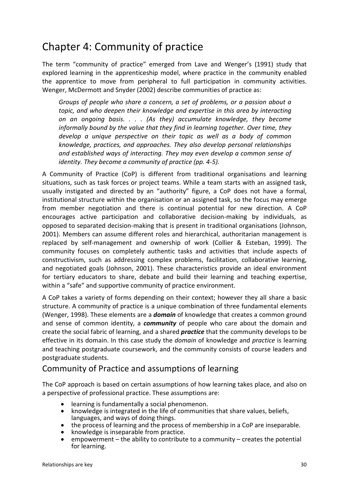### Chapter 4: Community of practice

The term "community of practice" emerged from Lave and Wenger's (1991) study that explored learning in the apprenticeship model, where practice in the community enabled the apprentice to move from peripheral to full participation in community activities. Wenger, McDermott and Snyder (2002) describe communities of practice as:

*Groups of people who share a concern, a set of problems, or a passion about a topic, and who deepen their knowledge and expertise in this area by interacting on an ongoing basis. . . . (As they) accumulate knowledge, they become informally bound by the value that they find in learning together. Over time, they develop a unique perspective on their topic as well as a body of common knowledge, practices, and approaches. They also develop personal relationships and established ways of interacting. They may even develop a common sense of identity. They become a community of practice (pp. 4-5).* 

A Community of Practice (CoP) is different from traditional organisations and learning situations, such as task forces or project teams. While a team starts with an assigned task, usually instigated and directed by an "authority" figure, a CoP does not have a formal, institutional structure within the organisation or an assigned task, so the focus may emerge from member negotiation and there is continual potential for new direction. A CoP encourages active participation and collaborative decision-making by individuals, as opposed to separated decision-making that is present in traditional organisations (Johnson, 2001). Members can assume different roles and hierarchical, authoritarian management is replaced by self-management and ownership of work (Collier & Esteban, 1999). The community focuses on completely authentic tasks and activities that include aspects of constructivism, such as addressing complex problems, facilitation, collaborative learning, and negotiated goals (Johnson, 2001). These characteristics provide an ideal environment for tertiary educators to share, debate and build their learning and teaching expertise, within a "safe" and supportive community of practice environment.

A CoP takes a variety of forms depending on their context; however they all share a basic structure. A community of practice is a unique combination of three fundamental elements (Wenger, 1998). These elements are a *domain* of knowledge that creates a common ground and sense of common identity, a *community* of people who care about the domain and create the social fabric of learning, and a shared *practice* that the community develops to be effective in its domain. In this case study the *domain* of knowledge and *practice* is learning and teaching postgraduate coursework, and the community consists of course leaders and postgraduate students.

#### Community of Practice and assumptions of learning

The CoP approach is based on certain assumptions of how learning takes place, and also on a perspective of professional practice. These assumptions are:

- learning is fundamentally a social phenomenon.
- knowledge is integrated in the life of communities that share values, beliefs, languages, and ways of doing things.
- the process of learning and the process of membership in a CoP are inseparable.
- knowledge is inseparable from practice.
- empowerment the ability to contribute to a community creates the potential for learning.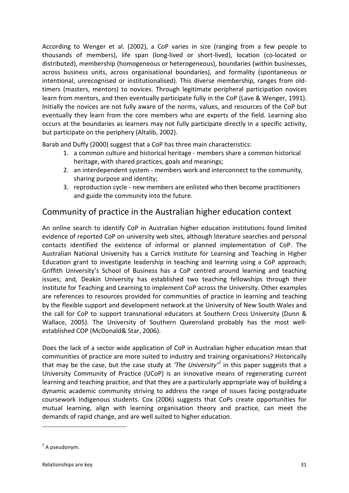According to Wenger et al. (2002), a CoP varies in size (ranging from a few people to thousands of members), life span (long-lived or short-lived), location (co-located or distributed), membership (homogeneous or heterogeneous), boundaries (within businesses, across business units, across organisational boundaries), and formality (spontaneous or intentional, unrecognised or institutionalised). This diverse membership, ranges from oldtimers (masters, mentors) to novices. Through legitimate peripheral participation novices learn from mentors, and then eventually participate fully in the CoP (Lave & Wenger, 1991). Initially the novices are not fully aware of the norms, values, and resources of the CoP but eventually they learn from the core members who are experts of the field. Learning also occurs at the boundaries as learners may not fully participate directly in a specific activity, but participate on the periphery (Altalib, 2002).

Barab and Duffy (2000) suggest that a CoP has three main characteristics:

- 1. a common culture and historical heritage members share a common historical heritage, with shared practices, goals and meanings;
- 2. an interdependent system members work and interconnect to the community, sharing purpose and identity;
- 3. reproduction cycle new members are enlisted who then become practitioners and guide the community into the future.

#### Community of practice in the Australian higher education context

An online search to identify CoP in Australian higher education institutions found limited evidence of reported CoP on university web sites, although literature searches and personal contacts identified the existence of informal or planned implementation of CoP. The Australian National University has a Carrick Institute for Learning and Teaching in Higher Education grant to investigate leadership in teaching and learning using a CoP approach; Griffith University's School of Business has a CoP centred around learning and teaching issues; and, Deakin University has established two teaching fellowships through their Institute for Teaching and Learning to implement CoP across the University. Other examples are references to resources provided for communities of practice in learning and teaching by the flexible support and development network at the University of New South Wales and the call for CoP to support transnational educators at Southern Cross University (Dunn & Wallace, 2005). The University of Southern Queensland probably has the most wellestablished COP (McDonald& Star, 2006).

Does the lack of a sector wide application of CoP in Australian higher education mean that communities of practice are more suited to industry and training organisations? Historically that may be the case, but the case study at *'The University'[2](#page-31-0)* in this paper suggests that a University Community of Practice (UCoP) is an innovative means of regenerating current learning and teaching practice, and that they are a particularly appropriate way of building a dynamic academic community striving to address the range of issues facing postgraduate coursework Indigenous students. Cox (2006) suggests that CoPs create opportunities for mutual learning, align with learning organisation theory and practice, can meet the demands of rapid change, and are well suited to higher education.

1

<span id="page-31-0"></span> $2$  A pseudonym.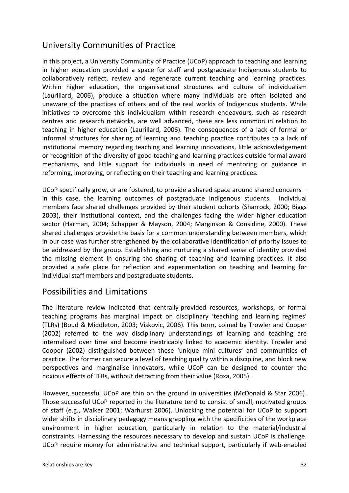#### University Communities of Practice

In this project, a University Community of Practice (UCoP) approach to teaching and learning in higher education provided a space for staff and postgraduate Indigenous students to collaboratively reflect, review and regenerate current teaching and learning practices. Within higher education, the organisational structures and culture of individualism (Laurillard, 2006), produce a situation where many individuals are often isolated and unaware of the practices of others and of the real worlds of Indigenous students. While initiatives to overcome this individualism within research endeavours, such as research centres and research networks, are well advanced, these are less common in relation to teaching in higher education (Laurillard, 2006). The consequences of a lack of formal or informal structures for sharing of learning and teaching practice contributes to a lack of institutional memory regarding teaching and learning innovations, little acknowledgement or recognition of the diversity of good teaching and learning practices outside formal award mechanisms, and little support for individuals in need of mentoring or guidance in reforming, improving, or reflecting on their teaching and learning practices.

UCoP specifically grow, or are fostered, to provide a shared space around shared concerns – in this case, the learning outcomes of postgraduate Indigenous students. Individual members face shared challenges provided by their student cohorts (Sharrock, 2000; Biggs 2003), their institutional context, and the challenges facing the wider higher education sector (Harman, 2004; Schapper & Mayson, 2004; Marginson & Considine, 2000). These shared challenges provide the basis for a common understanding between members, which in our case was further strengthened by the collaborative identification of priority issues to be addressed by the group. Establishing and nurturing a shared sense of identity provided the missing element in ensuring the sharing of teaching and learning practices. It also provided a safe place for reflection and experimentation on teaching and learning for individual staff members and postgraduate students.

#### Possibilities and Limitations

The literature review indicated that centrally-provided resources, workshops, or formal teaching programs has marginal impact on disciplinary 'teaching and learning regimes' (TLRs) (Boud & Middleton, 2003; Viskovic, 2006). This term, coined by Trowler and Cooper (2002) referred to the way disciplinary understandings of learning and teaching are internalised over time and become inextricably linked to academic identity. Trowler and Cooper (2002) distinguished between these 'unique mini cultures' and communities of practice. The former can secure a level of teaching quality within a discipline, and block new perspectives and marginalise innovators, while UCoP can be designed to counter the noxious effects of TLRs, without detracting from their value (Roxa, 2005).

However, successful UCoP are thin on the ground in universities (McDonald & Star 2006). Those successful UCoP reported in the literature tend to consist of small, motivated groups of staff (e.g., Walker 2001; Warhurst 2006). Unlocking the potential for UCoP to support wider shifts in disciplinary pedagogy means grappling with the specificities of the workplace environment in higher education, particularly in relation to the material/industrial constraints. Harnessing the resources necessary to develop and sustain UCoP is challenge. UCoP require money for administrative and technical support, particularly if web-enabled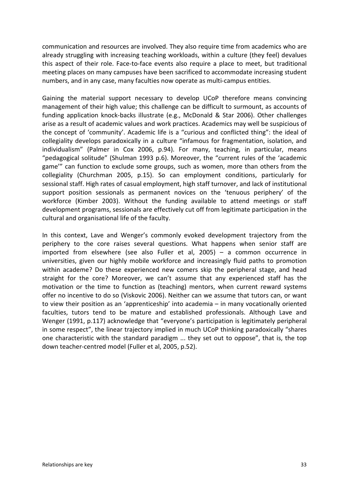communication and resources are involved. They also require time from academics who are already struggling with increasing teaching workloads, within a culture (they feel) devalues this aspect of their role. Face-to-face events also require a place to meet, but traditional meeting places on many campuses have been sacrificed to accommodate increasing student numbers, and in any case, many faculties now operate as multi-campus entities.

Gaining the material support necessary to develop UCoP therefore means convincing management of their high value; this challenge can be difficult to surmount, as accounts of funding application knock-backs illustrate (e.g., McDonald & Star 2006). Other challenges arise as a result of academic values and work practices. Academics may well be suspicious of the concept of 'community'. Academic life is a "curious and conflicted thing": the ideal of collegiality develops paradoxically in a culture "infamous for fragmentation, isolation, and individualism" (Palmer in Cox 2006, p.94). For many, teaching, in particular, means "pedagogical solitude" (Shulman 1993 p.6). Moreover, the "current rules of the 'academic game'" can function to exclude some groups, such as women, more than others from the collegiality (Churchman 2005, p.15). So can employment conditions, particularly for sessional staff. High rates of casual employment, high staff turnover, and lack of institutional support position sessionals as permanent novices on the 'tenuous periphery' of the workforce (Kimber 2003). Without the funding available to attend meetings or staff development programs, sessionals are effectively cut off from legitimate participation in the cultural and organisational life of the faculty.

In this context, Lave and Wenger's commonly evoked development trajectory from the periphery to the core raises several questions. What happens when senior staff are imported from elsewhere (see also Fuller et al, 2005) – a common occurrence in universities, given our highly mobile workforce and increasingly fluid paths to promotion within academe? Do these experienced new comers skip the peripheral stage, and head straight for the core? Moreover, we can't assume that any experienced staff has the motivation or the time to function as (teaching) mentors, when current reward systems offer no incentive to do so (Viskovic 2006). Neither can we assume that tutors can, or want to view their position as an 'apprenticeship' into academia – in many vocationally oriented faculties, tutors tend to be mature and established professionals. Although Lave and Wenger (1991, p.117) acknowledge that "everyone's participation is legitimately peripheral in some respect", the linear trajectory implied in much UCoP thinking paradoxically "shares one characteristic with the standard paradigm ... they set out to oppose", that is, the top down teacher-centred model (Fuller et al, 2005, p.52).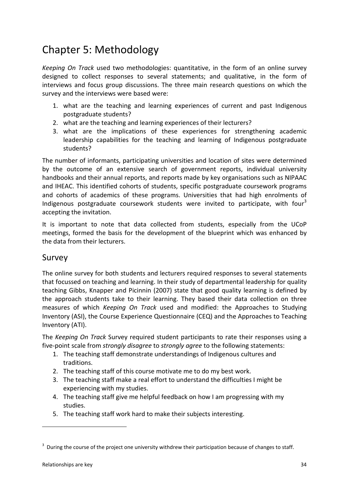### Chapter 5: Methodology

*Keeping On Track* used two methodologies: quantitative, in the form of an online survey designed to collect responses to several statements; and qualitative, in the form of interviews and focus group discussions. The three main research questions on which the survey and the interviews were based were:

- 1. what are the teaching and learning experiences of current and past Indigenous postgraduate students?
- 2. what are the teaching and learning experiences of their lecturers?
- 3. what are the implications of these experiences for strengthening academic leadership capabilities for the teaching and learning of Indigenous postgraduate students?

The number of informants, participating universities and location of sites were determined by the outcome of an extensive search of government reports, individual university handbooks and their annual reports, and reports made by key organisations such as NIPAAC and IHEAC. This identified cohorts of students, specific postgraduate coursework programs and cohorts of academics of these programs. Universities that had high enrolments of Indigenous postgraduate coursework students were invited to participate, with four<sup>[3](#page-34-0)</sup> accepting the invitation.

It is important to note that data collected from students, especially from the UCoP meetings, formed the basis for the development of the blueprint which was enhanced by the data from their lecturers.

#### Survey

The online survey for both students and lecturers required responses to several statements that focussed on teaching and learning. In their study of departmental leadership for quality teaching Gibbs, Knapper and Picinnin (2007) state that good quality learning is defined by the approach students take to their learning. They based their data collection on three measures of which *Keeping On Track* used and modified: the Approaches to Studying Inventory (ASI), the Course Experience Questionnaire (CEQ) and the Approaches to Teaching Inventory (ATI).

The *Keeping On Track* Survey required student participants to rate their responses using a five-point scale from *strongly disagree* to *strongly agree* to the following statements:

- 1. The teaching staff demonstrate understandings of Indigenous cultures and traditions.
- 2. The teaching staff of this course motivate me to do my best work.
- 3. The teaching staff make a real effort to understand the difficulties I might be experiencing with my studies.
- 4. The teaching staff give me helpful feedback on how I am progressing with my studies.
- 5. The teaching staff work hard to make their subjects interesting.

1

<span id="page-34-0"></span> $3$  During the course of the project one university withdrew their participation because of changes to staff.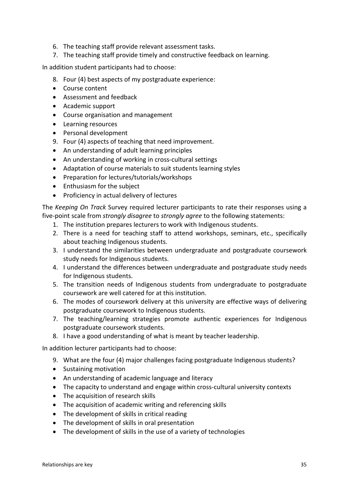- 6. The teaching staff provide relevant assessment tasks.
- 7. The teaching staff provide timely and constructive feedback on learning.

In addition student participants had to choose:

- 8. Four (4) best aspects of my postgraduate experience:
- Course content
- Assessment and feedback
- Academic support
- Course organisation and management
- Learning resources
- Personal development
- 9. Four (4) aspects of teaching that need improvement.
- An understanding of adult learning principles
- An understanding of working in cross-cultural settings
- Adaptation of course materials to suit students learning styles
- Preparation for lectures/tutorials/workshops
- Enthusiasm for the subject
- Proficiency in actual delivery of lectures

The *Keeping On Track* Survey required lecturer participants to rate their responses using a five-point scale from *strongly disagree* to *strongly agree* to the following statements:

- 1. The institution prepares lecturers to work with Indigenous students.
- 2. There is a need for teaching staff to attend workshops, seminars, etc., specifically about teaching Indigenous students.
- 3. I understand the similarities between undergraduate and postgraduate coursework study needs for Indigenous students.
- 4. I understand the differences between undergraduate and postgraduate study needs for Indigenous students.
- 5. The transition needs of Indigenous students from undergraduate to postgraduate coursework are well catered for at this institution.
- 6. The modes of coursework delivery at this university are effective ways of delivering postgraduate coursework to Indigenous students.
- 7. The teaching/learning strategies promote authentic experiences for Indigenous postgraduate coursework students.
- 8. I have a good understanding of what is meant by teacher leadership.

In addition lecturer participants had to choose:

- 9. What are the four (4) major challenges facing postgraduate Indigenous students?
- Sustaining motivation
- An understanding of academic language and literacy
- The capacity to understand and engage within cross-cultural university contexts
- The acquisition of research skills
- The acquisition of academic writing and referencing skills
- The development of skills in critical reading
- The development of skills in oral presentation
- The development of skills in the use of a variety of technologies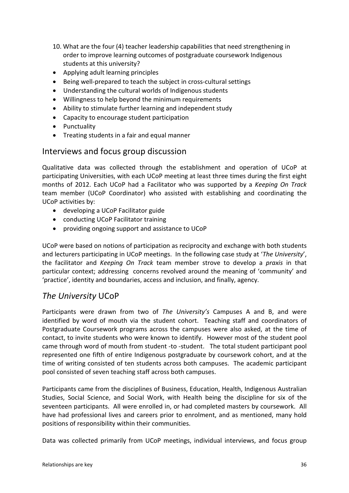- 10. What are the four (4) teacher leadership capabilities that need strengthening in order to improve learning outcomes of postgraduate coursework Indigenous students at this university?
- Applying adult learning principles
- Being well-prepared to teach the subject in cross-cultural settings
- Understanding the cultural worlds of Indigenous students
- Willingness to help beyond the minimum requirements
- Ability to stimulate further learning and independent study
- Capacity to encourage student participation
- Punctuality
- Treating students in a fair and equal manner

### Interviews and focus group discussion

Qualitative data was collected through the establishment and operation of UCoP at participating Universities, with each UCoP meeting at least three times during the first eight months of 2012. Each UCoP had a Facilitator who was supported by a *Keeping On Track* team member (UCoP Coordinator) who assisted with establishing and coordinating the UCoP activities by:

- developing a UCoP Facilitator guide
- conducting UCoP Facilitator training
- providing ongoing support and assistance to UCoP

UCoP were based on notions of participation as reciprocity and exchange with both students and lecturers participating in UCoP meetings. In the following case study at '*The University*', the facilitator and *Keeping On Track* team member strove to develop a *praxis* in that particular context; addressing concerns revolved around the meaning of 'community' and 'practice', identity and boundaries, access and inclusion, and finally, agency.

### *The University* UCoP

Participants were drawn from two of *The University's* Campuses A and B, and were identified by word of mouth via the student cohort. Teaching staff and coordinators of Postgraduate Coursework programs across the campuses were also asked, at the time of contact, to invite students who were known to identify. However most of the student pool came through word of mouth from student -to -student. The total student participant pool represented one fifth of entire Indigenous postgraduate by coursework cohort, and at the time of writing consisted of ten students across both campuses. The academic participant pool consisted of seven teaching staff across both campuses.

Participants came from the disciplines of Business, Education, Health, Indigenous Australian Studies, Social Science, and Social Work, with Health being the discipline for six of the seventeen participants. All were enrolled in, or had completed masters by coursework. All have had professional lives and careers prior to enrolment, and as mentioned, many hold positions of responsibility within their communities.

Data was collected primarily from UCoP meetings, individual interviews, and focus group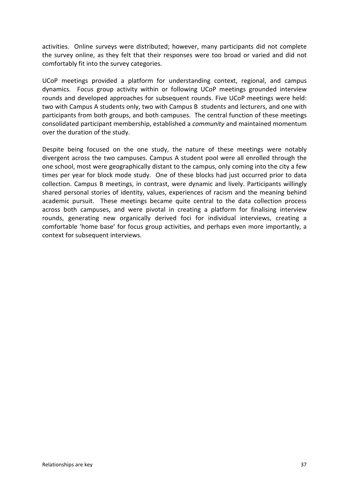activities. Online surveys were distributed; however, many participants did not complete the survey online, as they felt that their responses were too broad or varied and did not comfortably fit into the survey categories.

UCoP meetings provided a platform for understanding context, regional, and campus dynamics. Focus group activity within or following UCoP meetings grounded interview rounds and developed approaches for subsequent rounds. Five UCoP meetings were held: two with Campus A students only, two with Campus B students and lecturers, and one with participants from both groups, and both campuses. The central function of these meetings consolidated participant membership, established a *community* and maintained momentum over the duration of the study.

Despite being focused on the one study, the nature of these meetings were notably divergent across the two campuses. Campus A student pool were all enrolled through the one school, most were geographically distant to the campus, only coming into the city a few times per year for block mode study. One of these blocks had just occurred prior to data collection. Campus B meetings, in contrast, were dynamic and lively. Participants willingly shared personal stories of identity, values, experiences of racism and the meaning behind academic pursuit. These meetings became quite central to the data collection process across both campuses, and were pivotal in creating a platform for finalising interview rounds, generating new organically derived foci for individual interviews, creating a comfortable 'home base' for focus group activities, and perhaps even more importantly, a context for subsequent interviews.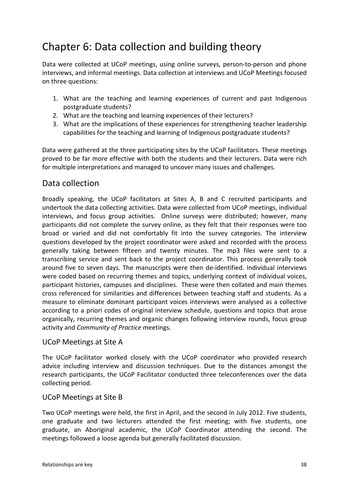# Chapter 6: Data collection and building theory

Data were collected at UCoP meetings, using online surveys, person-to-person and phone interviews, and informal meetings. Data collection at interviews and UCoP Meetings focused on three questions:

- 1. What are the teaching and learning experiences of current and past Indigenous postgraduate students?
- 2. What are the teaching and learning experiences of their lecturers?
- 3. What are the implications of these experiences for strengthening teacher leadership capabilities for the teaching and learning of Indigenous postgraduate students?

Data were gathered at the three participating sites by the UCoP facilitators. These meetings proved to be far more effective with both the students and their lecturers. Data were rich for multiple interpretations and managed to uncover many issues and challenges.

### Data collection

Broadly speaking, the UCoP facilitators at Sites A, B and C recruited participants and undertook the data collecting activities. Data were collected from UCoP meetings, individual interviews, and focus group activities. Online surveys were distributed; however, many participants did not complete the survey online, as they felt that their responses were too broad or varied and did not comfortably fit into the survey categories. The interview questions developed by the project coordinator were asked and recorded with the process generally taking between fifteen and twenty minutes. The mp3 files were sent to a transcribing service and sent back to the project coordinator. This process generally took around five to seven days. The manuscripts were then de-identified. Individual interviews were coded based on recurring themes and topics, underlying context of individual voices, participant histories, campuses and disciplines. These were then collated and main themes cross referenced for similarities and differences between teaching staff and students. As a measure to eliminate dominant participant voices interviews were analysed as a collective according to a priori codes of original interview schedule, questions and topics that arose organically, recurring themes and organic changes following interview rounds, focus group activity and *Community of Practice* meetings.

#### UCoP Meetings at Site A

The UCoP facilitator worked closely with the UCoP coordinator who provided research advice including interview and discussion techniques. Due to the distances amongst the research participants, the UCoP Facilitator conducted three teleconferences over the data collecting period.

#### UCoP Meetings at Site B

Two UCoP meetings were held, the first in April, and the second in July 2012. Five students, one graduate and two lecturers attended the first meeting; with five students, one graduate, an Aboriginal academic, the UCoP Coordinator attending the second. The meetings followed a loose agenda but generally facilitated discussion.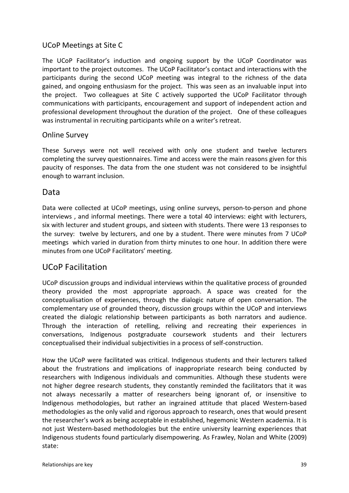#### UCoP Meetings at Site C

The UCoP Facilitator's induction and ongoing support by the UCoP Coordinator was important to the project outcomes. The UCoP Facilitator's contact and interactions with the participants during the second UCoP meeting was integral to the richness of the data gained, and ongoing enthusiasm for the project. This was seen as an invaluable input into the project. Two colleagues at Site C actively supported the UCoP Facilitator through communications with participants, encouragement and support of independent action and professional development throughout the duration of the project. One of these colleagues was instrumental in recruiting participants while on a writer's retreat.

#### Online Survey

These Surveys were not well received with only one student and twelve lecturers completing the survey questionnaires. Time and access were the main reasons given for this paucity of responses. The data from the one student was not considered to be insightful enough to warrant inclusion.

### Data

Data were collected at UCoP meetings, using online surveys, person-to-person and phone interviews , and informal meetings. There were a total 40 interviews: eight with lecturers, six with lecturer and student groups, and sixteen with students. There were 13 responses to the survey: twelve by lecturers, and one by a student. There were minutes from 7 UCoP meetings which varied in duration from thirty minutes to one hour. In addition there were minutes from one UCoP Facilitators' meeting.

## UCoP Facilitation

UCoP discussion groups and individual interviews within the qualitative process of grounded theory provided the most appropriate approach. A space was created for the conceptualisation of experiences, through the dialogic nature of open conversation. The complementary use of grounded theory, discussion groups within the UCoP and interviews created the dialogic relationship between participants as both narrators and audience. Through the interaction of retelling, reliving and recreating their experiences in conversations, Indigenous postgraduate coursework students and their lecturers conceptualised their individual subjectivities in a process of self-construction.

How the UCoP were facilitated was critical. Indigenous students and their lecturers talked about the frustrations and implications of inappropriate research being conducted by researchers with Indigenous individuals and communities. Although these students were not higher degree research students, they constantly reminded the facilitators that it was not always necessarily a matter of researchers being ignorant of, or insensitive to Indigenous methodologies, but rather an ingrained attitude that placed Western-based methodologies as the only valid and rigorous approach to research, ones that would present the researcher's work as being acceptable in established, hegemonic Western academia. It is not just Western-based methodologies but the entire university learning experiences that Indigenous students found particularly disempowering. As Frawley, Nolan and White (2009) state: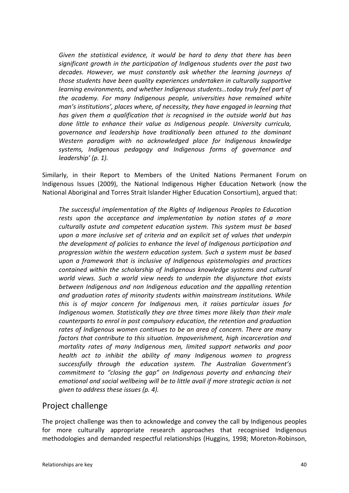*Given the statistical evidence, it would be hard to deny that there has been significant growth in the participation of Indigenous students over the past two decades. However, we must constantly ask whether the learning journeys of those students have been quality experiences undertaken in culturally supportive learning environments, and whether Indigenous students…today truly feel part of the academy. For many Indigenous people, universities have remained white man's institutions', places where, of necessity, they have engaged in learning that has given them a qualification that is recognised in the outside world but has done little to enhance their value as Indigenous people. University curricula, governance and leadership have traditionally been attuned to the dominant Western paradigm with no acknowledged place for Indigenous knowledge systems, Indigenous pedagogy and Indigenous forms of governance and leadership' (p. 1).* 

Similarly, in their Report to Members of the United Nations Permanent Forum on Indigenous Issues (2009), the National Indigenous Higher Education Network (now the National Aboriginal and Torres Strait Islander Higher Education Consortium), argued that:

*The successful implementation of the Rights of Indigenous Peoples to Education rests upon the acceptance and implementation by nation states of a more culturally astute and competent education system. This system must be based upon a more inclusive set of criteria and an explicit set of values that underpin the development of policies to enhance the level of Indigenous participation and progression within the western education system. Such a system must be based upon a framework that is inclusive of Indigenous epistemologies and practices contained within the scholarship of Indigenous knowledge systems and cultural world views. Such a world view needs to underpin the disjuncture that exists between Indigenous and non Indigenous education and the appalling retention and graduation rates of minority students within mainstream institutions. While this is of major concern for Indigenous men, it raises particular issues for Indigenous women. Statistically they are three times more likely than their male counterparts to enrol in post compulsory education, the retention and graduation rates of Indigenous women continues to be an area of concern. There are many factors that contribute to this situation. Impoverishment, high incarceration and mortality rates of many Indigenous men, limited support networks and poor health act to inhibit the ability of many Indigenous women to progress successfully through the education system. The Australian Government's commitment to "closing the gap" on Indigenous poverty and enhancing their emotional and social wellbeing will be to little avail if more strategic action is not given to address these issues (p. 4).* 

## Project challenge

The project challenge was then to acknowledge and convey the call by Indigenous peoples for more culturally appropriate research approaches that recognised Indigenous methodologies and demanded respectful relationships (Huggins, 1998; Moreton-Robinson,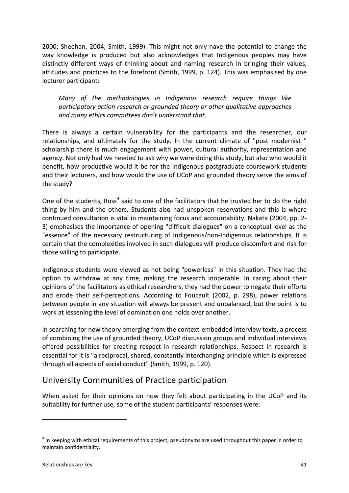2000; Sheehan, 2004; Smith, 1999). This might not only have the potential to change the way knowledge is produced but also acknowledges that Indigenous peoples may have distinctly different ways of thinking about and naming research in bringing their values, attitudes and practices to the forefront (Smith, 1999, p. 124). This was emphasised by one lecturer participant:

*Many of the methodologies in Indigenous research require things like participatory action research or grounded theory or other qualitative approaches and many ethics committees don't understand that.* 

There is always a certain vulnerability for the participants and the researcher, our relationships, and ultimately for the study. In the current climate of "post modernist " scholarship there is much engagement with power, cultural authority, representation and agency. Not only had we needed to ask why we were doing this study, but also who would it benefit, how productive would it be for the Indigenous postgraduate coursework students and their lecturers, and how would the use of UCoP and grounded theory serve the aims of the study?

One of the students, Ross<sup>[4](#page-41-0)</sup> said to one of the facilitators that he trusted her to do the right thing by him and the others. Students also had unspoken reservations and this is where continued consultation is vital in maintaining focus and accountability. Nakata (2004, pp. 2- 3) emphasises the importance of opening "difficult dialogues" on a conceptual level as the "essence" of the necessary restructuring of Indigenous/non-Indigenous relationships. It is certain that the complexities involved in such dialogues will produce discomfort and risk for those willing to participate.

Indigenous students were viewed as not being "powerless" in this situation. They had the option to withdraw at any time, making the research inoperable. In caring about their opinions of the facilitators as ethical researchers, they had the power to negate their efforts and erode their self-perceptions. According to Foucault (2002, p. 298), power relations between people in any situation will always be present and unbalanced, but the point is to work at lessening the level of domination one holds over another.

In searching for new theory emerging from the context-embedded interview texts, a process of combining the use of grounded theory, UCoP discussion groups and individual interviews offered possibilities for creating respect in research relationships. Respect in research is essential for it is "a reciprocal, shared, constantly interchanging principle which is expressed through all aspects of social conduct" (Smith, 1999, p. 120).

## University Communities of Practice participation

When asked for their opinions on how they felt about participating in the UCoP and its suitability for further use, some of the student participants' responses were:

-

<span id="page-41-0"></span> $4$  In keeping with ethical requirements of this project, pseudonyms are used throughout this paper in order to maintain confidentiality.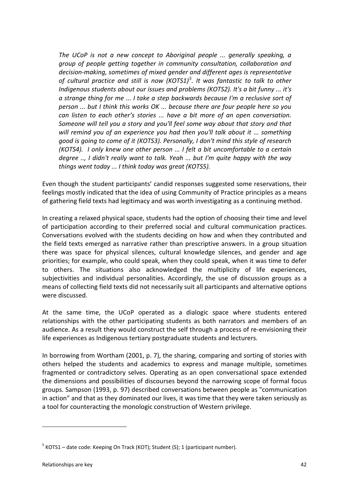*The UCoP is not a new concept to Aboriginal people ... generally speaking, a group of people getting together in community consultation, collaboration and decision-making, sometimes of mixed gender and different ages is representative of cultural practice and still is now (KOTS1)[5](#page-42-0) . It was fantastic to talk to other Indigenous students about our issues and problems (KOTS2). It's a bit funny ... it's a strange thing for me ... I take a step backwards because I'm a reclusive sort of person ... but I think this works OK ... because there are four people here so you can listen to each other's stories ... have a bit more of an open conversation. Someone will tell you a story and you'll feel some way about that story and that will remind you of an experience you had then you'll talk about it ... something good is going to come of it (KOTS3). Personally, I don't mind this style of research (KOTS4). I only knew one other person ... I felt a bit uncomfortable to a certain degree .., I didn't really want to talk. Yeah ... but I'm quite happy with the way things went today ... I think today was great (KOTS5).*

Even though the student participants' candid responses suggested some reservations, their feelings mostly indicated that the idea of using Community of Practice principles as a means of gathering field texts had legitimacy and was worth investigating as a continuing method.

In creating a relaxed physical space, students had the option of choosing their time and level of participation according to their preferred social and cultural communication practices. Conversations evolved with the students deciding on how and when they contributed and the field texts emerged as narrative rather than prescriptive answers. In a group situation there was space for physical silences, cultural knowledge silences, and gender and age priorities; for example, who could speak, when they could speak, when it was time to defer to others. The situations also acknowledged the multiplicity of life experiences, subjectivities and individual personalities. Accordingly, the use of discussion groups as a means of collecting field texts did not necessarily suit all participants and alternative options were discussed.

At the same time, the UCoP operated as a dialogic space where students entered relationships with the other participating students as both narrators and members of an audience. As a result they would construct the self through a process of re-envisioning their life experiences as Indigenous tertiary postgraduate students and lecturers.

In borrowing from Wortham (2001, p. 7), the sharing, comparing and sorting of stories with others helped the students and academics to express and manage multiple, sometimes fragmented or contradictory selves. Operating as an open conversational space extended the dimensions and possibilities of discourses beyond the narrowing scope of formal focus groups. Sampson (1993, p. 97) described conversations between people as "communication in action" and that as they dominated our lives, it was time that they were taken seriously as a tool for counteracting the monologic construction of Western privilege.

1

<span id="page-42-0"></span> $5$  KOTS1 – date code: Keeping On Track (KOT); Student (S); 1 (participant number).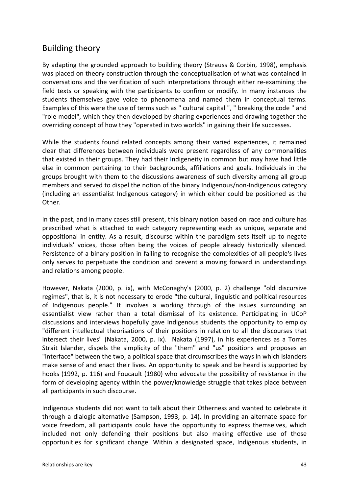## Building theory

By adapting the grounded approach to building theory (Strauss & Corbin, 1998), emphasis was placed on theory construction through the conceptualisation of what was contained in conversations and the verification of such interpretations through either re-examining the field texts or speaking with the participants to confirm or modify. In many instances the students themselves gave voice to phenomena and named them in conceptual terms. Examples of this were the use of terms such as " cultural capital ", " breaking the code " and "role model", which they then developed by sharing experiences and drawing together the overriding concept of how they "operated in two worlds" in gaining their life successes.

While the students found related concepts among their varied experiences, it remained clear that differences between individuals were present regardless of any commonalities that existed in their groups. They had their Indigeneity in common but may have had little else in common pertaining to their backgrounds, affiliations and goals. Individuals in the groups brought with them to the discussions awareness of such diversity among all group members and served to dispel the notion of the binary Indigenous/non-Indigenous category (including an essentialist Indigenous category) in which either could be positioned as the Other.

In the past, and in many cases still present, this binary notion based on race and culture has prescribed what is attached to each category representing each as unique, separate and oppositional in entity. As a result, discourse within the paradigm sets itself up to negate individuals' voices, those often being the voices of people already historically silenced. Persistence of a binary position in failing to recognise the complexities of all people's lives only serves to perpetuate the condition and prevent a moving forward in understandings and relations among people.

However, Nakata (2000, p. ix), with McConaghy's (2000, p. 2) challenge "old discursive regimes", that is, it is not necessary to erode "the cultural, linguistic and political resources of Indigenous people." It involves a working through of the issues surrounding an essentialist view rather than a total dismissal of its existence. Participating in UCoP discussions and interviews hopefully gave Indigenous students the opportunity to employ "different intellectual theorisations of their positions in relation to all the discourses that intersect their lives" (Nakata, 2000, p. ix). Nakata (1997), in his experiences as a Torres Strait Islander, dispels the simplicity of the "them" and "us" positions and proposes an "interface" between the two, a political space that circumscribes the ways in which Islanders make sense of and enact their lives. An opportunity to speak and be heard is supported by hooks (1992, p. 116) and Foucault (1980) who advocate the possibility of resistance in the form of developing agency within the power/knowledge struggle that takes place between all participants in such discourse.

Indigenous students did not want to talk about their Otherness and wanted to celebrate it through a dialogic alternative (Sampson, 1993, p. 14). In providing an alternate space for voice freedom, all participants could have the opportunity to express themselves, which included not only defending their positions but also making effective use of those opportunities for significant change. Within a designated space, Indigenous students, in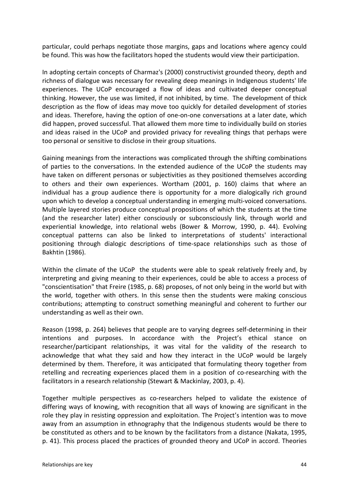particular, could perhaps negotiate those margins, gaps and locations where agency could be found. This was how the facilitators hoped the students would view their participation.

In adopting certain concepts of Charmaz's (2000) constructivist grounded theory, depth and richness of dialogue was necessary for revealing deep meanings in Indigenous students' life experiences. The UCoP encouraged a flow of ideas and cultivated deeper conceptual thinking. However, the use was limited, if not inhibited, by time. The development of thick description as the flow of ideas may move too quickly for detailed development of stories and ideas. Therefore, having the option of one-on-one conversations at a later date, which did happen, proved successful. That allowed them more time to individually build on stories and ideas raised in the UCoP and provided privacy for revealing things that perhaps were too personal or sensitive to disclose in their group situations.

Gaining meanings from the interactions was complicated through the shifting combinations of parties to the conversations. In the extended audience of the UCoP the students may have taken on different personas or subjectivities as they positioned themselves according to others and their own experiences. Wortham (2001, p. 160) claims that where an individual has a group audience there is opportunity for a more dialogically rich ground upon which to develop a conceptual understanding in emerging multi-voiced conversations. Multiple layered stories produce conceptual propositions of which the students at the time (and the researcher later) either consciously or subconsciously link, through world and experiential knowledge, into relational webs (Bower & Morrow, 1990, p. 44). Evolving conceptual patterns can also be linked to interpretations of students' interactional positioning through dialogic descriptions of time-space relationships such as those of Bakhtin (1986).

Within the climate of the UCoP the students were able to speak relatively freely and, by interpreting and giving meaning to their experiences, could be able to access a process of "conscientisation" that Freire (1985, p. 68) proposes, of not only being in the world but with the world, together with others. In this sense then the students were making conscious contributions; attempting to construct something meaningful and coherent to further our understanding as well as their own.

Reason (1998, p. 264) believes that people are to varying degrees self-determining in their intentions and purposes. In accordance with the Project's ethical stance on researcher/participant relationships, it was vital for the validity of the research to acknowledge that what they said and how they interact in the UCoP would be largely determined by them. Therefore, it was anticipated that formulating theory together from retelling and recreating experiences placed them in a position of co-researching with the facilitators in a research relationship (Stewart & Mackinlay, 2003, p. 4).

Together multiple perspectives as co-researchers helped to validate the existence of differing ways of knowing, with recognition that all ways of knowing are significant in the role they play in resisting oppression and exploitation. The Project's intention was to move away from an assumption in ethnography that the Indigenous students would be there to be constituted as others and to be known by the facilitators from a distance (Nakata, 1995, p. 41). This process placed the practices of grounded theory and UCoP in accord. Theories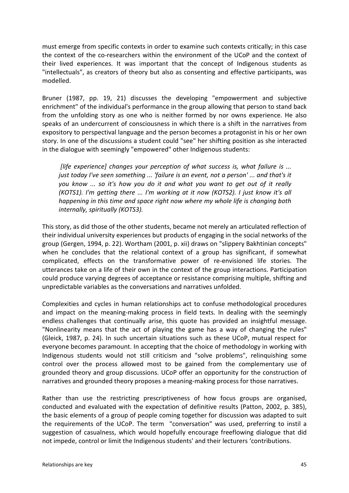must emerge from specific contexts in order to examine such contexts critically; in this case the context of the co-researchers within the environment of the UCoP and the context of their lived experiences. It was important that the concept of Indigenous students as "intellectuals", as creators of theory but also as consenting and effective participants, was modelled.

Bruner (1987, pp. 19, 21) discusses the developing "empowerment and subjective enrichment" of the individual's performance in the group allowing that person to stand back from the unfolding story as one who is neither formed by nor owns experience. He also speaks of an undercurrent of consciousness in which there is a shift in the narratives from expository to perspectival language and the person becomes a protagonist in his or her own story. In one of the discussions a student could "see" her shifting position as she interacted in the dialogue with seemingly "empowered" other Indigenous students:

*[life experience] changes your perception of what success is, what failure is ... just today I've seen something ... 'failure is an event, not a person' ... and that's it you know ... so it's how you do it and what you want to get out of it really (KOTS1). I'm getting there ... I'm working at it now (KOTS2). I just know it's all happening in this time and space right now where my whole life is changing both internally, spiritually (KOTS3).*

This story, as did those of the other students, became not merely an articulated reflection of their individual university experiences but products of engaging in the social networks of the group (Gergen, 1994, p. 22). Wortham (2001, p. xii) draws on "slippery Bakhtinian concepts" when he concludes that the relational context of a group has significant, if somewhat complicated, effects on the transformative power of re-envisioned life stories. The utterances take on a life of their own in the context of the group interactions. Participation could produce varying degrees of acceptance or resistance comprising multiple, shifting and unpredictable variables as the conversations and narratives unfolded.

Complexities and cycles in human relationships act to confuse methodological procedures and impact on the meaning-making process in field texts. In dealing with the seemingly endless challenges that continually arise, this quote has provided an insightful message. "Nonlinearity means that the act of playing the game has a way of changing the rules" (Gleick, 1987, p. 24). In such uncertain situations such as these UCoP, mutual respect for everyone becomes paramount. In accepting that the choice of methodology in working with Indigenous students would not still criticism and "solve problems", relinquishing some control over the process allowed most to be gained from the complementary use of grounded theory and group discussions. UCoP offer an opportunity for the construction of narratives and grounded theory proposes a meaning-making process for those narratives.

Rather than use the restricting prescriptiveness of how focus groups are organised, conducted and evaluated with the expectation of definitive results (Patton, 2002, p. 385), the basic elements of a group of people coming together for discussion was adapted to suit the requirements of the UCoP. The term "conversation" was used, preferring to instil a suggestion of casualness, which would hopefully encourage freeflowing dialogue that did not impede, control or limit the Indigenous students' and their lecturers 'contributions.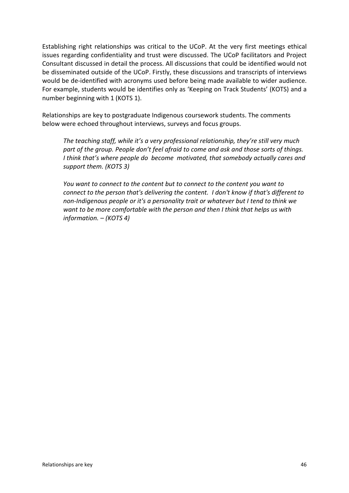Establishing right relationships was critical to the UCoP. At the very first meetings ethical issues regarding confidentiality and trust were discussed. The UCoP facilitators and Project Consultant discussed in detail the process. All discussions that could be identified would not be disseminated outside of the UCoP. Firstly, these discussions and transcripts of interviews would be de-identified with acronyms used before being made available to wider audience. For example, students would be identifies only as 'Keeping on Track Students' (KOTS) and a number beginning with 1 (KOTS 1).

Relationships are key to postgraduate Indigenous coursework students. The comments below were echoed throughout interviews, surveys and focus groups.

*The teaching staff, while it's a very professional relationship, they're still very much part of the group. People don't feel afraid to come and ask and those sorts of things. I think that's where people do become motivated, that somebody actually cares and support them. (KOTS 3)*

*You want to connect to the content but to connect to the content you want to connect to the person that's delivering the content. I don't know if that's different to non-Indigenous people or it's a personality trait or whatever but I tend to think we want to be more comfortable with the person and then I think that helps us with information. – (KOTS 4)*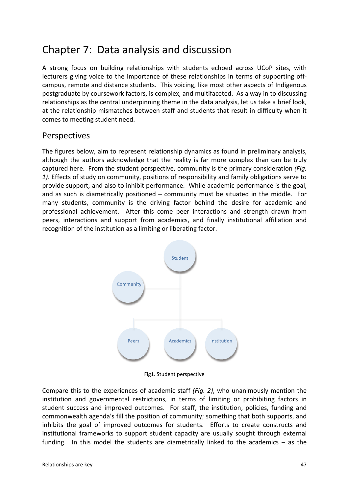# Chapter 7: Data analysis and discussion

A strong focus on building relationships with students echoed across UCoP sites, with lecturers giving voice to the importance of these relationships in terms of supporting offcampus, remote and distance students. This voicing, like most other aspects of Indigenous postgraduate by coursework factors, is complex, and multifaceted. As a way in to discussing relationships as the central underpinning theme in the data analysis, let us take a brief look, at the relationship mismatches between staff and students that result in difficulty when it comes to meeting student need.

### Perspectives

The figures below, aim to represent relationship dynamics as found in preliminary analysis, although the authors acknowledge that the reality is far more complex than can be truly captured here. From the student perspective, community is the primary consideration *(Fig. 1)*. Effects of study on community, positions of responsibility and family obligations serve to provide support, and also to inhibit performance. While academic performance is the goal, and as such is diametrically positioned – community must be situated in the middle. For many students, community is the driving factor behind the desire for academic and professional achievement. After this come peer interactions and strength drawn from peers, interactions and support from academics, and finally institutional affiliation and recognition of the institution as a limiting or liberating factor.



Fig1. Student perspective

Compare this to the experiences of academic staff *(Fig. 2)*, who unanimously mention the institution and governmental restrictions, in terms of limiting or prohibiting factors in student success and improved outcomes. For staff, the institution, policies, funding and commonwealth agenda's fill the position of community; something that both supports, and inhibits the goal of improved outcomes for students. Efforts to create constructs and institutional frameworks to support student capacity are usually sought through external funding. In this model the students are diametrically linked to the academics – as the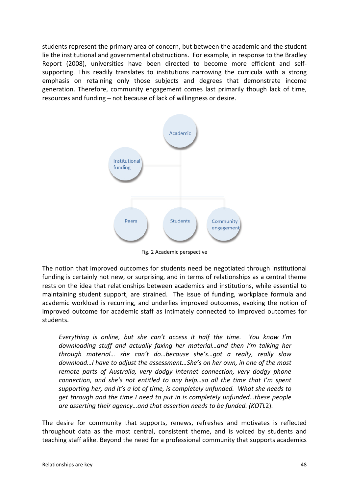students represent the primary area of concern, but between the academic and the student lie the institutional and governmental obstructions. For example, in response to the Bradley Report (2008), universities have been directed to become more efficient and selfsupporting. This readily translates to institutions narrowing the curricula with a strong emphasis on retaining only those subjects and degrees that demonstrate income generation. Therefore, community engagement comes last primarily though lack of time, resources and funding – not because of lack of willingness or desire.



Fig. 2 Academic perspective

The notion that improved outcomes for students need be negotiated through institutional funding is certainly not new, or surprising, and in terms of relationships as a central theme rests on the idea that relationships between academics and institutions, while essential to maintaining student support, are strained. The issue of funding, workplace formula and academic workload is recurring, and underlies improved outcomes, evoking the notion of improved outcome for academic staff as intimately connected to improved outcomes for students.

*Everything is online, but she can't access it half the time. You know I'm downloading stuff and actually faxing her material…and then I'm talking her through material… she can't do…because she's…got a really, really slow download…I have to adjust the assessment…She's on her own, in one of the most remote parts of Australia, very dodgy internet connection, very dodgy phone connection, and she's not entitled to any help…so all the time that I'm spent supporting her, and it's a lot of time, is completely unfunded. What she needs to get through and the time I need to put in is completely unfunded…these people are asserting their agency…and that assertion needs to be funded. (KOTL*2).

The desire for community that supports, renews, refreshes and motivates is reflected throughout data as the most central, consistent theme, and is voiced by students and teaching staff alike. Beyond the need for a professional community that supports academics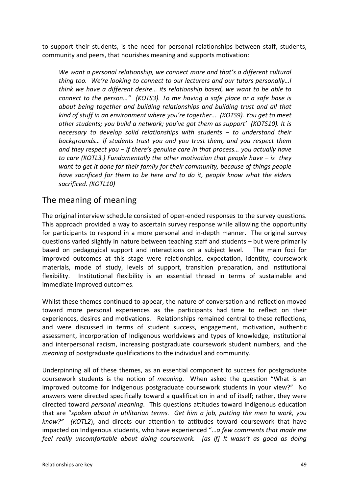to support their students, is the need for personal relationships between staff, students, community and peers, that nourishes meaning and supports motivation:

*We want a personal relationship, we connect more and that's a different cultural thing too. We're looking to connect to our lecturers and our tutors personally…I think we have a different desire… its relationship based, we want to be able to connect to the person…" (KOTS3). To me having a safe place or a safe base is about being together and building relationships and building trust and all that kind of stuff in an environment where you're together... (KOTS9). You get to meet other students; you build a network; you've got them as support' (KOTS10). It is necessary to develop solid relationships with students – to understand their backgrounds… If students trust you and you trust them, and you respect them and they respect you – if there's genuine care in that process… you actually have to care (KOTL3.) Fundamentally the other motivation that people have – is they want to get it done for their family for their community, because of things people have sacrificed for them to be here and to do it, people know what the elders sacrificed. (KOTL10)*

## The meaning of meaning

The original interview schedule consisted of open-ended responses to the survey questions. This approach provided a way to ascertain survey response while allowing the opportunity for participants to respond in a more personal and in-depth manner. The original survey questions varied slightly in nature between teaching staff and students – but were primarily based on pedagogical support and interactions on a subject level. The main foci for improved outcomes at this stage were relationships, expectation, identity, coursework materials, mode of study, levels of support, transition preparation, and institutional flexibility. Institutional flexibility is an essential thread in terms of sustainable and immediate improved outcomes.

Whilst these themes continued to appear, the nature of conversation and reflection moved toward more personal experiences as the participants had time to reflect on their experiences, desires and motivations. Relationships remained central to these reflections, and were discussed in terms of student success, engagement, motivation, authentic assessment, incorporation of Indigenous worldviews and types of knowledge, institutional and interpersonal racism, increasing postgraduate coursework student numbers, and the *meaning* of postgraduate qualifications to the individual and community.

Underpinning all of these themes, as an essential component to success for postgraduate coursework students is the notion of *meaning*. When asked the question "What is an improved outcome for Indigenous postgraduate coursework students in your view?" No answers were directed specifically toward a qualification in and of itself; rather, they were directed toward *personal meaning*. This questions attitudes toward Indigenous education that are "*spoken about in utilitarian terms. Get him a job, putting the men to work, you know?" (KOTL2*), and directs our attention to attitudes toward coursework that have impacted on Indigenous students, who have experienced "…*a few comments that made me feel really uncomfortable about doing coursework. [as if] It wasn't as good as doing*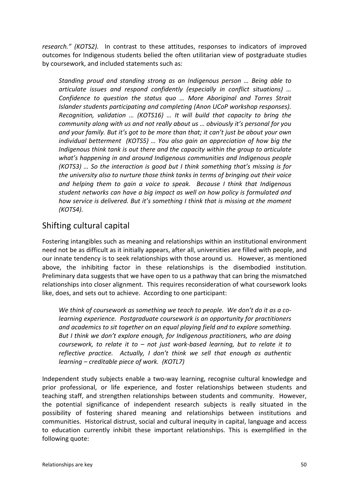*research." (KOTS2).* In contrast to these attitudes, responses to indicators of improved outcomes for Indigenous students belied the often utilitarian view of postgraduate studies by coursework, and included statements such as:

*Standing proud and standing strong as an Indigenous person … Being able to articulate issues and respond confidently (especially in conflict situations) … Confidence to question the status quo … More Aboriginal and Torres Strait Islander students participating and completing (Anon UCoP workshop responses). Recognition, validation … (KOTS16) … It will build that capacity to bring the community along with us and not really about us … obviously it's personal for you and your family. But it's got to be more than that; it can't just be about your own individual betterment (KOTS5) … You also gain an appreciation of how big the Indigenous think tank is out there and the capacity within the group to articulate what's happening in and around Indigenous communities and Indigenous people (KOTS3) … So the interaction is good but I think something that's missing is for the university also to nurture those think tanks in terms of bringing out their voice and helping them to gain a voice to speak. Because I think that Indigenous student networks can have a big impact as well on how policy is formulated and how service is delivered. But it's something I think that is missing at the moment (KOTS4).*

## Shifting cultural capital

Fostering intangibles such as meaning and relationships within an institutional environment need not be as difficult as it initially appears, after all, universities are filled with people, and our innate tendency is to seek relationships with those around us. However, as mentioned above, the inhibiting factor in these relationships is the disembodied institution. Preliminary data suggests that we have open to us a pathway that can bring the mismatched relationships into closer alignment. This requires reconsideration of what coursework looks like, does, and sets out to achieve. According to one participant:

*We think of coursework as something we teach to people. We don't do it as a colearning experience. Postgraduate coursework is an opportunity for practitioners and academics to sit together on an equal playing field and to explore something. But I think we don't explore enough, for Indigenous practitioners, who are doing coursework, to relate it to – not just work-based learning, but to relate it to reflective practice. Actually, I don't think we sell that enough as authentic learning – creditable piece of work. (KOTL7)*

Independent study subjects enable a two-way learning, recognise cultural knowledge and prior professional, or life experience, and foster relationships between students and teaching staff, and strengthen relationships between students and community. However, the potential significance of independent research subjects is really situated in the possibility of fostering shared meaning and relationships between institutions and communities. Historical distrust, social and cultural inequity in capital, language and access to education currently inhibit these important relationships. This is exemplified in the following quote: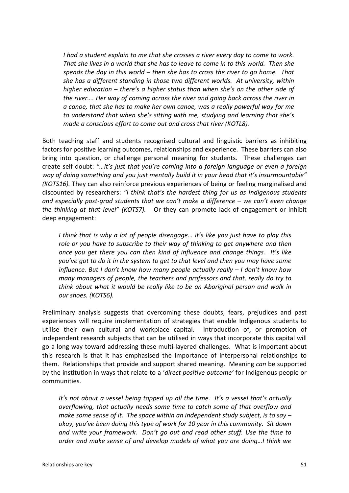*I had a student explain to me that she crosses a river every day to come to work. That she lives in a world that she has to leave to come in to this world. Then she spends the day in this world – then she has to cross the river to go home. That she has a different standing in those two different worlds. At university, within higher education – there's a higher status than when she's on the other side of the river…. Her way of coming across the river and going back across the river in a canoe, that she has to make her own canoe, was a really powerful way for me to understand that when she's sitting with me, studying and learning that she's made a conscious effort to come out and cross that river (KOTL8).*

Both teaching staff and students recognised cultural and linguistic barriers as inhibiting factors for positive learning outcomes, relationships and experience. These barriers can also bring into question, or challenge personal meaning for students. These challenges can create self doubt: *"…it's just that you're coming into a foreign language or even a foreign way of doing something and you just mentally build it in your head that it's insurmountable" (KOTS16).* They can also reinforce previous experiences of being or feeling marginalised and discounted by researchers: *"I think that's the hardest thing for us as Indigenous students and especially post-grad students that we can't make a difference – we can't even change the thinking at that level" (KOTS7).* Or they can promote lack of engagement or inhibit deep engagement:

*I think that is why a lot of people disengage… it's like you just have to play this role or you have to subscribe to their way of thinking to get anywhere and then once you get there you can then kind of influence and change things. It's like you've got to do it in the system to get to that level and then you may have some influence. But I don't know how many people actually really – I don't know how many managers of people, the teachers and professors and that, really do try to think about what it would be really like to be an Aboriginal person and walk in our shoes. (KOTS6).*

Preliminary analysis suggests that overcoming these doubts, fears, prejudices and past experiences will require implementation of strategies that enable Indigenous students to utilise their own cultural and workplace capital. Introduction of, or promotion of independent research subjects that can be utilised in ways that incorporate this capital will go a long way toward addressing these multi-layered challenges. What is important about this research is that it has emphasised the importance of interpersonal relationships to them. Relationships that provide and support shared meaning. Meaning *can* be supported by the institution in ways that relate to a '*direct positive outcome'* for Indigenous people or communities.

*It's not about a vessel being topped up all the time. It's a vessel that's actually overflowing, that actually needs some time to catch some of that overflow and make some sense of it. The space within an independent study subject, is to say – okay, you've been doing this type of work for 10 year in this community. Sit down and write your framework. Don't go out and read other stuff. Use the time to order and make sense of and develop models of what you are doing…I think we*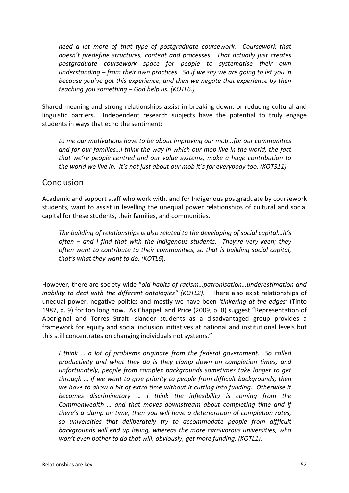*need a lot more of that type of postgraduate coursework. Coursework that doesn't predefine structures, content and processes. That actually just creates postgraduate coursework space for people to systematise their own understanding – from their own practices. So if we say we are going to let you in because you've got this experience, and then we negate that experience by then teaching you something – God help us. (KOTL6.)*

Shared meaning and strong relationships assist in breaking down, or reducing cultural and linguistic barriers. Independent research subjects have the potential to truly engage students in ways that echo the sentiment:

*to me our motivations have to be about improving our mob...for our communities and for our families…I think the way in which our mob live in the world, the fact that we're people centred and our value systems, make a huge contribution to the world we live in. It's not just about our mob it's for everybody too. (KOTS11).*

### Conclusion

Academic and support staff who work with, and for Indigenous postgraduate by coursework students, want to assist in levelling the unequal power relationships of cultural and social capital for these students, their families, and communities.

*The building of relationships is also related to the developing of social capital…It's often – and I find that with the Indigenous students. They're very keen; they often want to contribute to their communities, so that is building social capital, that's what they want to do. (KOTL6*).

However, there are society-wide "*old habits of racism…patronisation…underestimation and inability to deal with the different ontologies" (KOTL2)*. There also exist relationships of unequal power, negative politics and mostly we have been *'tinkering at the edges'* (Tinto 1987, p. 9) for too long now. As Chappell and Price (2009, p. 8) suggest "Representation of Aboriginal and Torres Strait Islander students as a disadvantaged group provides a framework for equity and social inclusion initiatives at national and institutional levels but this still concentrates on changing individuals not systems."

*I think … a lot of problems originate from the federal government. So called productivity and what they do is they clamp down on completion times, and unfortunately, people from complex backgrounds sometimes take longer to get through … if we want to give priority to people from difficult backgrounds, then we have to allow a bit of extra time without it cutting into funding. Otherwise it becomes discriminatory … I think the inflexibility is coming from the Commonwealth … and that moves downstream about completing time and if there's a clamp on time, then you will have a deterioration of completion rates, so universities that deliberately try to accommodate people from difficult backgrounds will end up losing, whereas the more carnivorous universities, who won't even bother to do that will, obviously, get more funding. (KOTL1).*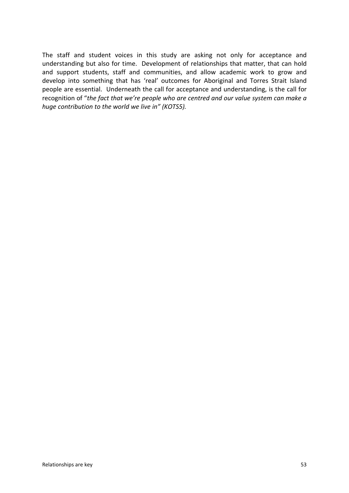The staff and student voices in this study are asking not only for acceptance and understanding but also for time. Development of relationships that matter, that can hold and support students, staff and communities, and allow academic work to grow and develop into something that has 'real' outcomes for Aboriginal and Torres Strait Island people are essential. Underneath the call for acceptance and understanding, is the call for recognition of "*the fact that we're people who are centred and our value system can make a huge contribution to the world we live in" (KOTS5).*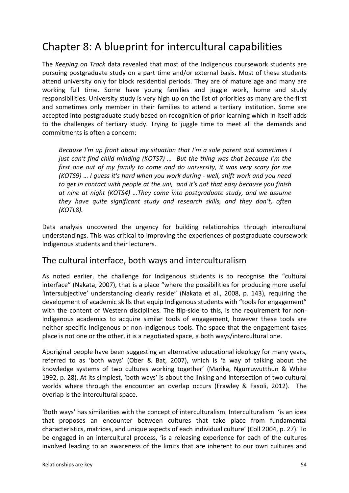# Chapter 8: A blueprint for intercultural capabilities

The *Keeping on Track* data revealed that most of the Indigenous coursework students are pursuing postgraduate study on a part time and/or external basis. Most of these students attend university only for block residential periods. They are of mature age and many are working full time. Some have young families and juggle work, home and study responsibilities. University study is very high up on the list of priorities as many are the first and sometimes only member in their families to attend a tertiary institution. Some are accepted into postgraduate study based on recognition of prior learning which in itself adds to the challenges of tertiary study. Trying to juggle time to meet all the demands and commitments is often a concern:

*Because I'm up front about my situation that I'm a sole parent and sometimes I just can't find child minding (KOTS7) … But the thing was that because I'm the first one out of my family to come and do university, it was very scary for me (KOTS9)* … *I guess it's hard when you work during - well, shift work and you need to get in contact with people at the uni, and it's not that easy because you finish at nine at night (KOTS4) …They come into postgraduate study, and we assume they have quite significant study and research skills, and they don't, often (KOTL8).*

Data analysis uncovered the urgency for building relationships through intercultural understandings. This was critical to improving the experiences of postgraduate coursework Indigenous students and their lecturers.

## The cultural interface, both ways and interculturalism

As noted earlier, the challenge for Indigenous students is to recognise the "cultural interface" (Nakata, 2007), that is a place "where the possibilities for producing more useful 'intersubjective' understanding clearly reside" (Nakata et al., 2008, p. 143), requiring the development of academic skills that equip Indigenous students with "tools for engagement" with the content of Western disciplines. The flip-side to this, is the requirement for non-Indigenous academics to acquire similar tools of engagement, however these tools are neither specific Indigenous or non-Indigenous tools. The space that the engagement takes place is not one or the other, it is a negotiated space, a both ways/intercultural one.

Aboriginal people have been suggesting an alternative educational ideology for many years, referred to as 'both ways' (Ober & Bat, 2007), which is 'a way of talking about the knowledge systems of two cultures working together' (Marika, Ngurruwutthun & White 1992, p. 28). At its simplest, 'both ways' is about the linking and intersection of two cultural worlds where through the encounter an overlap occurs (Frawley & Fasoli, 2012). The overlap is the intercultural space.

'Both ways' has similarities with the concept of interculturalism. Interculturalism 'is an idea that proposes an encounter between cultures that take place from fundamental characteristics, matrices, and unique aspects of each individual culture' (Coll 2004, p. 27). To be engaged in an intercultural process, 'is a releasing experience for each of the cultures involved leading to an awareness of the limits that are inherent to our own cultures and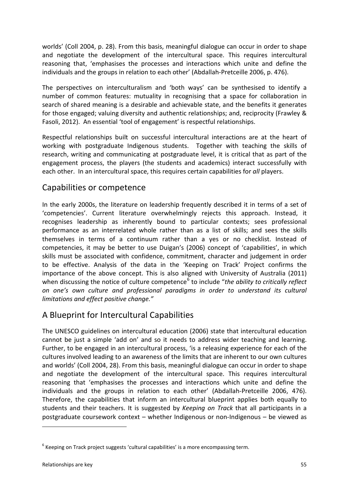worlds' (Coll 2004, p. 28). From this basis, meaningful dialogue can occur in order to shape and negotiate the development of the intercultural space. This requires intercultural reasoning that, 'emphasises the processes and interactions which unite and define the individuals and the groups in relation to each other' (Abdallah-Pretceille 2006, p. 476).

The perspectives on interculturalism and 'both ways' can be synthesised to identify a number of common features: mutuality in recognising that a space for collaboration in search of shared meaning is a desirable and achievable state, and the benefits it generates for those engaged; valuing diversity and authentic relationships; and, reciprocity (Frawley & Fasoli, 2012). An essential 'tool of engagement' is respectful relationships.

Respectful relationships built on successful intercultural interactions are at the heart of working with postgraduate Indigenous students. Together with teaching the skills of research, writing and communicating at postgraduate level, it is critical that as part of the engagement process, the players (the students and academics) interact successfully with each other. In an intercultural space, this requires certain capabilities for *all* players.

## Capabilities or competence

In the early 2000s, the literature on leadership frequently described it in terms of a set of 'competencies'. Current literature overwhelmingly rejects this approach. Instead, it recognises leadership as inherently bound to particular contexts; sees professional performance as an interrelated whole rather than as a list of skills; and sees the skills themselves in terms of a continuum rather than a yes or no checklist. Instead of competencies, it may be better to use Duigan's (2006) concept of 'capabilities', in which skills must be associated with confidence, commitment, character and judgement in order to be effective. Analysis of the data in the 'Keeping on Track' Project confirms the importance of the above concept. This is also aligned with University of Australia (2011) when discussing the notice of culture competence<sup>[6](#page-55-0)</sup> to include "*the ability to critically reflect on one's own culture and professional paradigms in order to understand its cultural limitations and effect positive change."*

## A Blueprint for Intercultural Capabilities

The UNESCO guidelines on intercultural education (2006) state that intercultural education cannot be just a simple 'add on' and so it needs to address wider teaching and learning. Further, to be engaged in an intercultural process, 'is a releasing experience for each of the cultures involved leading to an awareness of the limits that are inherent to our own cultures and worlds' (Coll 2004, 28). From this basis, meaningful dialogue can occur in order to shape and negotiate the development of the intercultural space. This requires intercultural reasoning that 'emphasises the processes and interactions which unite and define the individuals and the groups in relation to each other' (Abdallah-Pretceille 2006, 476). Therefore, the capabilities that inform an intercultural blueprint applies both equally to students and their teachers. It is suggested by *Keeping on Track* that all participants in a postgraduate coursework context – whether Indigenous or non-Indigenous – be viewed as

1

<span id="page-55-0"></span> $6$  Keeping on Track project suggests 'cultural capabilities' is a more encompassing term.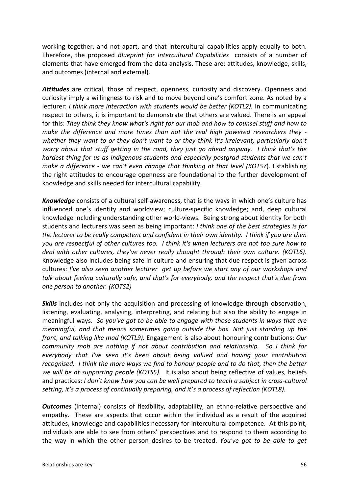working together, and not apart, and that intercultural capabilities apply equally to both. Therefore, the proposed *Blueprint for Intercultural Capabilities* consists of a number of elements that have emerged from the data analysis. These are: attitudes, knowledge, skills, and outcomes (internal and external).

*Attitudes* are critical, those of respect, openness, curiosity and discovery. Openness and curiosity imply a willingness to risk and to move beyond one's comfort zone. As noted by a lecturer: *I think more interaction with students would be better (KOTL2).* In communicating respect to others, it is important to demonstrate that others are valued. There is an appeal for this: *They think they know what's right for our mob and how to counsel stuff and how to make the difference and more times than not the real high powered researchers they whether they want to or they don't want to or they think it's irrelevant, particularly don't worry about that stuff getting in the road, they just go ahead anyway. I think that's the hardest thing for us as Indigenous students and especially postgrad students that we can't make a difference - we can't even change that thinking at that level (KOTS7*). Establishing the right attitudes to encourage openness are foundational to the further development of knowledge and skills needed for intercultural capability.

*Knowledge* consists of a cultural self-awareness, that is the ways in which one's culture has influenced one's identity and worldview; culture-specific knowledge; and, deep cultural knowledge including understanding other world-views. Being strong about identity for both students and lecturers was seen as being important: *I think one of the best strategies is for the lecturer to be really competent and confident in their own identity. I think if you are then you are respectful of other cultures too. I think it's when lecturers are not too sure how to deal with other cultures, they've never really thought through their own culture. (KOTL6)*. Knowledge also includes being safe in culture and ensuring that due respect is given across cultures: *I've also seen another lecturer get up before we start any of our workshops and talk about feeling culturally safe, and that's for everybody, and the respect that's due from one person to another. (KOTS2)*

**Skills** includes not only the acquisition and processing of knowledge through observation, listening, evaluating, analysing, interpreting, and relating but also the ability to engage in meaningful ways. *So you've got to be able to engage with those students in ways that are meaningful, and that means sometimes going outside the box. Not just standing up the front, and talking like mad (KOTL9).* Engagement is also about honouring contributions: *Our community mob are nothing if not about contribution and relationship. So I think for everybody that I've seen it's been about being valued and having your contribution recognised. I think the more ways we find to honour people and to do that, then the better we will be at supporting people (KOTS5).* It is also about being reflective of values, beliefs and practices: *I don't know how you can be well prepared to teach a subject in cross-cultural setting, it's a process of continually preparing, and it's a process of reflection (KOTL8).*

**Outcomes** (internal) consists of flexibility, adaptability, an ethno-relative perspective and empathy. These are aspects that occur within the individual as a result of the acquired attitudes, knowledge and capabilities necessary for intercultural competence. At this point, individuals are able to see from others' perspectives and to respond to them according to the way in which the other person desires to be treated. *You've got to be able to get*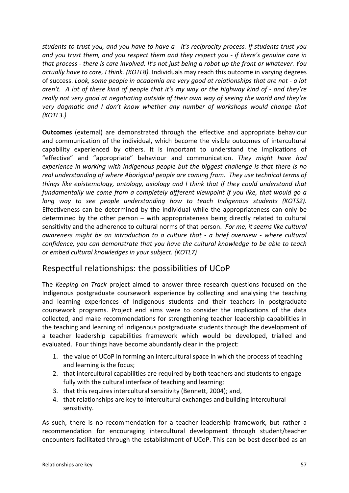*students to trust you, and you have to have a - it's reciprocity process. If students trust you and you trust them, and you respect them and they respect you - if there's genuine care in that process - there is care involved. It's not just being a robot up the front or whatever. You actually have to care, I think. (KOTL8).* Individuals may reach this outcome in varying degrees of success. *Look, some people in academia are very good at relationships that are not - a lot aren't. A lot of these kind of people that it's my way or the highway kind of - and they're really not very good at negotiating outside of their own way of seeing the world and they're very dogmatic and I don't know whether any number of workshops would change that (KOTL3.)*

**Outcomes** (external) are demonstrated through the effective and appropriate behaviour and communication of the individual, which become the visible outcomes of intercultural capability experienced by others. It is important to understand the implications of "effective" and "appropriate" behaviour and communication. *They might have had experience in working with Indigenous people but the biggest challenge is that there is no real understanding of where Aboriginal people are coming from. They use technical terms of things like epistemology, ontology, axiology and I think that if they could understand that fundamentally we come from a completely different viewpoint if you like, that would go a long way to see people understanding how to teach Indigenous students (KOTS2).*  Effectiveness can be determined by the individual while the appropriateness can only be determined by the other person – with appropriateness being directly related to cultural sensitivity and the adherence to cultural norms of that person. *For me, it seems like cultural awareness might be an introduction to a culture that - a brief overview - where cultural confidence, you can demonstrate that you have the cultural knowledge to be able to teach or embed cultural knowledges in your subject. (KOTL7)*

## Respectful relationships: the possibilities of UCoP

The *Keeping on Track* project aimed to answer three research questions focused on the Indigenous postgraduate coursework experience by collecting and analysing the teaching and learning experiences of Indigenous students and their teachers in postgraduate coursework programs. Project end aims were to consider the implications of the data collected, and make recommendations for strengthening teacher leadership capabilities in the teaching and learning of Indigenous postgraduate students through the development of a teacher leadership capabilities framework which would be developed, trialled and evaluated. Four things have become abundantly clear in the project:

- 1. the value of UCoP in forming an intercultural space in which the process of teaching and learning is the focus;
- 2. that intercultural capabilities are required by both teachers and students to engage fully with the cultural interface of teaching and learning;
- 3. that this requires intercultural sensitivity (Bennett, 2004); and,
- 4. that relationships are key to intercultural exchanges and building intercultural sensitivity.

As such, there is no recommendation for a teacher leadership framework, but rather a recommendation for encouraging intercultural development through student/teacher encounters facilitated through the establishment of UCoP. This can be best described as an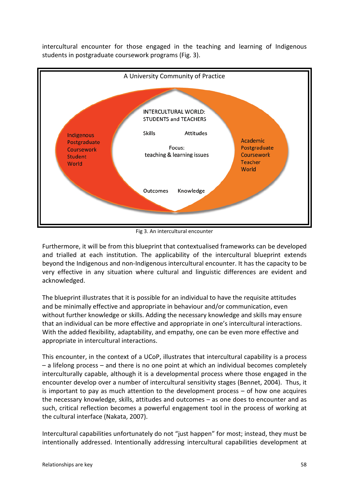intercultural encounter for those engaged in the teaching and learning of Indigenous students in postgraduate coursework programs (Fig. 3).



Fig 3. An intercultural encounter

Furthermore, it will be from this blueprint that contextualised frameworks can be developed and trialled at each institution. The applicability of the intercultural blueprint extends beyond the Indigenous and non-Indigenous intercultural encounter. It has the capacity to be very effective in any situation where cultural and linguistic differences are evident and acknowledged.

The blueprint illustrates that it is possible for an individual to have the requisite attitudes and be minimally effective and appropriate in behaviour and/or communication, even without further knowledge or skills. Adding the necessary knowledge and skills may ensure that an individual can be more effective and appropriate in one's intercultural interactions. With the added flexibility, adaptability, and empathy, one can be even more effective and appropriate in intercultural interactions.

This encounter, in the context of a UCoP, illustrates that intercultural capability is a process – a lifelong process – and there is no one point at which an individual becomes completely interculturally capable, although it is a developmental process where those engaged in the encounter develop over a number of intercultural sensitivity stages (Bennet, 2004). Thus, it is important to pay as much attention to the development process – of how one acquires the necessary knowledge, skills, attitudes and outcomes – as one does to encounter and as such, critical reflection becomes a powerful engagement tool in the process of working at the cultural interface (Nakata, 2007).

Intercultural capabilities unfortunately do not "just happen" for most; instead, they must be intentionally addressed. Intentionally addressing intercultural capabilities development at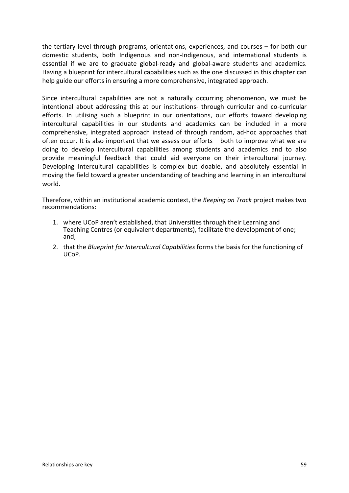the tertiary level through programs, orientations, experiences, and courses – for both our domestic students, both Indigenous and non-Indigenous, and international students is essential if we are to graduate global-ready and global-aware students and academics. Having a blueprint for intercultural capabilities such as the one discussed in this chapter can help guide our efforts in ensuring a more comprehensive, integrated approach.

Since intercultural capabilities are not a naturally occurring phenomenon, we must be intentional about addressing this at our institutions- through curricular and co-curricular efforts. In utilising such a blueprint in our orientations, our efforts toward developing intercultural capabilities in our students and academics can be included in a more comprehensive, integrated approach instead of through random, ad-hoc approaches that often occur. It is also important that we assess our efforts – both to improve what we are doing to develop intercultural capabilities among students and academics and to also provide meaningful feedback that could aid everyone on their intercultural journey. Developing Intercultural capabilities is complex but doable, and absolutely essential in moving the field toward a greater understanding of teaching and learning in an intercultural world.

Therefore, within an institutional academic context, the *Keeping on Track* project makes two recommendations:

- 1. where UCoP aren't established, that Universities through their Learning and Teaching Centres (or equivalent departments), facilitate the development of one; and,
- 2. that the *Blueprint for Intercultural Capabilities* forms the basis for the functioning of UCoP.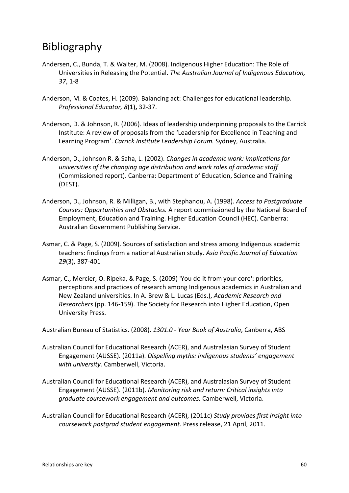## Bibliography

- Andersen, C., Bunda, T. & Walter, M. (2008). Indigenous Higher Education: The Role of Universities in Releasing the Potential. *The Australian Journal of Indigenous Education, 37*, 1-8
- Anderson, M. & Coates, H. (2009). Balancing act: Challenges for educational leadership. *Professional Educator, 8*(1)**,** 32-37.
- Anderson, D. & Johnson, R. (2006). Ideas of leadership underpinning proposals to the Carrick Institute: A review of proposals from the 'Leadership for Excellence in Teaching and Learning Program'. *Carrick Institute Leadership Forum.* Sydney, Australia.
- Anderson, D., Johnson R. & Saha, L. (2002). *Changes in academic work: implications for universities of the changing age distribution and work roles of academic staff*  (Commissioned report). Canberra: Department of Education, Science and Training (DEST).
- Anderson, D., Johnson, R. & Milligan, B., with Stephanou, A. (1998). *Access to Postgraduate Courses: Opportunities and Obstacles.* A report commissioned by the National Board of Employment, Education and Training. Higher Education Council (HEC). Canberra: Australian Government Publishing Service.
- Asmar, C. & Page, S. (2009). Sources of satisfaction and stress among Indigenous academic teachers: findings from a national Australian study. *Asia Pacific Journal of Education 29*(3), 387-401
- Asmar, C., Mercier, O. Ripeka, & Page, S. (2009) ['You do it from your core': priorities,](http://books.google.com.au/books?hl=en&lr=&id=QuSa_spTW1oC&oi=fnd&pg=PA146&ots=wMtqra6iKH&sig=iMsqOiMl1F9lGTEqDO88y2grVTk)  [perceptions and practices of research among Indigenous academics in Australian and](http://books.google.com.au/books?hl=en&lr=&id=QuSa_spTW1oC&oi=fnd&pg=PA146&ots=wMtqra6iKH&sig=iMsqOiMl1F9lGTEqDO88y2grVTk)  [New Zealand universities.](http://books.google.com.au/books?hl=en&lr=&id=QuSa_spTW1oC&oi=fnd&pg=PA146&ots=wMtqra6iKH&sig=iMsqOiMl1F9lGTEqDO88y2grVTk) In A. Brew & L. Lucas (Eds.), *Academic Research and Researchers* (pp. 146-159). The Society for Research into Higher Education, Open University Press.

Australian Bureau of Statistics. (2008). *1301.0 - Year Book of Australia*, Canberra, ABS

- Australian Council for Educational Research (ACER), and Australasian Survey of Student Engagement (AUSSE). (2011a). *Dispelling myths: Indigenous students' engagement with university.* Camberwell, Victoria.
- Australian Council for Educational Research (ACER), and Australasian Survey of Student Engagement (AUSSE). (2011b). *Monitoring risk and return: Critical insights into graduate coursework engagement and outcomes.* Camberwell, Victoria.
- Australian Council for Educational Research (ACER), (2011c) *Study provides first insight into coursework postgrad student engagement.* Press release, 21 April, 2011.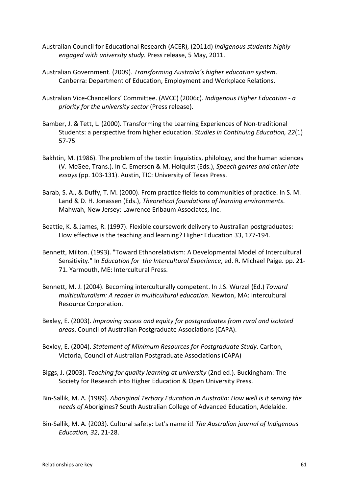- Australian Council for Educational Research (ACER), (2011d) *Indigenous students highly engaged with university study.* Press release, 5 May, 2011.
- Australian Government. (2009). *Transforming Australia's higher education system*. Canberra: Department of Education, Employment and Workplace Relations.
- Australian Vice-Chancellors' Committee. (AVCC) (2006c). *Indigenous Higher Education - a priority for the university sector* (Press release).
- Bamber, J. & Tett, L. (2000). Transforming the Learning Experiences of Non-traditional Students: a perspective from higher education. *[Studies in Continuing Education,](http://www.ingentaconnect.com/content/routledg/csce;jsessionid=167nafwci7u0d.alexandra) 22*(1) 57-75
- Bakhtin, M. (1986). The problem of the textin linguistics, philology, and the human sciences (V. McGee, Trans.). In C. Emerson & M. Holquist (Eds.), *Speech genres and other late essays* (pp. 103-131). Austin, TIC: University of Texas Press.
- Barab, S. A., & Duffy, T. M. (2000). From practice fields to communities of practice. In S. M. Land & D. H. Jonassen (Eds.), *Theoretical foundations of learning environments*. Mahwah, New Jersey: Lawrence Erlbaum Associates, Inc.
- Beattie, K. & James, R. (1997). Flexible coursework delivery to Australian postgraduates: How effective is the teaching and learning? Higher Education 33, 177-194.
- Bennett, Milton. (1993). "Toward Ethnorelativism: A Developmental Model of Intercultural Sensitivity." In *Education for the Intercultural Experience*, ed. R. Michael Paige. pp. 21- 71. Yarmouth, ME: Intercultural Press.
- Bennett, M. J. (2004). Becoming interculturally competent. In J.S. Wurzel (Ed.) *Toward multiculturalism: A reader in multicultural education*. Newton, MA: Intercultural Resource Corporation.
- Bexley, E. (2003). *Improving access and equity for postgraduates from rural and isolated areas*. Council of Australian Postgraduate Associations (CAPA).
- Bexley, E. (2004). *Statement of Minimum Resources for Postgraduate Study*. Carlton, Victoria, Council of Australian Postgraduate Associations (CAPA)
- Biggs, J. (2003). *Teaching for quality learning at university* (2nd ed.). Buckingham: The Society for Research into Higher Education & Open University Press.
- Bin-Sallik, M. A. (1989). *Aboriginal Tertiary Education in Australia: How well is it serving the needs of* Aborigines? South Australian College of Advanced Education, Adelaide.
- Bin-Sallik, M. A. (2003). Cultural safety: Let's name it! *The Australian journal of Indigenous Education, 32*, 21-28.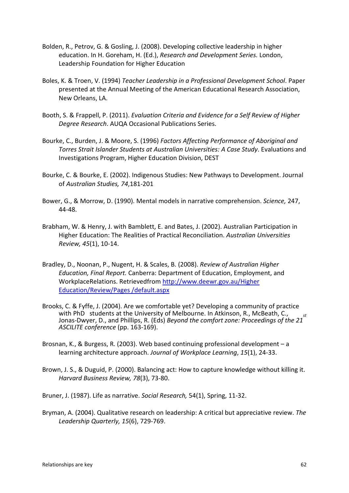- Bolden, R., Petrov, G. & Gosling, J. (2008). Developing collective leadership in higher education. In H. Goreham, H. (Ed.), *Research and Development Series.* London, Leadership Foundation for Higher Education
- Boles, K. & Troen, V. (1994) *Teacher Leadership in a Professional Development School*. Paper presented at the Annual Meeting of the American Educational Research Association, New Orleans, LA.
- Booth, S. & Frappell, P. (2011). *Evaluation Criteria and Evidence for a Self Review of Higher Degree Research*. AUQA Occasional Publications Series.
- Bourke, C., Burden, J. & Moore, S. (1996) *Factors Affecting Performance of Aboriginal and Torres Strait Islander Students at Australian Universities: A Case Study*. Evaluations and Investigations Program, Higher Education Division, DEST
- Bourke, C. & Bourke, E. (2002). Indigenous Studies: New Pathways to Development. Journal of *Australian Studies, 74*,181-201
- Bower, G., & Morrow, D. (1990). Mental models in narrative comprehension. *Science,* 247, 44-48.
- Brabham, W. & Henry, J. with Bamblett, E. and Bates, J. (2002). Australian Participation in Higher Education: The Realities of Practical Reconciliation. *Australian Universities Review, 45*(1), 10-14.
- Bradley, D., Noonan, P., Nugent, H. & Scales, B. (2008). *Review of Australian Higher Education, Final Report.* Canberra: Department of Education, Employment, and WorkplaceRelations. Retrievedfrom [http://www.deewr.gov.au/Higher](http://www.deewr.gov.au/Higher%20Education/Review/Pages%20/default.aspx)  [Education/Review/Pages /default.aspx](http://www.deewr.gov.au/Higher%20Education/Review/Pages%20/default.aspx)
- Brooks, C. & Fyffe, J. (2004). Are we comfortable yet? Developing a community of practice with PhD students at the University of Melbourne. In Atkinson, R., McBeath, C., with PhD students at the University of Memodrile. In Atkinson, K., McBeath, C., <sub>st</sub><br>Jonas-Dwyer, D., and Phillips, R. (Eds) *Beyond the comfort zone: Proceedings of the 21 ASCILITE conference* (pp. 163-169).
- Brosnan, K., & Burgess, R. (2003). Web based continuing professional development a learning architecture approach. *Journal of Workplace Learning*, *15*(1), 24-33.
- Brown, J. S., & Duguid, P. (2000). Balancing act: How to capture knowledge without killing it. *Harvard Business Review, 78*(3), 73-80.
- Bruner, J. (1987). Life as narrative. *Social Research,* 54(1), Spring, 11-32.
- Bryman, A. (2004). Qualitative research on leadership: A critical but appreciative review. *The Leadership Quarterly, 15*(6), 729-769.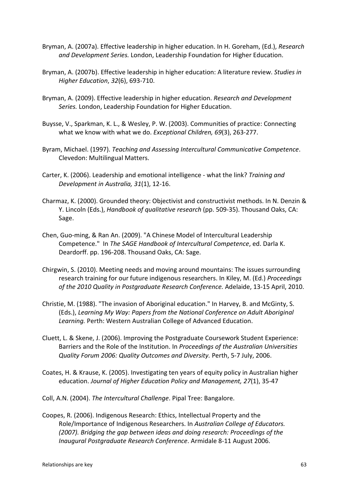- Bryman, A. (2007a). Effective leadership in higher education. In H. Goreham, (Ed.), *Research and Development Series.* London, Leadership Foundation for Higher Education.
- Bryman, A. (2007b). Effective leadership in higher education: A literature review. *Studies in Higher Education*, *32*(6), 693-710.
- Bryman, A. (2009). Effective leadership in higher education. *Research and Development Series.* London, Leadership Foundation for Higher Education.
- Buysse, V., Sparkman, K. L., & Wesley, P. W. (2003). Communities of practice: Connecting what we know with what we do. *Exceptional Children, 69*(3), 263-277.
- Byram, Michael. (1997). *Teaching and Assessing Intercultural Communicative Competence*. Clevedon: Multilingual Matters.
- Carter, K. (2006). Leadership and emotional intelligence what the link? *Training and Development in Australia, 31*(1), 12-16.
- Charmaz, K. (2000). Grounded theory: Objectivist and constructivist methods. In N. Denzin & Y. Lincoln (Eds.), *Handbook of qualitative research* (pp. 509-35). Thousand Oaks, CA: Sage.
- Chen, Guo-ming, & Ran An. (2009). "A Chinese Model of Intercultural Leadership Competence." In *The SAGE Handbook of Intercultural Competence*, ed. Darla K. Deardorff. pp. 196-208. Thousand Oaks, CA: Sage.
- Chirgwin, S. (2010). Meeting needs and moving around mountains: The issues surrounding research training for our future indigenous researchers. In Kiley, M. (Ed.) *Proceedings of the 2010 Quality in Postgraduate Research Conference.* Adelaide, 13-15 April, 2010.
- Christie, M. (1988). "The invasion of Aboriginal education." In Harvey, B. and McGinty, S. (Eds.), *Learning My Way: Papers from the National Conference on Adult Aboriginal Learning.* Perth: Western Australian College of Advanced Education.
- Cluett, L. & Skene, J. (2006). Improving the Postgraduate Coursework Student Experience: Barriers and the Role of the Institution. In *Proceedings of the Australian Universities Quality Forum 2006: Quality Outcomes and Diversity.* Perth, 5-7 July, 2006.
- Coates, H. & Krause, K. (2005). Investigating ten years of equity policy in Australian higher education. *Journal of Higher Education Policy and Management, 27*(1), 35-47
- Coll, A.N. (2004). *The Intercultural Challenge*. Pipal Tree: Bangalore.
- Coopes, R. (2006). Indigenous Research: Ethics, Intellectual Property and the Role/Importance of Indigenous Researchers. In *Australian College of Educators. (2007). Bridging the gap between ideas and doing research: Proceedings of the Inaugural Postgraduate Research Conference*. Armidale 8-11 August 2006.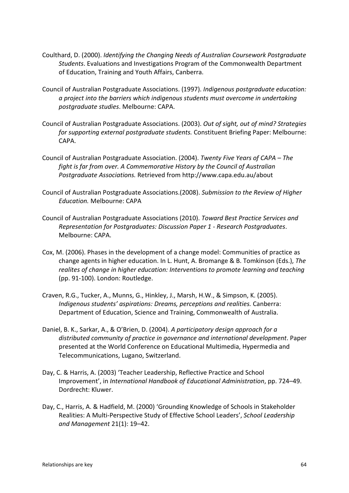- Coulthard, D. (2000). *Identifying the Changing Needs of Australian Coursework Postgraduate Students*. Evaluations and Investigations Program of the Commonwealth Department of Education, Training and Youth Affairs, Canberra.
- Council of Australian Postgraduate Associations. (1997). *Indigenous postgraduate education: a project into the barriers which indigenous students must overcome in undertaking postgraduate studies*. Melbourne: CAPA.
- Council of Australian Postgraduate Associations. (2003). *Out of sight, out of mind? Strategies for supporting external postgraduate students.* Constituent Briefing Paper: Melbourne: CAPA.
- Council of Australian Postgraduate Association. (2004). *Twenty Five Years of CAPA – The fight is far from over. A Commemorative History by the Council of Australian Postgraduate Associations.* Retrieved from http://www.capa.edu.au/about
- Council of Australian Postgraduate Associations.(2008). *Submission to the Review of Higher Education.* Melbourne: CAPA
- Council of Australian Postgraduate Associations (2010). *Toward Best Practice Services and Representation for Postgraduates: Discussion Paper 1 - Research Postgraduates*. Melbourne: CAPA.
- Cox, M. (2006). Phases in the development of a change model: Communities of practice as change agents in higher education. In L. Hunt, A. Bromange & B. Tomkinson (Eds.), *The realites of change in higher education: Interventions to promote learning and teaching*  (pp. 91-100). London: Routledge.
- Craven, R.G., Tucker, A., Munns, G., Hinkley, J., Marsh, H.W., & Simpson, K. (2005). *Indigenous students' aspirations: Dreams, perceptions and realities.* Canberra: Department of Education, Science and Training, Commonwealth of Australia.
- Daniel, B. K., Sarkar, A., & O'Brien, D. (2004). *A participatory design approach for a distributed community of practice in governance and international development*. Paper presented at the World Conference on Educational Multimedia, Hypermedia and Telecommunications, Lugano, Switzerland.
- Day, C. & Harris, A. (2003) 'Teacher Leadership, Reflective Practice and School Improvement', in *International Handbook of Educational Administration*, pp. 724–49. Dordrecht: Kluwer.
- Day, C., Harris, A. & Hadfield, M. (2000) 'Grounding Knowledge of Schools in Stakeholder Realities: A Multi-Perspective Study of Effective School Leaders', *School Leadership and Management* 21(1): 19–42.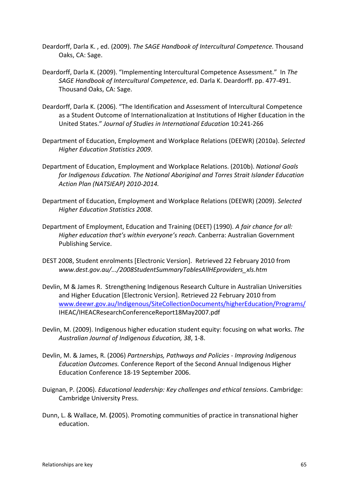- Deardorff, Darla K. , ed. (2009). *The SAGE Handbook of Intercultural Competence.* Thousand Oaks, CA: Sage.
- Deardorff, Darla K. (2009). "Implementing Intercultural Competence Assessment." In *The SAGE Handbook of Intercultural Competence*, ed. Darla K. Deardorff. pp. 477-491. Thousand Oaks, CA: Sage.
- Deardorff, Darla K. (2006). "The Identification and Assessment of Intercultural Competence as a Student Outcome of Internationalization at Institutions of Higher Education in the United States." *Journal of Studies in International Education* 10:241-266
- Department of Education, Employment and Workplace Relations (DEEWR) (2010a). *Selected Higher Education Statistics 2009*.
- Department of Education, Employment and Workplace Relations. (2010b). *National Goals for Indigenous Education. The National Aboriginal and Torres Strait Islander Education Action Plan (NATSIEAP) 2010-2014.*
- Department of Education, Employment and Workplace Relations (DEEWR) (2009). *Selected Higher Education Statistics 2008*.
- Department of Employment, Education and Training (DEET) (1990). *A fair chance for all: Higher education that's within everyone's reach*. Canberra: Australian Government Publishing Service.
- DEST 2008, Student enrolments [Electronic Version]. Retrieved 22 February 2010 from *www.dest.gov.au/.../2008StudentSummaryTablesAllHEproviders\_xls.htm*
- Devlin, M & James R. Strengthening Indigenous Research Culture in Australian Universities and Higher Education [Electronic Version]. Retrieved 22 February 2010 from [www.deewr.gov.au/Indigenous/SiteCollectionDocuments/higherEducation/Programs/](http://www.deewr.gov.au/Indigenous/SiteCollectionDocuments/higherEducation/Programs/) IHEAC/IHEACResearchConferenceReport18May2007.pdf
- Devlin, M. (2009). Indigenous higher education student equity: focusing on what works. *The Australian Journal of Indigenous Education, 38*, 1-8.
- Devlin, M. & James, R. (2006) *Partnerships, Pathways and Policies - Improving Indigenous Education Outcomes.* Conference Report of the Second Annual Indigenous Higher Education Conference 18-19 September 2006.
- Duignan, P. (2006). *Educational leadership: Key challenges and ethical tensions*. Cambridge: Cambridge University Press.
- Dunn, L. & Wallace, M. **(**2005). Promoting communities of practice in transnational higher education.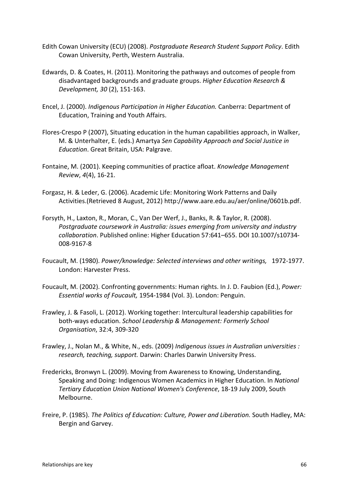- Edith Cowan University (ECU) (2008). *Postgraduate Research Student Support Policy*. Edith Cowan University, Perth, Western Australia.
- Edwards, D. & Coates, H. (2011). Monitoring the pathways and outcomes of people from disadvantaged backgrounds and graduate groups. *Higher Education Research & Development, 30* (2), 151-163.
- Encel, J. (2000). *Indigenous Participation in Higher Education.* Canberra: Department of Education, Training and Youth Affairs.
- Flores-Crespo P (2007), Situating education in the human capabilities approach, in Walker, M. & Unterhalter, E. (eds.) Amartya *Sen Capability Approach and Social Justice in Education*. Great Britain, USA: Palgrave.
- Fontaine, M. (2001). Keeping communities of practice afloat. *Knowledge Management Review*, *4*(4), 16-21.
- Forgasz, H. & Leder, G. (2006). Academic Life: Monitoring Work Patterns and Daily Activities.(Retrieved 8 August, 2012) http://www.aare.edu.au/aer/online/0601b.pdf.
- Forsyth, H., Laxton, R., Moran, C., Van Der Werf, J., Banks, R. & Taylor, R. (2008). *Postgraduate coursework in Australia: issues emerging from university and industry collaboration*. Published online: Higher Education 57:641–655. DOI 10.1007/s10734- 008-9167-8
- Foucault, M. (1980). *Power/knowledge: Selected interviews and other writings,* 1972-1977. London: Harvester Press.
- Foucault, M. (2002). Confronting governments: Human rights. In J. D. Faubion (Ed.), *Power: Essential works of Foucault,* 1954-1984 (Vol. 3). London: Penguin.
- Frawley, J. & Fasoli, L. (2012). Working together: Intercultural leadership capabilities for both-ways education. *School Leadership & Management: Formerly School Organisation*, 32:4, 309-320
- Frawley, J., Nolan M., & White, N., eds. (2009) *Indigenous issues in Australian universities : research, teaching, support.* Darwin: Charles Darwin University Press.
- Fredericks, Bronwyn L. (2009). Moving from Awareness to Knowing, Understanding, Speaking and Doing: Indigenous Women Academics in Higher Education. In *National Tertiary Education Union National Women's Conference*, 18-19 July 2009, South Melbourne.
- Freire, P. (1985). *The Politics of Education: Culture, Power and Liberation.* South Hadley, MA: Bergin and Garvey.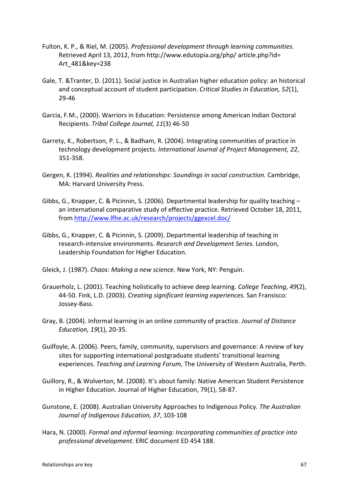- Fulton, K. P., & Riel, M. (2005). *Professional development through learning communities*. Retrieved April 13, 2012, from http://www.edutopia.org/php/ article.php?id= Art\_481&key=238
- Gale, T. &Tranter, D. (2011). Social justice in Australian higher education policy: an historical and conceptual account of student participation. *Critical Studies in Education, 52*(1), 29-46
- Garcia, F.M., (2000). Warriors in Education: Persistence among American Indian Doctoral Recipients. *Tribal College Journal, 11*(3) 46-50
- Garrety, K., Robertson, P. L., & Badham, R. (2004). Integrating communities of practice in technology development projects. *International Journal of Project Management, 22*, 351-358.
- Gergen, K. (1994). *Realities and relationships: Soundings in social construction.* Cambridge, MA: Harvard University Press.
- Gibbs, G., Knapper, C. & Picinnin, S. (2006). Departmental leadership for quality teaching an international comparative study of effective practice. Retrieved October 18, 2011, from<http://www.lfhe.ac.uk/research/projects/ggexcel.doc/>
- Gibbs, G., Knapper, C. & Picinnin, S. (2009). Departmental leadership of teaching in research-intensive environments. *Research and Development Series.* London, Leadership Foundation for Higher Education.
- Gleick, J. (1987). *Chaos: Making a new science.* New York, NY: Penguin.
- Grauerholz, L. (2001). Teaching holistically to achieve deep learning. *College Teaching*, *49*(2), 44-50. Fink, L.D. (2003). *Creating significant learning experiences*. San Fransisco: Jossey-Bass.
- Gray, B. (2004). Informal learning in an online community of practice. *Journal of Distance Education, 19*(1), 20-35.
- Guilfoyle, A. (2006). Peers, family, community, supervisors and governance: A review of key sites for supporting international postgraduate students' transitional learning experiences. *Teaching and Learning Forum,* The University of Western Australia, Perth.
- Guillory, R., & Wolverton, M. (2008). It's about family: Native American Student Persistence in Higher Education. Journal of Higher Education, 79(1), 58-87.
- Gunstone, E. (2008). Australian University Approaches to Indigenous Policy. *The Australian Journal of Indigenous Education, 37*, 103-108
- Hara, N. (2000). *Formal and informal learning: Incorporating communities of practice into professional development*. ERIC document ED 454 188.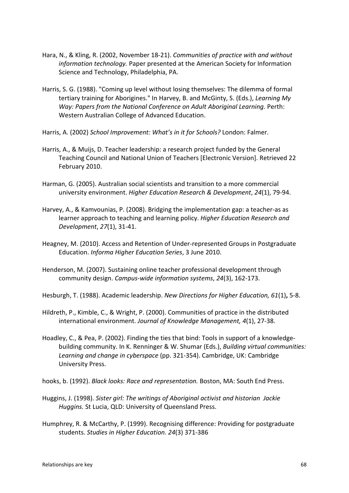- Hara, N., & Kling, R. (2002, November 18-21). *Communities of practice with and without information technology.* Paper presented at the American Society for Information Science and Technology, Philadelphia, PA.
- Harris, S. G. (1988). "Coming up level without losing themselves: The dilemma of formal tertiary training for Aborigines." In Harvey, B. and McGinty, S. (Eds.), *Learning My Way: Papers from the National Conference on Adult Aboriginal Learning.* Perth: Western Australian College of Advanced Education.
- Harris, A. (2002) *School Improvement: What's in it for Schools?* London: Falmer.
- Harris, A., & Muijs, D. Teacher leadership: a research project funded by the General Teaching Council and National Union of Teachers [Electronic Version]. Retrieved 22 February 2010.
- Harman, G. (2005). Australian social scientists and transition to a more commercial university environment. *Higher Education Research & Development*, *24*(1), 79-94.
- Harvey, A., & Kamvounias, P. (2008). Bridging the implementation gap: a teacher-as as learner approach to teaching and learning policy. *Higher Education Research and Development*, *27*(1), 31-41.
- Heagney, M. (2010). Access and Retention of Under-represented Groups in Postgraduate Education. *Informa Higher Education Series*, 3 June 2010.
- Henderson, M. (2007). Sustaining online teacher professional development through community design. *Campus-wide information systems*, *24*(3), 162-173.
- Hesburgh, T. (1988). Academic leadership. *New Directions for Higher Education, 61*(1)**,** 5-8.
- Hildreth, P., Kimble, C., & Wright, P. (2000). Communities of practice in the distributed international environment. *Journal of Knowledge Management, 4*(1), 27-38.
- Hoadley, C., & Pea, P. (2002). Finding the ties that bind: Tools in support of a knowledgebuilding community. In K. Renninger & W. Shumar (Eds.), *Building virtual communities: Learning and change in cyberspace* (pp. 321-354). Cambridge, UK: Cambridge University Press.

hooks, b. (1992). *Black looks: Race and representation.* Boston, MA: South End Press.

- Huggins, J. (1998). *Sister girl: The writings of Aboriginal activist and historian Jackie Huggins.* St Lucia, QLD: University of Queensland Press.
- Humphrey, R. & McCarthy, P. (1999). Recognising difference: Providing for postgraduate students. *Studies in Higher Education. 24*(3) 371-386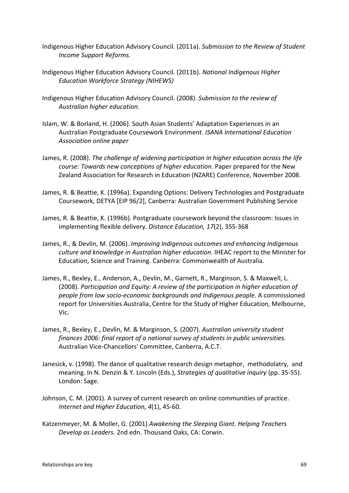- Indigenous Higher Education Advisory Council. (2011a). *Submission to the Review of Student Income Support Reforms.*
- Indigenous Higher Education Advisory Council. (2011b). *National Indigenous Higher Education Workforce Strategy (NIHEWS)*
- Indigenous Higher Education Advisory Council. (2008). *Submission to the review of Australian higher education.*
- Islam, W. & Borland, H. (2006). South Asian Students' Adaptation Experiences in an Australian Postgraduate Coursework Environment. *ISANA International Education Association online paper*
- James, R. (2008). *The challenge of widening participation in higher education across the life course: Towards new conceptions of higher education.* Paper prepared for the New Zealand Association for Research in Education (NZARE) Conference, November 2008.
- James, R. & Beattie, K. (1996a). Expanding Options: Delivery Technologies and Postgraduate Coursework, DETYA [EIP 96/2], Canberra: Australian Government Publishing Service
- James, R. & Beattie, K. (1996b). Postgraduate coursework beyond the classroom: Issues in implementing flexible delivery. *Distance Education, 17*(2), 355-368
- James, R., & Devlin, M. (2006). *Improving Indigenous outcomes and enhancing Indigenous culture and knowledge in Australian higher education*. IHEAC report to the Minister for Education, Science and Training. Canberra: Commonwealth of Australia.
- James, R., Bexley, E., Anderson, A., Devlin, M., Garnett, R., Marginson, S. & Maxwell, L. (2008). *Participation and Equity: A review of the participation in higher education of people from low socio-economic backgrounds and Indigenous people*. A commissioned report for Universities Australia, Centre for the Study of Higher Education, Melbourne, Vic.
- James, R., Bexley, E., Devlin, M. & Marginson, S. (2007). *Australian university student finances 2006: final report of a national survey of students in public universities*. Australian Vice-Chancellors' Committee, Canberra, A.C.T.
- Janesick, v. (1998). The dance of qualitative research design metaphor, methodolatry, and meaning. In N. Denzin & Y. Lincoln (Eds.), *Strategies of qualitative inquiry* (pp. 35-55). London: Sage.
- Johnson, C. M. (2001). A survey of current research on online communities of practice. *Internet and Higher Education, 4*(1), 45-60.
- Katzenmeyer, M. & Moller, G. (2001) *Awakening the Sleeping Giant. Helping Teachers Develop as Leaders*. 2nd edn. Thousand Oaks, CA: Corwin.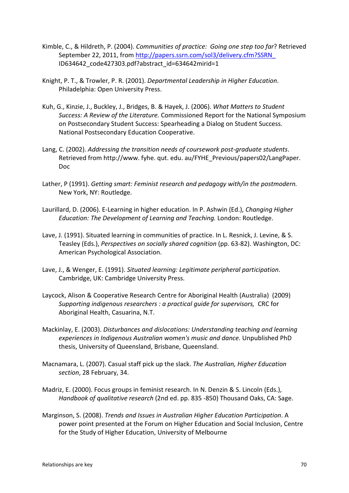- Kimble, C., & Hildreth, P. (2004). *Communities of practice: Going one step too far*? Retrieved September 22, 2011, from [http://papers.ssrn.com/sol3/delivery.cfm?SSRN\\_](http://papers.ssrn.com/sol3/delivery.cfm?SSRN_) ID634642\_code427303.pdf?abstract\_id=634642mirid=1
- Knight, P. T., & Trowler, P. R. (2001). *Departmental Leadership in Higher Education*. Philadelphia: Open University Press.
- Kuh, G., Kinzie, J., Buckley, J., Bridges, B. & Hayek, J. (2006). *What Matters to Student Success: A Review of the Literature.* Commissioned Report for the National Symposium on Postsecondary Student Success: Spearheading a Dialog on Student Success. National Postsecondary Education Cooperative.
- Lang, C. (2002). *Addressing the transition needs of coursework post-graduate students*. Retrieved from http://www. fyhe. qut. edu. au/FYHE\_Previous/papers02/LangPaper. Doc
- Lather, P (1991). *Getting smart: Feminist research and pedagogy with/in the postmodern.*  New York, NY: Routledge.
- Laurillard, D. (2006). E-Learning in higher education. In P. Ashwin (Ed.), *Changing Higher Education: The Development of Learning and Teaching.* London: Routledge.
- Lave, J. (1991). Situated learning in communities of practice. In L. Resnick, J. Levine, & S. Teasley (Eds.), *Perspectives on socially shared cognition* (pp. 63-82). Washington, DC: American Psychological Association.
- Lave, J., & Wenger, E. (1991). *Situated learning: Legitimate peripheral participation*. Cambridge, UK: Cambridge University Press.
- Laycock, Alison & Cooperative Research Centre for Aboriginal Health (Australia) (2009) *Supporting indigenous researchers : a practical guide for supervisors,* CRC for Aboriginal Health, Casuarina, N.T.
- Mackinlay, E. (2003). *Disturbances and dislocations: Understanding teaching and learning experiences in Indigenous Australian women's music and dance.* Unpublished PhD thesis, University of Queensland, Brisbane, Queensland.
- Macnamara, L. (2007). Casual staff pick up the slack. *The Australian, Higher Education section*, 28 February, 34.
- Madriz, E. (2000). Focus groups in feminist research. In N. Denzin & S. Lincoln (Eds.), *Handbook of qualitative research* (2nd ed. pp. 835 -850) Thousand Oaks, CA: Sage.
- Marginson, S. (2008). *Trends and Issues in Australian Higher Education Participation*. A power point presented at the Forum on Higher Education and Social Inclusion, Centre for the Study of Higher Education, University of Melbourne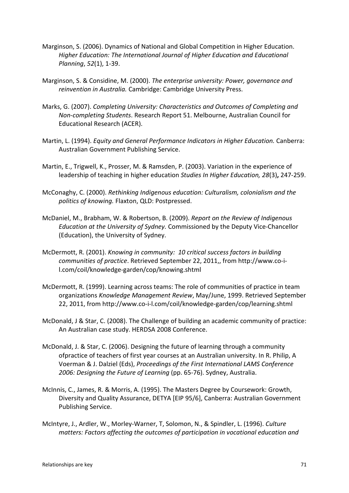- Marginson, S. (2006). Dynamics of National and Global Competition in Higher Education. *Higher Education: The International Journal of Higher Education and Educational Planning*, *52*(1), 1-39.
- Marginson, S. & Considine, M. (2000). *The enterprise university: Power, governance and reinvention in Australia.* Cambridge: Cambridge University Press.
- Marks, G. (2007). *Completing University: Characteristics and Outcomes of Completing and Non-completing Students*. Research Report 51. Melbourne, Australian Council for Educational Research (ACER).
- Martin, L. (1994). *Equity and General Performance Indicators in Higher Education.* Canberra: Australian Government Publishing Service.
- Martin, E., Trigwell, K., Prosser, M. & Ramsden, P. (2003). Variation in the experience of leadership of teaching in higher education *Studies In Higher Education, 28*(3)**,** 247-259.
- McConaghy, C. (2000). *Rethinking Indigenous education: Culturalism, colonialism and the politics of knowing.* Flaxton, QLD: Postpressed.
- McDaniel, M., Brabham, W. & Robertson, B. (2009). *Report on the Review of Indigenous Education at the University of Sydney.* Commissioned by the Deputy Vice-Chancellor (Education), the University of Sydney.
- McDermott, R. (2001). *Knowing in community: 10 critical success factors in building communities of practice*. Retrieved September 22, 2011,, from http://www.co-il.com/coil/knowledge-garden/cop/knowing.shtml
- McDermott, R. (1999). Learning across teams: The role of communities of practice in team organizations *Knowledge Management Review*, May/June, 1999. Retrieved September 22, 2011, from http://www.co-i-l.com/coil/knowledge-garden/cop/learning.shtml
- McDonald, J & Star, C. (2008). The Challenge of building an academic community of practice: An Australian case study. HERDSA 2008 Conference.
- McDonald, J. & Star, C. (2006). Designing the future of learning through a community ofpractice of teachers of first year courses at an Australian university. In R. Philip, A Voerman & J. Dalziel (Eds), *Proceedings of the First International LAMS Conference 2006: Designing the Future of Learning* (pp. 65-76). Sydney, Australia.
- McInnis, C., James, R. & Morris, A. (1995). The Masters Degree by Coursework: Growth, Diversity and Quality Assurance, DETYA [EIP 95/6], Canberra: Australian Government Publishing Service.
- McIntyre, J., Ardler, W., Morley-Warner, T, Solomon, N., & Spindler, L. (1996). *Culture matters: Factors affecting the outcomes of participation in vocational education and*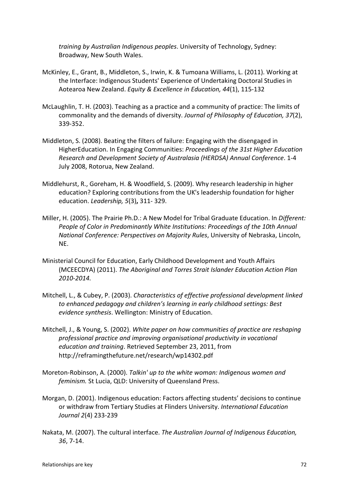*training by Australian Indigenous peoples*. University of Technology, Sydney: Broadway, New South Wales.

- McKinley, E., Grant, B., Middleton, S., Irwin, K. & Tumoana Williams, L. (2011). Working at the Interface: Indigenous Students' Experience of Undertaking Doctoral Studies in Aotearoa New Zealand. *Equity & Excellence in Education, 44*(1), 115-132
- McLaughlin, T. H. (2003). Teaching as a practice and a community of practice: The limits of commonality and the demands of diversity. *Journal of Philosophy of Education, 37*(2), 339-352.
- Middleton, S. (2008). Beating the filters of failure: Engaging with the disengaged in HigherEducation. In Engaging Communities: *Proceedings of the 31st Higher Education Research and Development Society of Australasia (HERDSA) Annual Conference*. 1-4 July 2008, Rotorua, New Zealand.
- Middlehurst, R., Goreham, H. & Woodfield, S. (2009). Why research leadership in higher education? Exploring contributions from the UK's leadership foundation for higher education. *Leadership, 5*(3)**,** 311- 329.
- Miller, H. (2005). The Prairie Ph.D.: A New Model for Tribal Graduate Education. In *Different: People of Color in Predominantly White Institutions: Proceedings of the 10th Annual National Conference: Perspectives on Majority Rules*, University of Nebraska, Lincoln, NE.
- Ministerial Council for Education, Early Childhood Development and Youth Affairs (MCEECDYA) (2011). *The Aboriginal and Torres Strait Islander Education Action Plan 2010-2014.*
- Mitchell, L., & Cubey, P. (2003). *Characteristics of effective professional development linked to enhanced pedagogy and children's learning in early childhood settings: Best evidence synthesis*. Wellington: Ministry of Education.
- Mitchell, J., & Young, S. (2002). *White paper on how communities of practice are reshaping professional practice and improving organisational productivity in vocational education and training*. Retrieved September 23, 2011, from http://reframingthefuture.net/research/wp14302.pdf
- Moreton-Robinson, A. (2000). *Talkin' up to the white woman: Indigenous women and feminism.* St Lucia, QLD: University of Queensland Press.
- Morgan, D. (2001). Indigenous education: Factors affecting students' decisions to continue or withdraw from Tertiary Studies at Flinders University. *International Education Journal 2*(4) 233-239
- Nakata, M. (2007). The cultural interface. *The Australian Journal of Indigenous Education, 36*, 7-14.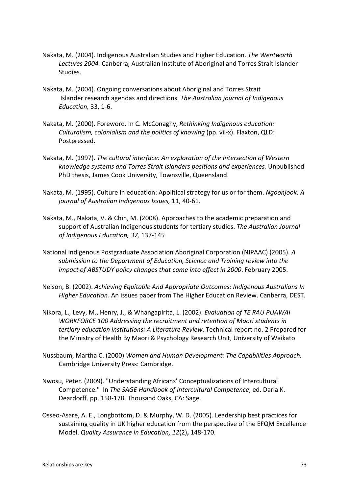- Nakata, M. (2004). Indigenous Australian Studies and Higher Education. *The Wentworth Lectures 2004.* Canberra, Australian Institute of Aboriginal and Torres Strait Islander Studies.
- Nakata, M. (2004). Ongoing conversations about Aboriginal and Torres Strait Islander research agendas and directions. *The Australian journal of Indigenous Education,* 33, 1-6.
- Nakata, M. (2000). Foreword. In C. McConaghy, *Rethinking Indigenous education: Culturalism, colonialism and the politics of knowing (pp. vii-x). Flaxton, QLD:* Postpressed.
- Nakata, M. (1997). *The cultural interface: An exploration of the intersection of Western knowledge systems and Torres Strait Islanders positions and experiences.* Unpublished PhD thesis, James Cook University, Townsville, Queensland.
- Nakata, M. (1995). Culture in education: Apolitical strategy for us or for them. *Ngoonjook: A journal of Australian Indigenous Issues,* 11, 40-61.
- Nakata, M., Nakata, V. & Chin, M. (2008). Approaches to the academic preparation and support of Australian Indigenous students for tertiary studies. *The Australian Journal of Indigenous Education, 37,* 137-145
- National Indigenous Postgraduate Association Aboriginal Corporation (NIPAAC) (2005). *A submission to the Department of Education, Science and Training review into the impact of ABSTUDY policy changes that came into effect in 2000*. February 2005.
- Nelson, B. (2002). *Achieving Equitable And Appropriate Outcomes: Indigenous Australians In Higher Education.* An issues paper from The Higher Education Review. Canberra, DEST.
- Nikora, L., Levy, M., Henry, J., & Whangapirita, L. (2002). *Evaluation of TE RAU PUAWAI WORKFORCE 100 Addressing the recruitment and retention of Maori students in tertiary education institutions: A Literature Review*. Technical report no. 2 Prepared for the Ministry of Health By Maori & Psychology Research Unit, University of Waikato
- Nussbaum, Martha C. (2000) *Women and Human Development: The Capabilities Approach.* Cambridge University Press: Cambridge.
- Nwosu, Peter. (2009). "Understanding Africans' Conceptualizations of Intercultural Competence." In *The SAGE Handbook of Intercultural Competence*, ed. Darla K. Deardorff. pp. 158-178. Thousand Oaks, CA: Sage.
- Osseo-Asare, A. E., Longbottom, D. & Murphy, W. D. (2005). Leadership best practices for sustaining quality in UK higher education from the perspective of the EFQM Excellence Model. *Quality Assurance in Education, 12*(2)**,** 148-170.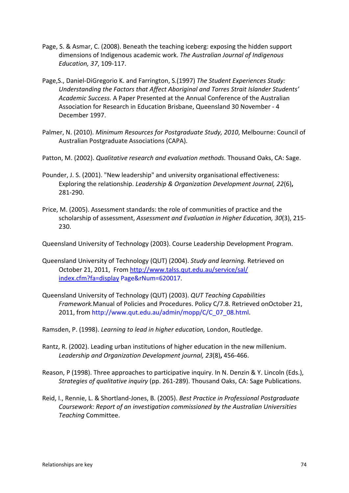- Page, S. & Asmar, C. (2008). Beneath the teaching iceberg: exposing the hidden support dimensions of Indigenous academic work. *The Australian Journal of Indigenous Education, 37*, 109-117.
- Page,S., Daniel-DiGregorio K. and Farrington, S.(1997) *The Student Experiences Study: Understanding the Factors that Affect Aboriginal and Torres Strait Islander Students' Academic Success.* A Paper Presented at the Annual Conference of the Australian Association for Research in Education Brisbane, Queensland 30 November - 4 December 1997.
- Palmer, N. (2010). *Minimum Resources for Postgraduate Study, 2010*, Melbourne: Council of Australian Postgraduate Associations (CAPA).
- Patton, M. (2002). *Qualitative research and evaluation methods.* Thousand Oaks, CA: Sage.
- Pounder, J. S. (2001). "New leadership" and university organisational effectiveness: Exploring the relationship. *Leadership & Organization Development Journal, 22*(6)**,**  281-290.
- Price, M. (2005). Assessment standards: the role of communities of practice and the scholarship of assessment, *Assessment and Evaluation in Higher Education, 30*(3), 215- 230.

Queensland University of Technology (2003). Course Leadership Development Program.

- Queensland University of Technology (QUT) (2004). *Study and learning.* Retrieved on October 21, 2011, From [http://www.talss.qut.edu.au/service/sal/](http://www.talss.qut.edu.au/service/sal/index.cfm?fa=display) [index.cfm?fa=display](http://www.talss.qut.edu.au/service/sal/index.cfm?fa=display) Page&rNum=620017.
- Queensland University of Technology (QUT) (2003). *QUT Teaching Capabilities Framework.*Manual of Policies and Procedures. Policy C/7.8. Retrieved onOctober 21, 2011, from http://www.qut.edu.au/admin/mopp/C/C\_07\_08.html.

Ramsden, P. (1998). *Learning to lead in higher education,* London, Routledge.

- Rantz, R. (2002). Leading urban institutions of higher education in the new millenium. *Leadership and Organization Development journal, 23*(8)**,** 456-466.
- Reason, P (1998). Three approaches to participative inquiry. In N. Denzin & Y. Lincoln (Eds.), *Strategies of qualitative inquiry* (pp. 261-289). Thousand Oaks, CA: Sage Publications.
- Reid, I., Rennie, L. & Shortland-Jones, B. (2005). *Best Practice in Professional Postgraduate Coursework: Report of an investigation commissioned by the Australian Universities Teaching* Committee.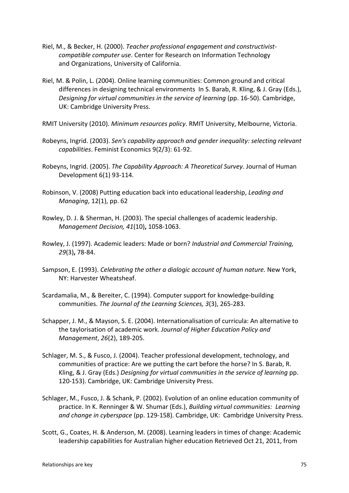- Riel, M., & Becker, H. (2000). *Teacher professional engagement and constructivistcompatible computer use*. Center for Research on Information Technology and Organizations, University of California.
- Riel, M. & Polin, L. (2004). Online learning communities: Common ground and critical differences in designing technical environments In S. Barab, R. Kling, & J. Gray (Eds.), *Designing for virtual communities in the service of learning* (pp. 16-50). Cambridge, UK: Cambridge University Press.

RMIT University (2010). *Minimum resources policy*. RMIT University, Melbourne, Victoria.

- Robeyns, Ingrid. (2003). *Sen's capability approach and gender inequality: selecting relevant capabilities*. Feminist Economics 9(2/3): 61-92.
- Robeyns, Ingrid. (2005). *The Capability Approach: A Theoretical Survey.* Journal of Human Development 6(1) 93-114.
- Robinson, V. (2008) Putting education back into educational leadership, *Leading and Managing*, 12(1), pp. 62
- Rowley, D. J. & Sherman, H. (2003). The special challenges of academic leadership. *Management Decision, 41*(10)**,** 1058-1063.
- Rowley, J. (1997). Academic leaders: Made or born? *Industrial and Commercial Training, 29*(3)**,** 78-84.
- Sampson, E. (1993). *Celebrating the other a dialogic account of human nature.* New York, NY: Harvester Wheatsheaf.
- Scardamalia, M., & Bereiter, C. (1994). Computer support for knowledge-building communities. *The Journal of the Learning Sciences, 3*(3), 265-283.
- Schapper, J. M., & Mayson, S. E. (2004). Internationalisation of curricula: An alternative to the taylorisation of academic work. *Journal of Higher Education Policy and Management*, *26*(2), 189-205.
- Schlager, M. S., & Fusco, J. (2004). Teacher professional development, technology, and communities of practice: Are we putting the cart before the horse? In S. Barab, R. Kling, & J. Gray (Eds.) *Designing for virtual communities in the service of learning* pp. 120-153). Cambridge, UK: Cambridge University Press.
- Schlager, M., Fusco, J. & Schank, P. (2002). Evolution of an online education community of practice. In K. Renninger & W. Shumar (Eds.), *Building virtual communities: Learning and change in cyberspace* (pp. 129-158). Cambridge, UK: Cambridge University Press.
- Scott, G., Coates, H. & Anderson, M. (2008). Learning leaders in times of change: Academic leadership capabilities for Australian higher education Retrieved Oct 21, 2011, from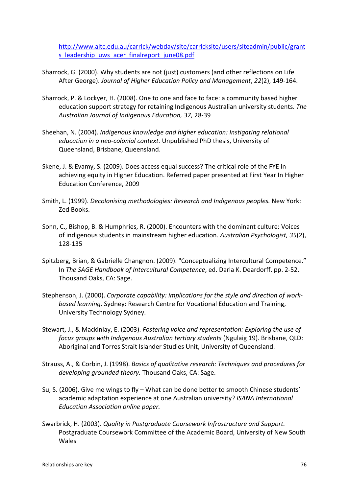[http://www.altc.edu.au/carrick/webdav/site/carricksite/users/siteadmin/public/grant](http://www.altc.edu.au/carrick/webdav/site/carricksite/users/siteadmin/public/grants_leadership_uws_acer_finalreport_june08.pdf) s leadership\_uws\_acer\_finalreport\_june08.pdf

- Sharrock, G. (2000). Why students are not (just) customers (and other reflections on Life After George). *Journal of Higher Education Policy and Management*, *22*(2), 149-164.
- Sharrock, P. & Lockyer, H. (2008). One to one and face to face: a community based higher education support strategy for retaining Indigenous Australian university students. *The Australian Journal of Indigenous Education, 37,* 28-39
- Sheehan, N. (2004). *Indigenous knowledge and higher education: Instigating relational education in a neo-colonial context.* Unpublished PhD thesis, University of Queensland, Brisbane, Queensland.
- Skene, J. & Evamy, S. (2009). Does access equal success? The critical role of the FYE in achieving equity in Higher Education. Referred paper presented at First Year In Higher Education Conference, 2009
- Smith, L. (1999). *Decolonising methodologies: Research and Indigenous peoples.* New York: Zed Books.
- Sonn, C., Bishop, B. & Humphries, R. (2000). Encounters with the dominant culture: Voices of indigenous students in mainstream higher education. *Australian Psychologist, 35*(2), 128-135
- Spitzberg, Brian, & Gabrielle Changnon. (2009). "Conceptualizing Intercultural Competence." In *The SAGE Handbook of Intercultural Competence*, ed. Darla K. Deardorff. pp. 2-52. Thousand Oaks, CA: Sage.
- Stephenson, J. (2000). *Corporate capability: implications for the style and direction of workbased learning*. Sydney: Research Centre for Vocational Education and Training, University Technology Sydney.
- Stewart, J., & Mackinlay, E. (2003). *Fostering voice and representation: Exploring the use of focus groups with Indigenous Australian tertiary students* (Ngulaig 19). Brisbane, QLD: Aboriginal and Torres Strait Islander Studies Unit, University of Queensland.
- Strauss, A., & Corbin, J. (1998). *Basics of qualitative research: Techniques and procedures for developing grounded theory.* Thousand Oaks, CA: Sage.
- Su, S. (2006). Give me wings to fly What can be done better to smooth Chinese students' academic adaptation experience at one Australian university? *ISANA International Education Association online paper.*
- Swarbrick, H. (2003). *Quality in Postgraduate Coursework Infrastructure and Support.* Postgraduate Coursework Committee of the Academic Board, University of New South Wales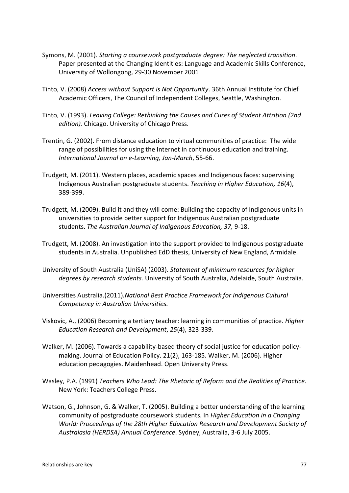- Symons, M. (2001). *Starting a coursework postgraduate degree: The neglected transition*. Paper presented at the Changing Identities: Language and Academic Skills Conference, University of Wollongong, 29-30 November 2001
- Tinto, V. (2008) *Access without Support is Not Opportunity*. 36th Annual Institute for Chief Academic Officers, The Council of Independent Colleges, Seattle, Washington.
- Tinto, V. (1993). *Leaving College: Rethinking the Causes and Cures of Student Attrition (2nd edition).* Chicago. University of Chicago Press.
- Trentin, G. (2002). From distance education to virtual communities of practice: The wide range of possibilities for using the Internet in continuous education and training. *International Journal on e-Learning, Jan-March*, 55-66.
- Trudgett, M. (2011). Western places, academic spaces and Indigenous faces: supervising Indigenous Australian postgraduate students. *Teaching in Higher Education, 16*[\(4\),](http://www.informaworld.com/smpp/gotoissue~db=all~content=a937901008)  389-399.
- Trudgett, M. (2009). Build it and they will come: Building the capacity of Indigenous units in universities to provide better support for Indigenous Australian postgraduate students. *The Australian Journal of Indigenous Education, 37,* 9-18.
- Trudgett, M. (2008). An investigation into the support provided to Indigenous postgraduate students in Australia. Unpublished EdD thesis, University of New England, Armidale.
- University of South Australia (UniSA) (2003). *Statement of minimum resources for higher degrees by research students.* University of South Australia, Adelaide, South Australia.
- Universities Australia.(2011)*.National Best Practice Framework for Indigenous Cultural Competency in Australian Universities.*
- Viskovic, A., (2006) Becoming a tertiary teacher: learning in communities of practice. *Higher Education Research and Development*, *25*(4), 323-339.
- Walker, M. (2006). Towards a capability-based theory of social justice for education policymaking. Journal of Education Policy. 21(2), 163-185. Walker, M. (2006). Higher education pedagogies. Maidenhead. Open University Press.
- Wasley, P.A. (1991) *Teachers Who Lead: The Rhetoric of Reform and the Realities of Practice*. New York: Teachers College Press.
- Watson, G., Johnson, G. & Walker, T. (2005). Building a better understanding of the learning community of postgraduate coursework students. In *Higher Education in a Changing World: Proceedings of the 28th Higher Education Research and Development Society of Australasia (HERDSA) Annual Conference*. Sydney, Australia, 3-6 July 2005.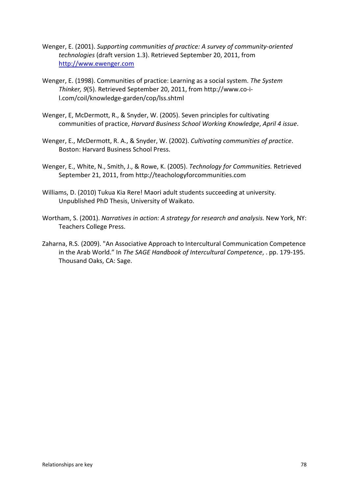- Wenger, E. (2001). *Supporting communities of practice: A survey of community-oriented technologies* (draft version 1.3). Retrieved September 20, 2011, from [http://www.ewenger.com](http://www.ewenger.com/)
- Wenger, E. (1998). Communities of practice: Learning as a social system. *The System Thinker, 9*(5). Retrieved September 20, 2011, from http://www.co-il.com/coil/knowledge-garden/cop/lss.shtml
- Wenger, E, McDermott, R., & Snyder, W. (2005). Seven principles for cultivating communities of practice, *Harvard Business School Working Knowledge*, *April 4 issue*.
- Wenger, E., McDermott, R. A., & Snyder, W. (2002). *Cultivating communities of practice*. Boston: Harvard Business School Press.
- Wenger, E., White, N., Smith, J., & Rowe, K. (2005). *Technology for Communities.* Retrieved September 21, 2011, from http://teachologyforcommunities.com
- Williams, D. (2010) Tukua Kia Rere! Maori adult students succeeding at university. Unpublished PhD Thesis, University of Waikato.
- Wortham, S. (2001). *Narratives in action: A strategy for research and analysis.* New York, NY: Teachers College Press.
- Zaharna, R.S. (2009). "An Associative Approach to Intercultural Communication Competence in the Arab World." In *The SAGE Handbook of Intercultural Competence*, . pp. 179-195. Thousand Oaks, CA: Sage.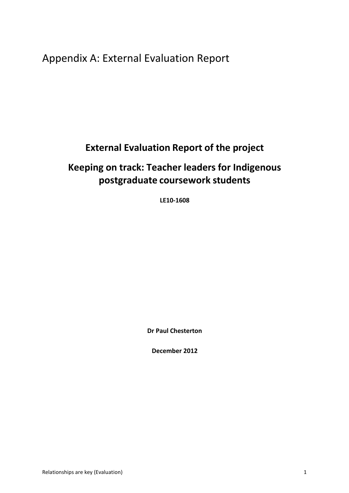Appendix A: External Evaluation Report

## **External Evaluation Report of the project**

# **Keeping on track: Teacher leaders for Indigenous postgraduate coursework students**

**LE10-1608**

**Dr Paul Chesterton**

**December 2012**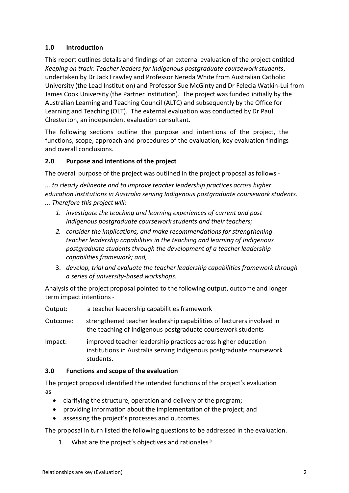## **1.0 Introduction**

This report outlines details and findings of an external evaluation of the project entitled *Keeping on track: Teacher leaders for Indigenous postgraduate coursework students*, undertaken by Dr Jack Frawley and Professor Nereda White from Australian Catholic University (the Lead Institution) and Professor Sue McGinty and Dr Felecia Watkin-Lui from James Cook University (the Partner Institution). The project was funded initially by the Australian Learning and Teaching Council (ALTC) and subsequently by the Office for Learning and Teaching (OLT). The external evaluation was conducted by Dr Paul Chesterton, an independent evaluation consultant.

The following sections outline the purpose and intentions of the project, the functions, scope, approach and procedures of the evaluation, key evaluation findings and overall conclusions.

## **2.0 Purpose and intentions of the project**

The overall purpose of the project was outlined in the project proposal as follows -

*... to clearly delineate and to improve teacher leadership practices across higher education institutions in Australia serving Indigenous postgraduate coursework students. ... Therefore this project will:*

- *1. investigate the teaching and learning experiences of current and past Indigenous postgraduate coursework students and their teachers;*
- *2. consider the implications, and make recommendationsfor strengthening teacher leadership capabilities in the teaching and learning of Indigenous postgraduate students through the development of a teacher leadership capabilities framework; and,*
- 3. *develop, trial and evaluate the teacher leadership capabilities framework through a series of university-based workshops*.

Analysis of the project proposal pointed to the following output, outcome and longer term impact intentions -

Output: a teacher leadership capabilities framework

- Outcome: strengthened teacher leadership capabilities of lecturersinvolved in the teaching of Indigenous postgraduate coursework students
- Impact: improved teacher leadership practices across higher education institutions in Australia serving Indigenous postgraduate coursework students.

## **3.0 Functions and scope of the evaluation**

The project proposal identified the intended functions of the project's evaluation as

- clarifying the structure, operation and delivery of the program;
- providing information about the implementation of the project; and
- assessing the project's processes and outcomes.

The proposal in turn listed the following questions to be addressed in the evaluation.

1. What are the project's objectives and rationales?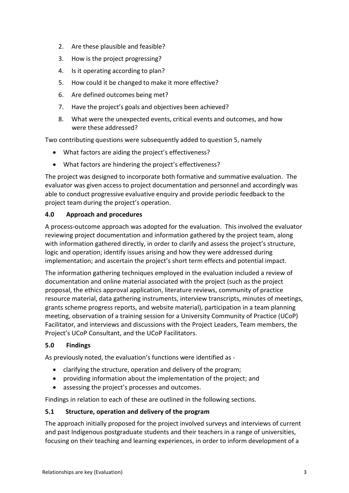- 2. Are these plausible and feasible?
- 3. How is the project progressing?
- 4. Is it operating according to plan?
- 5. How could it be changed to make it more effective?
- 6. Are defined outcomes being met?
- 7. Have the project's goals and objectives been achieved?
- 8. What were the unexpected events, critical events and outcomes, and how were these addressed?

Two contributing questions were subsequently added to question 5, namely

- What factors are aiding the project's effectiveness?
- What factors are hindering the project's effectiveness?

The project was designed to incorporate both formative and summative evaluation. The evaluator was given access to project documentation and personnel and accordingly was able to conduct progressive evaluative enquiry and provide periodic feedback to the project team during the project's operation.

## **4.0 Approach and procedures**

A process-outcome approach was adopted for the evaluation. This involved the evaluator reviewing project documentation and information gathered by the project team, along with information gathered directly, in order to clarify and assess the project's structure, logic and operation; identify issues arising and how they were addressed during implementation; and ascertain the project's short term effects and potential impact.

The information gathering techniques employed in the evaluation included a review of documentation and online material associated with the project (such as the project proposal, the ethics approval application, literature reviews, community of practice resource material, data gathering instruments, interview transcripts, minutes of meetings, grants scheme progress reports, and website material), participation in a team planning meeting, observation of a training session for a University Community of Practice (UCoP) Facilitator, and interviews and discussions with the Project Leaders, Team members, the Project's UCoP Consultant, and the UCoP Facilitators.

## **5.0 Findings**

As previously noted, the evaluation's functions were identified as -

- clarifying the structure, operation and delivery of the program;
- providing information about the implementation of the project; and
- assessing the project's processes and outcomes.

Findings in relation to each of these are outlined in the following sections.

## **5.1 Structure, operation and delivery of the program**

The approach initially proposed for the project involved surveys and interviews of current and past Indigenous postgraduate students and their teachers in a range of universities, focusing on their teaching and learning experiences, in order to inform development of a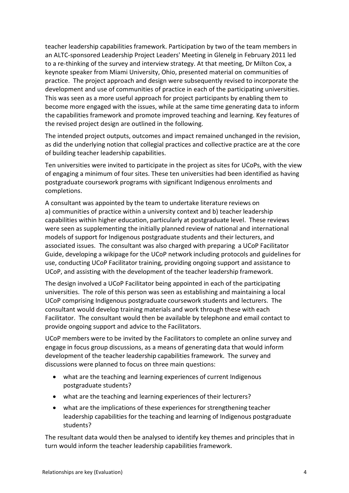teacher leadership capabilities framework. Participation by two of the team members in an ALTC-sponsored Leadership Project Leaders' Meeting in Glenelg in February 2011 led to a re-thinking of the survey and interview strategy. At that meeting, Dr Milton Cox, a keynote speaker from Miami University, Ohio, presented material on communities of practice. The project approach and design were subsequently revised to incorporate the development and use of communities of practice in each of the participating universities. This was seen as a more useful approach for project participants by enabling them to become more engaged with the issues, while at the same time generating data to inform the capabilities framework and promote improved teaching and learning. Key features of the revised project design are outlined in the following.

The intended project outputs, outcomes and impact remained unchanged in the revision, as did the underlying notion that collegial practices and collective practice are at the core of building teacher leadership capabilities.

Ten universities were invited to participate in the project as sites for UCoPs, with the view of engaging a minimum of four sites. These ten universities had been identified as having postgraduate coursework programs with significant Indigenous enrolments and completions.

A consultant was appointed by the team to undertake literature reviews on a) communities of practice within a university context and b) teacher leadership capabilities within higher education, particularly at postgraduate level. These reviews were seen as supplementing the initially planned review of national and international models of support for Indigenous postgraduate students and their lecturers, and associated issues. The consultant was also charged with preparing a UCoP Facilitator Guide, developing a wikipage for the UCoP network including protocols and guidelines for use, conducting UCoP Facilitator training, providing ongoing support and assistance to UCoP, and assisting with the development of the teacher leadership framework.

The design involved a UCoP Facilitator being appointed in each of the participating universities. The role of this person was seen as establishing and maintaining a local UCoP comprising Indigenous postgraduate coursework students and lecturers. The consultant would develop training materials and work through these with each Facilitator. The consultant would then be available by telephone and email contact to provide ongoing support and advice to the Facilitators.

UCoP members were to be invited by the Facilitators to complete an online survey and engage in focus group discussions, as a means of generating data that would inform development of the teacher leadership capabilities framework. The survey and discussions were planned to focus on three main questions:

- what are the teaching and learning experiences of current Indigenous postgraduate students?
- what are the teaching and learning experiences of their lecturers?
- what are the implications of these experiences for strengthening teacher leadership capabilities for the teaching and learning of Indigenous postgraduate students?

The resultant data would then be analysed to identify key themes and principles that in turn would inform the teacher leadership capabilities framework.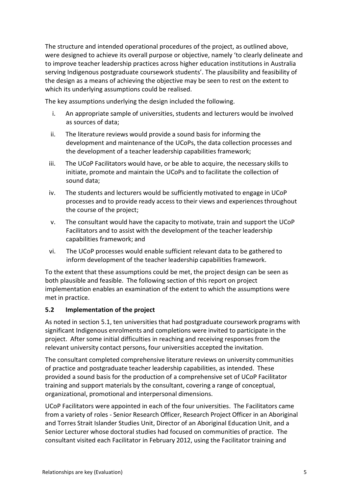The structure and intended operational procedures of the project, as outlined above, were designed to achieve its overall purpose or objective, namely 'to clearly delineate and to improve teacher leadership practices across higher education institutions in Australia serving Indigenous postgraduate coursework students'. The plausibility and feasibility of the design as a means of achieving the objective may be seen to rest on the extent to which its underlying assumptions could be realised.

The key assumptions underlying the design included the following.

- i. An appropriate sample of universities, students and lecturers would be involved as sources of data;
- ii. The literature reviews would provide a sound basis for informing the development and maintenance of the UCoPs, the data collection processes and the development of a teacher leadership capabilities framework;
- iii. The UCoP Facilitators would have, or be able to acquire, the necessary skills to initiate, promote and maintain the UCoPs and to facilitate the collection of sound data;
- iv. The students and lecturers would be sufficiently motivated to engage in UCoP processes and to provide ready access to their views and experiences throughout the course of the project;
- v. The consultant would have the capacity to motivate, train and support the UCoP Facilitators and to assist with the development of the teacher leadership capabilities framework; and
- vi. The UCoP processes would enable sufficient relevant data to be gathered to inform development of the teacher leadership capabilities framework.

To the extent that these assumptions could be met, the project design can be seen as both plausible and feasible. The following section of this report on project implementation enables an examination of the extent to which the assumptions were met in practice.

## **5.2 Implementation of the project**

As noted in section 5.1, ten universities that had postgraduate coursework programs with significant Indigenous enrolments and completions were invited to participate in the project. After some initial difficulties in reaching and receiving responses from the relevant university contact persons, four universities accepted the invitation.

The consultant completed comprehensive literature reviews on university communities of practice and postgraduate teacher leadership capabilities, as intended. These provided a sound basis for the production of a comprehensive set of UCoP Facilitator training and support materials by the consultant, covering a range of conceptual, organizational, promotional and interpersonal dimensions.

UCoP Facilitators were appointed in each of the four universities. The Facilitators came from a variety of roles - Senior Research Officer, Research Project Officer in an Aboriginal and Torres Strait Islander Studies Unit, Director of an Aboriginal Education Unit, and a Senior Lecturer whose doctoral studies had focused on communities of practice. The consultant visited each Facilitator in February 2012, using the Facilitator training and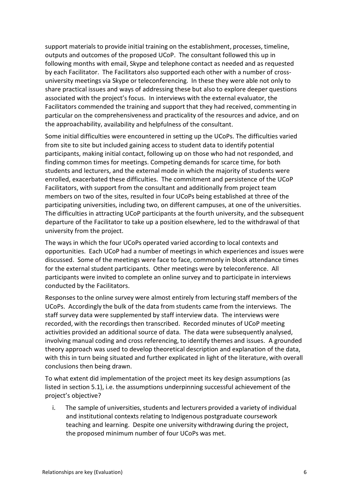support materials to provide initial training on the establishment, processes, timeline, outputs and outcomes of the proposed UCoP. The consultant followed this up in following months with email, Skype and telephone contact as needed and as requested by each Facilitator. The Facilitators also supported each other with a number of crossuniversity meetings via Skype or teleconferencing. In these they were able not only to share practical issues and ways of addressing these but also to explore deeper questions associated with the project's focus. In interviews with the external evaluator, the Facilitators commended the training and support that they had received, commenting in particular on the comprehensiveness and practicality of the resources and advice, and on the approachability, availability and helpfulness of the consultant.

Some initial difficulties were encountered in setting up the UCoPs. The difficulties varied from site to site but included gaining access to student data to identify potential participants, making initial contact, following up on those who had not responded, and finding common times for meetings. Competing demands for scarce time, for both students and lecturers, and the external mode in which the majority of students were enrolled, exacerbated these difficulties. The commitment and persistence of the UCoP Facilitators, with support from the consultant and additionally from project team members on two of the sites, resulted in four UCoPs being established at three of the participating universities, including two, on different campuses, at one of the universities. The difficulties in attracting UCoP participants at the fourth university, and the subsequent departure of the Facilitator to take up a position elsewhere, led to the withdrawal of that university from the project.

The ways in which the four UCoPs operated varied according to local contexts and opportunities. Each UCoP had a number of meetings in which experiences and issues were discussed. Some of the meetings were face to face, commonly in block attendance times for the external student participants. Other meetings were by teleconference. All participants were invited to complete an online survey and to participate in interviews conducted by the Facilitators.

Responses to the online survey were almost entirely from lecturing staff members of the UCoPs. Accordingly the bulk of the data from students came from the interviews. The staff survey data were supplemented by staff interview data. The interviews were recorded, with the recordings then transcribed. Recorded minutes of UCoP meeting activities provided an additional source of data. The data were subsequently analysed, involving manual coding and cross referencing, to identify themes and issues. A grounded theory approach was used to develop theoretical description and explanation of the data, with this in turn being situated and further explicated in light of the literature, with overall conclusions then being drawn.

To what extent did implementation of the project meet its key design assumptions (as listed in section 5.1), i.e. the assumptions underpinning successful achievement of the project's objective?

i. The sample of universities, students and lecturers provided a variety of individual and institutional contexts relating to Indigenous postgraduate coursework teaching and learning. Despite one university withdrawing during the project, the proposed minimum number of four UCoPs was met.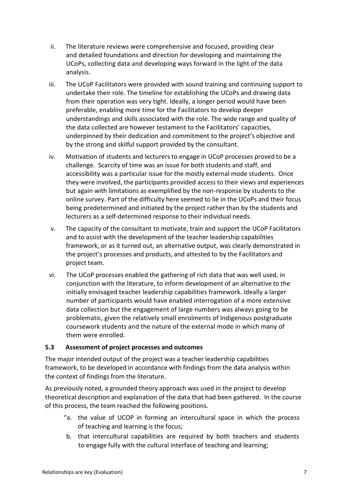- ii. The literature reviews were comprehensive and focused, providing clear and detailed foundations and direction for developing and maintaining the UCoPs, collecting data and developing ways forward in the light of the data analysis.
- iii. The UCoP Facilitators were provided with sound training and continuing support to undertake their role. The timeline for establishing the UCoPs and drawing data from their operation was very tight. Ideally, a longer period would have been preferable, enabling more time for the Facilitators to develop deeper understandings and skills associated with the role. The wide range and quality of the data collected are however testament to the Facilitators' capacities, underpinned by their dedication and commitment to the project's objective and by the strong and skilful support provided by the consultant.
- iv. Motivation of students and lecturers to engage in UCoP processes proved to be a challenge. Scarcity of time was an issue for both students and staff, and accessibility was a particular issue for the mostly external mode students. Once they were involved, the participants provided access to their views and experiences but again with limitations as exemplified by the non-response by students to the online survey. Part of the difficulty here seemed to lie in the UCoPs and their focus being predetermined and initiated by the project rather than by the students and lecturers as a self-determined response to their individual needs.
- v. The capacity of the consultant to motivate, train and support the UCoP Facilitators and to assist with the development of the teacher leadership capabilities framework, or as it turned out, an alternative output, was clearly demonstrated in the project's processes and products, and attested to by the Facilitators and project team.
- vi. The UCoP processes enabled the gathering of rich data that was well used, in conjunction with the literature, to inform development of an alternative to the initially envisaged teacher leadership capabilities framework. Ideally a larger number of participants would have enabled interrogation of a more extensive data collection but the engagement of large numbers was always going to be problematic, given the relatively small enrolments of Indigenous postgraduate coursework students and the nature of the external mode in which many of them were enrolled.

#### **5.3 Assessment of project processes and outcomes**

The major intended output of the project was a teacher leadership capabilities framework, to be developed in accordance with findings from the data analysis within the context of findings from the literature.

As previously noted, a grounded theory approach was used in the project to develop theoretical description and explanation of the data that had been gathered. In the course of this process, the team reached the following positions.

- "a. the value of UCOP in forming an intercultural space in which the process of teaching and learning is the focus;
- b. that intercultural capabilities are required by both teachers and students to engage fully with the cultural interface of teaching and learning;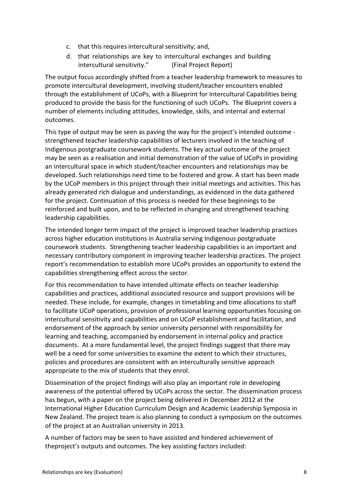- c. that this requires intercultural sensitivity; and,
- d. that relationships are key to intercultural exchanges and building intercultural sensitivity." (Final Project Report)

The output focus accordingly shifted from a teacher leadership framework to measures to promote intercultural development, involving student/teacher encounters enabled through the establishment of UCoPs, with a Blueprint for Intercultural Capabilities being produced to provide the basis for the functioning of such UCoPs. The Blueprint covers a number of elements including attitudes, knowledge, skills, and internal and external outcomes.

This type of output may be seen as paving the way for the project's intended outcome strengthened teacher leadership capabilities of lecturers involved in the teaching of Indigenous postgraduate coursework students. The key actual outcome of the project may be seen as a realisation and initial demonstration of the value of UCoPs in providing an intercultural space in which student/teacher encounters and relationships may be developed. Such relationships need time to be fostered and grow. A start has been made by the UCoP members in this project through their initial meetings and activities. This has already generated rich dialogue and understandings, as evidenced in the data gathered for the project. Continuation of this process is needed for these beginnings to be reinforced and built upon, and to be reflected in changing and strengthened teaching leadership capabilities.

The intended longer term impact of the project is improved teacher leadership practices across higher education institutions in Australia serving Indigenous postgraduate coursework students. Strengthening teacher leadership capabilities is an important and necessary contributory component in improving teacher leadership practices. The project report's recommendation to establish more UCoPs provides an opportunity to extend the capabilities strengthening effect across the sector.

For this recommendation to have intended ultimate effects on teacher leadership capabilities and practices, additional associated resource and support provisions will be needed. These include, for example, changes in timetabling and time allocations to staff to facilitate UCoP operations, provision of professional learning opportunities focusing on intercultural sensitivity and capabilities and on UCoP establishment and facilitation, and endorsement of the approach by senior university personnel with responsibility for learning and teaching, accompanied by endorsement in internal policy and practice documents. At a more fundamental level, the project findings suggest that there may well be a need for some universities to examine the extent to which their structures, policies and procedures are consistent with an interculturally sensitive approach appropriate to the mix of students that they enrol.

Dissemination of the project findings will also play an important role in developing awareness of the potential offered by UCoPs across the sector. The dissemination process has begun, with a paper on the project being delivered in December 2012 at the International Higher Education Curriculum Design and Academic Leadership Symposia in New Zealand. The project team is also planning to conduct a symposium on the outcomes of the project at an Australian university in 2013.

A number of factors may be seen to have assisted and hindered achievement of theproject's outputs and outcomes. The key assisting factors included: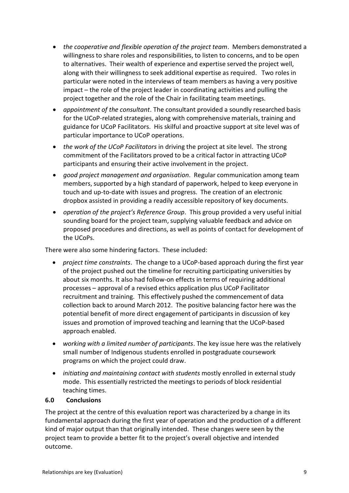- *the cooperative and flexible operation of the project team*. Members demonstrated a willingness to share roles and responsibilities, to listen to concerns, and to be open to alternatives. Their wealth of experience and expertise served the project well, along with their willingness to seek additional expertise as required. Two roles in particular were noted in the interviews of team members as having a very positive impact – the role of the project leader in coordinating activities and pulling the project together and the role of the Chair in facilitating team meetings.
- *appointment of the consultant*. The consultant provided a soundly researched basis for the UCoP-related strategies, along with comprehensive materials, training and guidance for UCoP Facilitators. His skilful and proactive support at site level was of particular importance to UCoP operations.
- *the work of the UCoP Facilitators* in driving the project at site level. The strong commitment of the Facilitators proved to be a critical factor in attracting UCoP participants and ensuring their active involvement in the project.
- *good project management and organisation*. Regular communication among team members, supported by a high standard of paperwork, helped to keep everyone in touch and up-to-date with issues and progress. The creation of an electronic dropbox assisted in providing a readily accessible repository of key documents.
- *operation of the project's Reference Group*. This group provided a very useful initial sounding board for the project team, supplying valuable feedback and advice on proposed procedures and directions, as well as points of contact for development of the UCoPs.

There were also some hindering factors. These included:

- *project time constraints*. The change to a UCoP-based approach during the first year of the project pushed out the timeline for recruiting participating universities by about six months. It also had follow-on effects in terms of requiring additional processes – approval of a revised ethics application plus UCoP Facilitator recruitment and training. This effectively pushed the commencement of data collection back to around March 2012. The positive balancing factor here was the potential benefit of more direct engagement of participants in discussion of key issues and promotion of improved teaching and learning that the UCoP-based approach enabled.
- *working with a limited number of participants*. The key issue here was the relatively small number of Indigenous students enrolled in postgraduate coursework programs on which the project could draw.
- *initiating and maintaining contact with students* mostly enrolled in external study mode. This essentially restricted the meetingsto periods of block residential teaching times.

## **6.0 Conclusions**

The project at the centre of this evaluation report was characterized by a change in its fundamental approach during the first year of operation and the production of a different kind of major output than that originally intended. These changes were seen by the project team to provide a better fit to the project's overall objective and intended outcome.